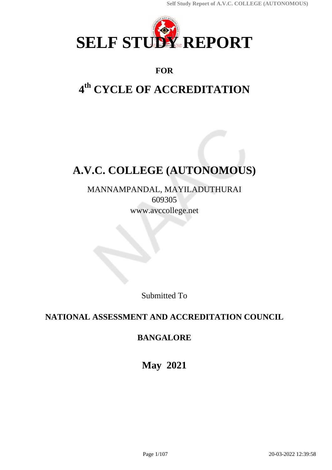

# **FOR**

# **4 th CYCLE OF ACCREDITATION**

# **A.V.C. COLLEGE (AUTONOMOUS)**

MANNAMPANDAL, MAYILADUTHURAI 609305 www.avccollege.net

Submitted To

# **NATIONAL ASSESSMENT AND ACCREDITATION COUNCIL**

# **BANGALORE**

**May 2021**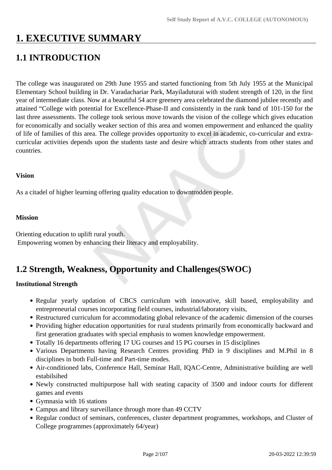# **1. EXECUTIVE SUMMARY**

# **1.1 INTRODUCTION**

The college was inaugurated on 29th June 1955 and started functioning from 5th July 1955 at the Municipal Elementary School building in Dr. Varadachariar Park, Mayiladuturai with student strength of 120, in the first year of intermediate class. Now at a beautiful 54 acre greenery area celebrated the diamond jubilee recently and attained "College with potential for Excellence-Phase-II and consistently in the rank band of 101-150 for the last three assessments. The college took serious move towards the vision of the college which gives education for economically and socially weaker section of this area and women empowerment and enhanced the quality of life of families of this area. The college provides opportunity to excel in academic, co-curricular and extracurricular activities depends upon the students taste and desire which attracts students from other states and countries.

### **Vision**

As a citadel of higher learning offering quality education to downtrodden people.

### **Mission**

Orienting education to uplift rural youth. Empowering women by enhancing their literacy and employability.

# **1.2 Strength, Weakness, Opportunity and Challenges(SWOC)**

### **Institutional Strength**

- Regular yearly updation of CBCS curriculum with innovative, skill based, employability and entrepreneurial courses incorporating field courses, industrial/laboratory visits,
- Restructured curriculum for accommodating global relevance of the academic dimension of the courses
- Providing higher education opportunities for rural students primarily from economically backward and first generation graduates with special emphasis to women knowledge empowerment.
- Totally 16 departments offering 17 UG courses and 15 PG courses in 15 disciplines
- Various Departments having Research Centres providing PhD in 9 disciplines and M.Phil in 8 disciplines in both Full-time and Part-time modes.
- Air-conditioned labs, Conference Hall, Seminar Hall, IQAC-Centre, Administrative building are well estabilsihed
- Newly constructed multipurpose hall with seating capacity of 3500 and indoor courts for different games and events
- Gymnasia with 16 stations
- Campus and library surveillance through more than 49 CCTV
- Regular conduct of seminars, conferences, cluster department programmes, workshops, and Cluster of College programmes (approximately 64/year)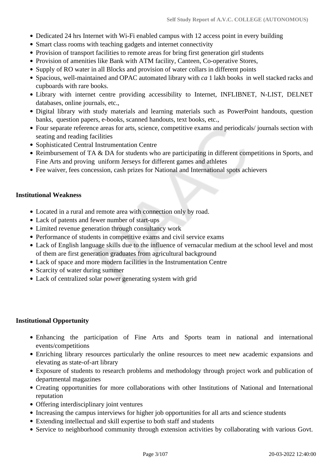- Dedicated 24 hrs Internet with Wi-Fi enabled campus with 12 access point in every building
- Smart class rooms with teaching gadgets and internet connectivity
- Provision of transport facilities to remote areas for bring first generation girl students
- Provision of amenities like Bank with ATM facility, Canteen, Co-operative Stores,
- Supply of RO water in all Blocks and provision of water collars in different points
- Spacious, well-maintained and OPAC automated library with *ca* 1 lakh books in well stacked racks and cupboards with rare books.
- Library with internet centre providing accessibility to Internet, INFLIBNET, N-LIST, DELNET databases, online journals, etc.,
- Digital library with study materials and learning materials such as PowerPoint handouts, question banks, question papers, e-books, scanned handouts, text books, etc.,
- Four separate reference areas for arts, science, competitive exams and periodicals/ journals section with seating and reading facilities
- Sophisticated Central Instrumentation Centre
- Reimbursement of TA & DA for students who are participating in different competitions in Sports, and Fine Arts and proving uniform Jerseys for different games and athletes
- Fee waiver, fees concession, cash prizes for National and International spots achievers

### **Institutional Weakness**

- Located in a rural and remote area with connection only by road.
- Lack of patents and fewer number of start-ups
- Limited revenue generation through consultancy work
- Performance of students in competitive exams and civil service exams
- Lack of English language skills due to the influence of vernacular medium at the school level and most of them are first generation graduates from agricultural background
- Lack of space and more modern facilities in the Instrumentation Centre
- Scarcity of water during summer
- Lack of centralized solar power generating system with grid

### **Institutional Opportunity**

- Enhancing the participation of Fine Arts and Sports team in national and international events/competitions
- Enriching library resources particularly the online resources to meet new academic expansions and elevating as state-of-art library
- Exposure of students to research problems and methodology through project work and publication of departmental magazines
- Creating opportunities for more collaborations with other Institutions of National and International reputation
- Offering interdisciplinary joint ventures
- Increasing the campus interviews for higher job opportunities for all arts and science students
- Extending intellectual and skill expertise to both staff and students
- Service to neighborhood community through extension activities by collaborating with various Govt.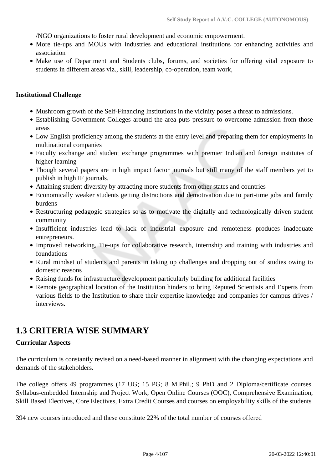/NGO organizations to foster rural development and economic empowerment.

- More tie-ups and MOUs with industries and educational institutions for enhancing activities and association
- Make use of Department and Students clubs, forums, and societies for offering vital exposure to students in different areas viz., skill, leadership, co-operation, team work,

### **Institutional Challenge**

- Mushroom growth of the Self-Financing Institutions in the vicinity poses a threat to admissions.
- Establishing Government Colleges around the area puts pressure to overcome admission from those areas
- Low English proficiency among the students at the entry level and preparing them for employments in multinational companies
- Faculty exchange and student exchange programmes with premier Indian and foreign institutes of higher learning
- Though several papers are in high impact factor journals but still many of the staff members yet to publish in high IF journals.
- Attaining student diversity by attracting more students from other states and countries
- Economically weaker students getting distractions and demotivation due to part-time jobs and family burdens
- Restructuring pedagogic strategies so as to motivate the digitally and technologically driven student community
- Insufficient industries lead to lack of industrial exposure and remoteness produces inadequate entrepreneurs.
- Improved networking, Tie-ups for collaborative research, internship and training with industries and foundations
- Rural mindset of students and parents in taking up challenges and dropping out of studies owing to domestic reasons
- Raising funds for infrastructure development particularly building for additional facilities
- Remote geographical location of the Institution hinders to bring Reputed Scientists and Experts from various fields to the Institution to share their expertise knowledge and companies for campus drives / interviews.

# **1.3 CRITERIA WISE SUMMARY**

### **Curricular Aspects**

The curriculum is constantly revised on a need-based manner in alignment with the changing expectations and demands of the stakeholders.

The college offers 49 programmes (17 UG; 15 PG; 8 M.Phil.; 9 PhD and 2 Diploma/certificate courses. Syllabus-embedded Internship and Project Work, Open Online Courses (OOC), Comprehensive Examination, Skill Based Electives, Core Electives, Extra Credit Courses and courses on employability skills of the students

394 new courses introduced and these constitute 22% of the total number of courses offered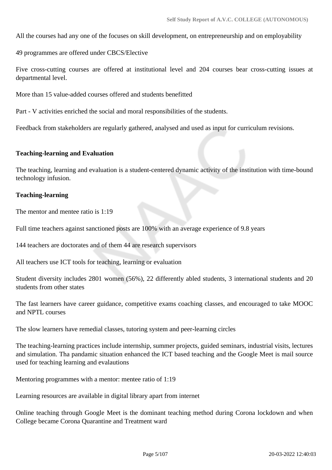All the courses had any one of the focuses on skill development, on entrepreneurship and on employability

49 programmes are offered under CBCS/Elective

Five cross-cutting courses are offered at institutional level and 204 courses bear cross-cutting issues at departmental level.

More than 15 value-added courses offered and students benefitted

Part - V activities enriched the social and moral responsibilities of the students.

Feedback from stakeholders are regularly gathered, analysed and used as input for curriculum revisions.

#### **Teaching-learning and Evaluation**

The teaching, learning and evaluation is a student-centered dynamic activity of the institution with time-bound technology infusion.

#### **Teaching-learning**

The mentor and mentee ratio is 1:19

Full time teachers against sanctioned posts are 100% with an average experience of 9.8 years

144 teachers are doctorates and of them 44 are research supervisors

All teachers use ICT tools for teaching, learning or evaluation

Student diversity includes 2801 women (56%), 22 differently abled students, 3 international students and 20 students from other states

The fast learners have career guidance, competitive exams coaching classes, and encouraged to take MOOC and NPTL courses

The slow learners have remedial classes, tutoring system and peer-learning circles

The teaching-learning practices include internship, summer projects, guided seminars, industrial visits, lectures and simulation. Tha pandamic situation enhanced the ICT based teaching and the Google Meet is mail source used for teaching learning and evalautions

Mentoring programmes with a mentor: mentee ratio of 1:19

Learning resources are available in digital library apart from internet

Online teaching through Google Meet is the dominant teaching method during Corona lockdown and when College became Corona Quarantine and Treatment ward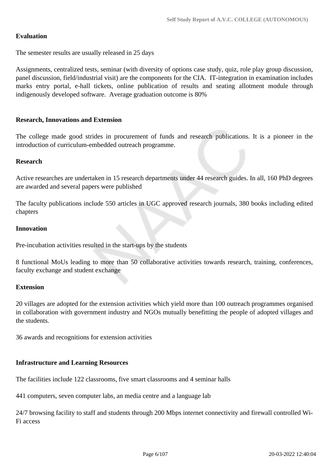### **Evaluation**

The semester results are usually released in 25 days

Assignments, centralized tests, seminar (with diversity of options case study, quiz, role play group discussion, panel discussion, field/industrial visit) are the components for the CIA. IT-integration in examination includes marks entry portal, e-hall tickets, online publication of results and seating allotment module through indigenously developed software. Average graduation outcome is 80%

### **Research, Innovations and Extension**

The college made good strides in procurement of funds and research publications. It is a pioneer in the introduction of curriculum-embedded outreach programme.

#### **Research**

Active researches are undertaken in 15 research departments under 44 research guides. In all, 160 PhD degrees are awarded and several papers were published

The faculty publications include 550 articles in UGC approved research journals, 380 books including edited chapters

### **Innovation**

Pre-incubation activities resulted in the start-ups by the students

8 functional MoUs leading to more than 50 collaborative activities towards research, training, conferences, faculty exchange and student exchange

#### **Extension**

20 villages are adopted for the extension activities which yield more than 100 outreach programmes organised in collaboration with government industry and NGOs mutually benefitting the people of adopted villages and the students.

36 awards and recognitions for extension activities

### **Infrastructure and Learning Resources**

The facilities include 122 classrooms, five smart classrooms and 4 seminar halls

441 computers, seven computer labs, an media centre and a language lab

24/7 browsing facility to staff and students through 200 Mbps internet connectivity and firewall controlled Wi-Fi access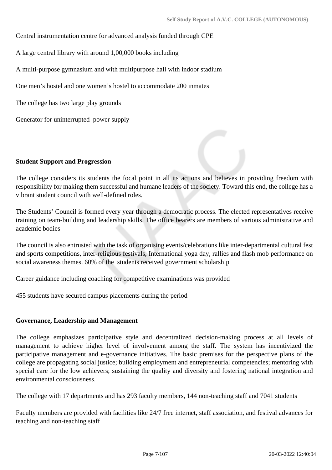Central instrumentation centre for advanced analysis funded through CPE

A large central library with around 1,00,000 books including

A multi-purpose gymnasium and with multipurpose hall with indoor stadium

One men's hostel and one women's hostel to accommodate 200 inmates

The college has two large play grounds

Generator for uninterrupted power supply

#### **Student Support and Progression**

The college considers its students the focal point in all its actions and believes in providing freedom with responsibility for making them successful and humane leaders of the society. Toward this end, the college has a vibrant student council with well-defined roles.

The Students' Council is formed every year through a democratic process. The elected representatives receive training on team-building and leadership skills. The office bearers are members of various administrative and academic bodies

The council is also entrusted with the task of organising events/celebrations like inter-departmental cultural fest and sports competitions, inter-religious festivals, International yoga day, rallies and flash mob performance on social awareness themes. 60% of the students received government scholarship

Career guidance including coaching for competitive examinations was provided

455 students have secured campus placements during the period

#### **Governance, Leadership and Management**

The college emphasizes participative style and decentralized decision-making process at all levels of management to achieve higher level of involvement among the staff. The system has incentivized the participative management and e-governance initiatives. The basic premises for the perspective plans of the college are propagating social justice; building employment and entrepreneurial competencies; mentoring with special care for the low achievers; sustaining the quality and diversity and fostering national integration and environmental consciousness.

The college with 17 departments and has 293 faculty members, 144 non-teaching staff and 7041 students

Faculty members are provided with facilities like 24/7 free internet, staff association, and festival advances for teaching and non-teaching staff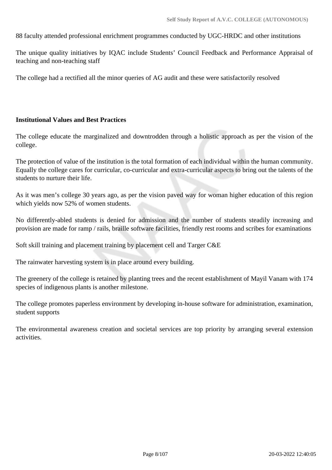88 faculty attended professional enrichment programmes conducted by UGC-HRDC and other institutions

The unique quality initiatives by IQAC include Students' Council Feedback and Performance Appraisal of teaching and non-teaching staff

The college had a rectified all the minor queries of AG audit and these were satisfactorily resolved

#### **Institutional Values and Best Practices**

The college educate the marginalized and downtrodden through a holistic approach as per the vision of the college.

The protection of value of the institution is the total formation of each individual within the human community. Equally the college cares for curricular, co-curricular and extra-curricular aspects to bring out the talents of the students to nurture their life.

As it was men's college 30 years ago, as per the vision paved way for woman higher education of this region which yields now 52% of women students.

No differently-abled students is denied for admission and the number of students steadily increasing and provision are made for ramp / rails, braille software facilities, friendly rest rooms and scribes for examinations

Soft skill training and placement training by placement cell and Targer C&E

The rainwater harvesting system is in place around every building.

The greenery of the college is retained by planting trees and the recent establishment of Mayil Vanam with 174 species of indigenous plants is another milestone.

The college promotes paperless environment by developing in-house software for administration, examination, student supports

The environmental awareness creation and societal services are top priority by arranging several extension activities.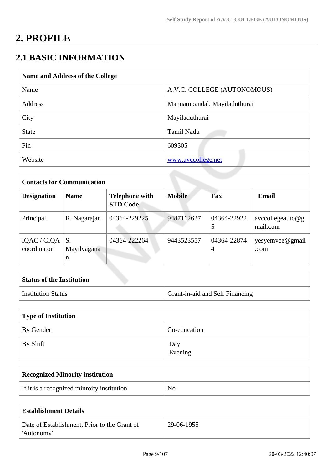# **2. PROFILE**

# **2.1 BASIC INFORMATION**

| Name and Address of the College |                              |  |  |
|---------------------------------|------------------------------|--|--|
| Name                            | A.V.C. COLLEGE (AUTONOMOUS)  |  |  |
| Address                         | Mannampandal, Mayiladuthurai |  |  |
| City                            | Mayiladuthurai               |  |  |
| <b>State</b>                    | Tamil Nadu                   |  |  |
| Pin                             | 609305                       |  |  |
| Website                         | www.avccollege.net           |  |  |

| <b>Contacts for Communication</b> |                        |                                          |               |                               |                              |  |  |
|-----------------------------------|------------------------|------------------------------------------|---------------|-------------------------------|------------------------------|--|--|
| <b>Designation</b>                | <b>Name</b>            | <b>Telephone with</b><br><b>STD Code</b> | <b>Mobile</b> | Fax                           | Email                        |  |  |
| Principal                         | R. Nagarajan           | 04364-229225                             | 9487112627    | 04364-22922<br>5              | avccollegeauto@g<br>mail.com |  |  |
| IQAC / CIQA<br>coordinator        | S.<br>Mayilvagana<br>n | 04364-222264                             | 9443523557    | 04364-22874<br>$\overline{4}$ | yesyemvee@gmail<br>.com      |  |  |

| <b>Status of the Institution</b> |                                        |
|----------------------------------|----------------------------------------|
| <b>Institution Status</b>        | <b>Grant-in-aid and Self Financing</b> |

| Type of Institution   |                |
|-----------------------|----------------|
| By Gender             | Co-education   |
| $\mathsf{I}$ By Shift | Day<br>Evening |

| <b>Recognized Minority institution</b>     |                |
|--------------------------------------------|----------------|
| If it is a recognized minroity institution | N <sub>O</sub> |

| <b>Establishment Details</b>                 |            |
|----------------------------------------------|------------|
| Date of Establishment, Prior to the Grant of | 29-06-1955 |
| 'Autonomy'                                   |            |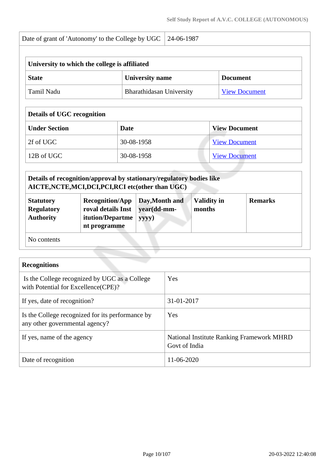|                                       | University to which the college is affiliated                    |             |                                                                                                                                                                       |                              |                      |  |
|---------------------------------------|------------------------------------------------------------------|-------------|-----------------------------------------------------------------------------------------------------------------------------------------------------------------------|------------------------------|----------------------|--|
| <b>State</b>                          |                                                                  |             | <b>University name</b>                                                                                                                                                |                              | <b>Document</b>      |  |
| <b>Tamil Nadu</b>                     |                                                                  |             | <b>Bharathidasan University</b>                                                                                                                                       |                              | <b>View Document</b> |  |
| <b>Details of UGC recognition</b>     |                                                                  |             |                                                                                                                                                                       |                              |                      |  |
| <b>Under Section</b>                  |                                                                  | <b>Date</b> |                                                                                                                                                                       |                              | <b>View Document</b> |  |
| 2f of UGC                             |                                                                  |             | 30-08-1958                                                                                                                                                            |                              | <b>View Document</b> |  |
| 12B of UGC                            |                                                                  |             | 30-08-1958                                                                                                                                                            |                              | <b>View Document</b> |  |
| <b>Statutory</b>                      | <b>Recognition/App</b><br>roval details Inst<br>itution/Departme |             | Details of recognition/approval by stationary/regulatory bodies like<br>AICTE, NCTE, MCI, DCI, PCI, RCI etc(other than UGC)<br>Day, Month and<br>year(dd-mm-<br>yyyy) | <b>Validity in</b><br>months | <b>Remarks</b>       |  |
| <b>Regulatory</b><br><b>Authority</b> | nt programme                                                     |             |                                                                                                                                                                       |                              |                      |  |

| <i><b>RUCULIBRITY</b></i>                                                            |                                                                   |
|--------------------------------------------------------------------------------------|-------------------------------------------------------------------|
| Is the College recognized by UGC as a College<br>with Potential for Excellence(CPE)? | Yes                                                               |
| If yes, date of recognition?                                                         | 31-01-2017                                                        |
| Is the College recognized for its performance by<br>any other governmental agency?   | Yes                                                               |
| If yes, name of the agency                                                           | <b>National Institute Ranking Framework MHRD</b><br>Govt of India |
| Date of recognition                                                                  | 11-06-2020                                                        |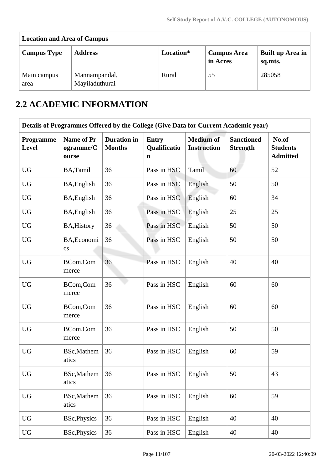| <b>Location and Area of Campus</b>   |                                 |           |                                |                             |  |  |
|--------------------------------------|---------------------------------|-----------|--------------------------------|-----------------------------|--|--|
| <b>Campus Type</b><br><b>Address</b> |                                 | Location* | <b>Campus Area</b><br>in Acres | Built up Area in<br>sq.mts. |  |  |
| Main campus<br>area                  | Mannampandal,<br>Mayiladuthurai | Rural     | 55                             | 285058                      |  |  |

# **2.2 ACADEMIC INFORMATION**

| Details of Programmes Offered by the College (Give Data for Current Academic year) |                                         |                                     |                                             |                                        |                                      |                                             |
|------------------------------------------------------------------------------------|-----------------------------------------|-------------------------------------|---------------------------------------------|----------------------------------------|--------------------------------------|---------------------------------------------|
| Programme<br>Level                                                                 | <b>Name of Pr</b><br>ogramme/C<br>ourse | <b>Duration</b> in<br><b>Months</b> | <b>Entry</b><br>Qualificatio<br>$\mathbf n$ | <b>Medium of</b><br><b>Instruction</b> | <b>Sanctioned</b><br><b>Strength</b> | No.of<br><b>Students</b><br><b>Admitted</b> |
| <b>UG</b>                                                                          | BA,Tamil                                | 36                                  | Pass in HSC                                 | Tamil                                  | 60                                   | 52                                          |
| <b>UG</b>                                                                          | BA, English                             | 36                                  | Pass in HSC                                 | English                                | 50                                   | 50                                          |
| <b>UG</b>                                                                          | BA, English                             | 36                                  | Pass in HSC                                 | English                                | 60                                   | 34                                          |
| <b>UG</b>                                                                          | BA, English                             | 36                                  | Pass in HSC                                 | English                                | 25                                   | 25                                          |
| <b>UG</b>                                                                          | <b>BA, History</b>                      | 36                                  | Pass in HSC                                 | English                                | 50                                   | 50                                          |
| <b>UG</b>                                                                          | BA, Economi<br>$\mathbf{c}\mathbf{s}$   | 36                                  | Pass in HSC                                 | English                                | 50                                   | 50                                          |
| <b>UG</b>                                                                          | BCom,Com<br>merce                       | 36                                  | Pass in HSC                                 | English                                | 40                                   | 40                                          |
| <b>UG</b>                                                                          | BCom,Com<br>merce                       | 36                                  | Pass in HSC                                 | English                                | 60                                   | 60                                          |
| <b>UG</b>                                                                          | BCom,Com<br>merce                       | 36                                  | Pass in HSC                                 | English                                | 60                                   | 60                                          |
| <b>UG</b>                                                                          | BCom,Com<br>merce                       | 36                                  | Pass in HSC                                 | English                                | 50                                   | 50                                          |
| <b>UG</b>                                                                          | BSc, Mathem<br>atics                    | 36                                  | Pass in HSC                                 | English                                | 60                                   | 59                                          |
| <b>UG</b>                                                                          | <b>BSc,Mathem</b><br>atics              | 36                                  | Pass in HSC                                 | English                                | 50                                   | 43                                          |
| <b>UG</b>                                                                          | BSc, Mathem<br>atics                    | 36                                  | Pass in HSC                                 | English                                | 60                                   | 59                                          |
| <b>UG</b>                                                                          | <b>BSc, Physics</b>                     | 36                                  | Pass in HSC                                 | English                                | 40                                   | 40                                          |
| <b>UG</b>                                                                          | <b>BSc, Physics</b>                     | 36                                  | Pass in HSC                                 | English                                | 40                                   | 40                                          |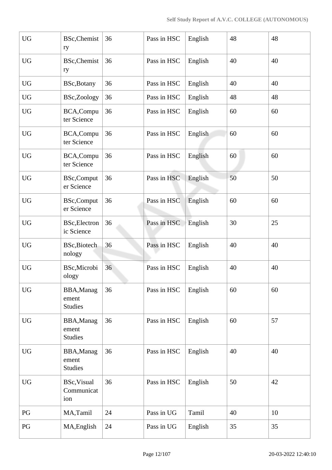| <b>UG</b>        | <b>BSc, Chemist</b><br>ry             | 36 | Pass in HSC | English | 48 | 48 |
|------------------|---------------------------------------|----|-------------|---------|----|----|
| <b>UG</b>        | <b>BSc, Chemist</b><br>ry             | 36 | Pass in HSC | English | 40 | 40 |
| $\rm U G$        | <b>BSc, Botany</b>                    | 36 | Pass in HSC | English | 40 | 40 |
| <b>UG</b>        | BSc,Zoology                           | 36 | Pass in HSC | English | 48 | 48 |
| $\rm U G$        | BCA, Compu<br>ter Science             | 36 | Pass in HSC | English | 60 | 60 |
| <b>UG</b>        | BCA, Compu<br>ter Science             | 36 | Pass in HSC | English | 60 | 60 |
| <b>UG</b>        | BCA, Compu<br>ter Science             | 36 | Pass in HSC | English | 60 | 60 |
| <b>UG</b>        | <b>BSc,Comput</b><br>er Science       | 36 | Pass in HSC | English | 50 | 50 |
| <b>UG</b>        | <b>BSc,Comput</b><br>er Science       | 36 | Pass in HSC | English | 60 | 60 |
| <b>UG</b>        | <b>BSc, Electron</b><br>ic Science    | 36 | Pass in HSC | English | 30 | 25 |
| ${\rm U}{\rm G}$ | BSc, Biotech<br>nology                | 36 | Pass in HSC | English | 40 | 40 |
| <b>UG</b>        | BSc, Microbi<br>ology                 | 36 | Pass in HSC | English | 40 | 40 |
| <b>UG</b>        | BBA, Manag<br>ement<br><b>Studies</b> | 36 | Pass in HSC | English | 60 | 60 |
| ${\rm U}{\rm G}$ | BBA, Manag<br>ement<br><b>Studies</b> | 36 | Pass in HSC | English | 60 | 57 |
| <b>UG</b>        | BBA, Manag<br>ement<br><b>Studies</b> | 36 | Pass in HSC | English | 40 | 40 |
| <b>UG</b>        | BSc, Visual<br>Communicat<br>ion      | 36 | Pass in HSC | English | 50 | 42 |
| PG               | MA,Tamil                              | 24 | Pass in UG  | Tamil   | 40 | 10 |
| PG               | MA, English                           | 24 | Pass in UG  | English | 35 | 35 |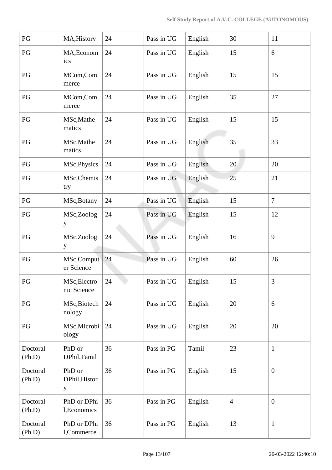| PG                     | MA, History                  | 24 | Pass in UG | English | 30             | 11             |
|------------------------|------------------------------|----|------------|---------|----------------|----------------|
| PG                     | MA, Econom<br>ics            | 24 | Pass in UG | English | 15             | 6              |
| PG                     | MCom,Com<br>merce            | 24 | Pass in UG | English | 15             | 15             |
| $\mathbf{P}\mathbf{G}$ | MCom,Com<br>merce            | 24 | Pass in UG | English | 35             | 27             |
| PG                     | MSc, Mathe<br>matics         | 24 | Pass in UG | English | 15             | 15             |
| PG                     | MSc, Mathe<br>matics         | 24 | Pass in UG | English | 35             | 33             |
| $\mathbf{P}\mathbf{G}$ | MSc, Physics                 | 24 | Pass in UG | English | 20             | 20             |
| PG                     | MSc, Chemis<br>try           | 24 | Pass in UG | English | 25             | 21             |
| PG                     | MSc, Botany                  | 24 | Pass in UG | English | 15             | $\tau$         |
| PG                     | MSc,Zoolog<br>y              | 24 | Pass in UG | English | 15             | 12             |
| PG                     | MSc,Zoolog<br>y              | 24 | Pass in UG | English | 16             | 9              |
| PG                     | MSc,Comput<br>er Science     | 24 | Pass in UG | English | 60             | 26             |
| $\mathbb{P}\mathbf{G}$ | MSc, Electro<br>nic Science  | 24 | Pass in UG | English | 15             | 3              |
| PG                     | MSc, Biotech<br>nology       | 24 | Pass in UG | English | 20             | 6              |
| PG                     | MSc, Microbi<br>ology        | 24 | Pass in UG | English | 20             | 20             |
| Doctoral<br>(Ph.D)     | PhD or<br>DPhil, Tamil       | 36 | Pass in PG | Tamil   | 23             | $\mathbf{1}$   |
| Doctoral<br>(Ph.D)     | PhD or<br>DPhil, Histor<br>y | 36 | Pass in PG | English | 15             | $\mathbf{0}$   |
| Doctoral<br>(Ph.D)     | PhD or DPhi<br>1, Economics  | 36 | Pass in PG | English | $\overline{4}$ | $\overline{0}$ |
| Doctoral<br>(Ph.D)     | PhD or DPhi<br>l,Commerce    | 36 | Pass in PG | English | 13             | $\mathbf{1}$   |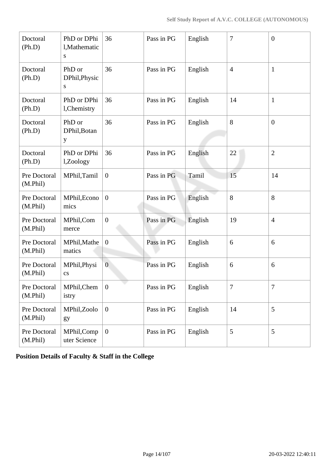| Doctoral<br>(Ph.D)        | PhD or DPhi<br>l, Mathematic<br>S      | 36               | Pass in PG | English | $\overline{7}$ | $\overline{0}$   |
|---------------------------|----------------------------------------|------------------|------------|---------|----------------|------------------|
| Doctoral<br>(Ph.D)        | PhD or<br>DPhil, Physic<br>S           | 36               | Pass in PG | English | $\overline{4}$ | $\mathbf{1}$     |
| Doctoral<br>(Ph.D)        | PhD or DPhi<br>l, Chemistry            | 36               | Pass in PG | English | 14             | $\mathbf{1}$     |
| Doctoral<br>(Ph.D)        | PhD or<br>DPhil, Botan<br>y            | 36               | Pass in PG | English | 8              | $\boldsymbol{0}$ |
| Doctoral<br>(Ph.D)        | PhD or DPhi<br>l,Zoology               | 36               | Pass in PG | English | 22             | $\overline{2}$   |
| Pre Doctoral<br>(M. Phil) | MPhil, Tamil                           | $\overline{0}$   | Pass in PG | Tamil   | 15             | 14               |
| Pre Doctoral<br>(M.Phil)  | MPhil, Econo<br>mics                   | $\overline{0}$   | Pass in PG | English | 8              | 8                |
| Pre Doctoral<br>(M.Phil)  | MPhil,Com<br>merce                     | $\boldsymbol{0}$ | Pass in PG | English | 19             | $\overline{4}$   |
| Pre Doctoral<br>(M.Phil)  | MPhil, Mathe<br>matics                 | $\boldsymbol{0}$ | Pass in PG | English | 6              | 6                |
| Pre Doctoral<br>(M.Phil)  | MPhil, Physi<br>$\mathbf{c}\mathbf{s}$ | $\overline{0}$   | Pass in PG | English | 6              | 6                |
| Pre Doctoral<br>(M.Phil)  | MPhil, Chem<br>istry                   | $\overline{0}$   | Pass in PG | English | 7              | 7                |
| Pre Doctoral<br>(M.Phil)  | MPhil,Zoolo<br>gy                      | $\boldsymbol{0}$ | Pass in PG | English | 14             | 5                |
| Pre Doctoral<br>(M.Phil)  | MPhil,Comp<br>uter Science             | $\overline{0}$   | Pass in PG | English | 5              | 5                |

**Position Details of Faculty & Staff in the College**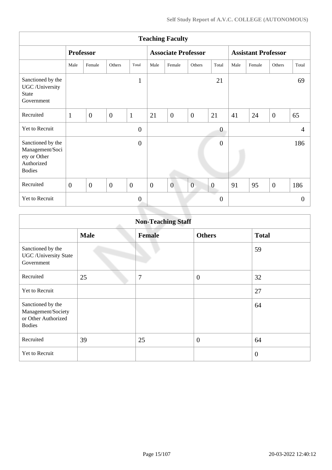|                                                                                     | <b>Teaching Faculty</b> |                |                |                |                            |                |                |                            |      |        |                |                |
|-------------------------------------------------------------------------------------|-------------------------|----------------|----------------|----------------|----------------------------|----------------|----------------|----------------------------|------|--------|----------------|----------------|
|                                                                                     | <b>Professor</b>        |                |                |                | <b>Associate Professor</b> |                |                | <b>Assistant Professor</b> |      |        |                |                |
|                                                                                     | Male                    | Female         | <b>Others</b>  | Total          | Male                       | Female         | Others         | Total                      | Male | Female | Others         | Total          |
| Sanctioned by the<br>UGC /University<br>State<br>Government                         |                         |                |                | $\mathbf{1}$   |                            |                |                | 21                         |      |        |                | 69             |
| Recruited                                                                           | $\mathbf{1}$            | $\overline{0}$ | $\mathbf{0}$   | $\mathbf{1}$   | 21                         | $\overline{0}$ | $\overline{0}$ | 21                         | 41   | 24     | $\overline{0}$ | 65             |
| Yet to Recruit                                                                      |                         |                |                | $\overline{0}$ |                            |                |                | $\boldsymbol{0}$           |      |        |                | $\overline{4}$ |
| Sanctioned by the<br>Management/Soci<br>ety or Other<br>Authorized<br><b>Bodies</b> |                         |                |                | $\overline{0}$ |                            |                |                | $\boldsymbol{0}$           |      |        |                | 186            |
| Recruited                                                                           | $\overline{0}$          | $\overline{0}$ | $\overline{0}$ | $\mathbf{0}$   | $\overline{0}$             | $\overline{0}$ | $\overline{0}$ | $\boldsymbol{0}$           | 91   | 95     | $\overline{0}$ | 186            |
| Yet to Recruit                                                                      |                         |                |                | $\overline{0}$ |                            |                |                | $\overline{0}$             |      |        |                | $\theta$       |
|                                                                                     |                         |                |                |                |                            |                |                |                            |      |        |                |                |

|                                                                                 | <b>Non-Teaching Staff</b> |               |                  |                |  |  |  |  |  |
|---------------------------------------------------------------------------------|---------------------------|---------------|------------------|----------------|--|--|--|--|--|
|                                                                                 | <b>Male</b>               | <b>Female</b> | <b>Others</b>    | <b>Total</b>   |  |  |  |  |  |
| Sanctioned by the<br><b>UGC</b> / University State<br>Government                |                           |               |                  | 59             |  |  |  |  |  |
| Recruited                                                                       | 25                        | 7             | $\boldsymbol{0}$ | 32             |  |  |  |  |  |
| <b>Yet to Recruit</b>                                                           |                           |               |                  | 27             |  |  |  |  |  |
| Sanctioned by the<br>Management/Society<br>or Other Authorized<br><b>Bodies</b> |                           |               |                  | 64             |  |  |  |  |  |
| Recruited                                                                       | 39                        | 25            | $\overline{0}$   | 64             |  |  |  |  |  |
| Yet to Recruit                                                                  |                           |               |                  | $\overline{0}$ |  |  |  |  |  |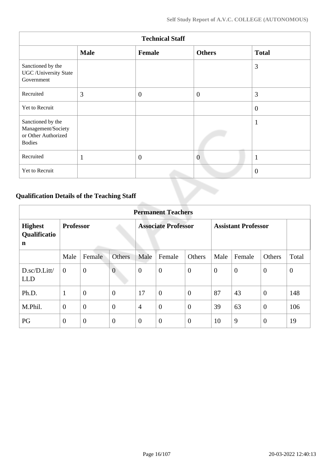|                                                                                 |             | <b>Technical Staff</b> |                |                |
|---------------------------------------------------------------------------------|-------------|------------------------|----------------|----------------|
|                                                                                 | <b>Male</b> | <b>Female</b>          | <b>Others</b>  | <b>Total</b>   |
| Sanctioned by the<br><b>UGC</b> / University State<br>Government                |             |                        |                | 3              |
| Recruited                                                                       | 3           | $\overline{0}$         | $\theta$       | 3              |
| Yet to Recruit                                                                  |             |                        |                | $\theta$       |
| Sanctioned by the<br>Management/Society<br>or Other Authorized<br><b>Bodies</b> |             |                        |                | 1              |
| Recruited                                                                       | 1           | $\boldsymbol{0}$       | $\overline{0}$ | 1              |
| Yet to Recruit                                                                  |             |                        |                | $\overline{0}$ |

# **Qualification Details of the Teaching Staff**

|                                     | <b>Permanent Teachers</b> |                  |                |                |                            |                |          |                            |                |              |  |
|-------------------------------------|---------------------------|------------------|----------------|----------------|----------------------------|----------------|----------|----------------------------|----------------|--------------|--|
| <b>Highest</b><br>Qualificatio<br>n | <b>Professor</b>          |                  |                |                | <b>Associate Professor</b> |                |          | <b>Assistant Professor</b> |                |              |  |
|                                     | Male                      | Female           | Others         | Male           | Female                     | Others         | Male     | Female                     | Others         | Total        |  |
| D.sc/D.Litt/<br><b>LLD</b>          | $\overline{0}$            | $\overline{0}$   | $\overline{0}$ | $\mathbf{0}$   | $\boldsymbol{0}$           | $\overline{0}$ | $\theta$ | $\overline{0}$             | $\overline{0}$ | $\mathbf{0}$ |  |
| Ph.D.                               | 1                         | $\boldsymbol{0}$ | $\overline{0}$ | 17             | $\overline{0}$             | $\overline{0}$ | 87       | 43                         | $\overline{0}$ | 148          |  |
| M.Phil.                             | $\overline{0}$            | $\overline{0}$   | $\overline{0}$ | $\overline{4}$ | $\overline{0}$             | $\overline{0}$ | 39       | 63                         | $\theta$       | 106          |  |
| PG                                  | $\overline{0}$            | $\overline{0}$   | $\overline{0}$ | $\overline{0}$ | $\overline{0}$             | $\overline{0}$ | 10       | 9                          | $\overline{0}$ | 19           |  |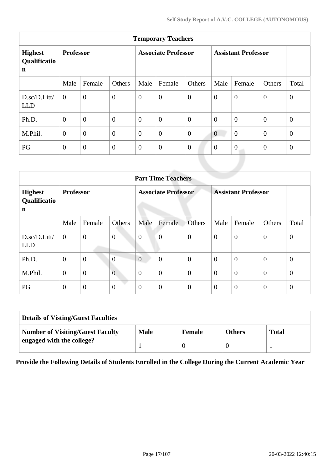| <b>Temporary Teachers</b>                     |                  |                  |                |                            |                  |                |                            |                  |                |                |  |
|-----------------------------------------------|------------------|------------------|----------------|----------------------------|------------------|----------------|----------------------------|------------------|----------------|----------------|--|
| <b>Highest</b><br>Qualificatio<br>$\mathbf n$ | <b>Professor</b> |                  |                | <b>Associate Professor</b> |                  |                | <b>Assistant Professor</b> |                  |                |                |  |
|                                               | Male             | Female           | Others         | Male                       | Female           | Others         | Male                       | Female           | Others         | Total          |  |
| D.sc/D.Litt/<br><b>LLD</b>                    | $\theta$         | $\overline{0}$   | $\overline{0}$ | $\overline{0}$             | $\overline{0}$   | $\overline{0}$ | $\boldsymbol{0}$           | $\theta$         | $\mathbf{0}$   | $\overline{0}$ |  |
| Ph.D.                                         | $\overline{0}$   | $\overline{0}$   | $\overline{0}$ | $\overline{0}$             | $\overline{0}$   | $\overline{0}$ | $\overline{0}$             | $\overline{0}$   | $\overline{0}$ | $\mathbf{0}$   |  |
| M.Phil.                                       | $\mathbf{0}$     | $\overline{0}$   | $\overline{0}$ | $\theta$                   | $\overline{0}$   | $\overline{0}$ | $\overline{0}$             | $\boldsymbol{0}$ | $\overline{0}$ | $\overline{0}$ |  |
| PG                                            | $\overline{0}$   | $\boldsymbol{0}$ | $\theta$       | $\overline{0}$             | $\boldsymbol{0}$ | $\mathbf{0}$   | $\theta$                   | $\boldsymbol{0}$ | $\overline{0}$ | $\mathbf{0}$   |  |
|                                               |                  |                  |                |                            |                  |                |                            |                  |                |                |  |

|                                     | <b>Part Time Teachers</b> |                |                |                |                            |                |                |                            |                |                |  |
|-------------------------------------|---------------------------|----------------|----------------|----------------|----------------------------|----------------|----------------|----------------------------|----------------|----------------|--|
| <b>Highest</b><br>Qualificatio<br>n | <b>Professor</b>          |                |                |                | <b>Associate Professor</b> |                |                | <b>Assistant Professor</b> |                |                |  |
|                                     | Male                      | Female         | Others         | Male           | Female                     | Others         | Male           | Female                     | Others         | Total          |  |
| D.sc/D.Litt/<br><b>LLD</b>          | $\overline{0}$            | $\mathbf{0}$   | $\overline{0}$ | $\overline{0}$ | $\overline{0}$             | $\overline{0}$ | $\overline{0}$ | $\overline{0}$             | $\overline{0}$ | $\theta$       |  |
| Ph.D.                               | $\mathbf{0}$              | $\overline{0}$ | $\overline{0}$ | $\overline{0}$ | $\overline{0}$             | $\overline{0}$ | $\theta$       | $\overline{0}$             | $\theta$       | $\overline{0}$ |  |
| M.Phil.                             | $\mathbf{0}$              | $\overline{0}$ | $\overline{0}$ | $\overline{0}$ | $\overline{0}$             | $\overline{0}$ | $\overline{0}$ | $\overline{0}$             | $\overline{0}$ | $\theta$       |  |
| PG                                  | $\mathbf{0}$              | $\overline{0}$ | $\overline{0}$ | $\overline{0}$ | $\overline{0}$             | $\overline{0}$ | $\theta$       | $\overline{0}$             | $\overline{0}$ | $\overline{0}$ |  |

| <b>Details of Visting/Guest Faculties</b> |             |               |               |              |  |  |  |
|-------------------------------------------|-------------|---------------|---------------|--------------|--|--|--|
| <b>Number of Visiting/Guest Faculty</b>   | <b>Male</b> | <b>Female</b> | <b>Others</b> | <b>Total</b> |  |  |  |
| engaged with the college?                 |             |               |               |              |  |  |  |

**Provide the Following Details of Students Enrolled in the College During the Current Academic Year**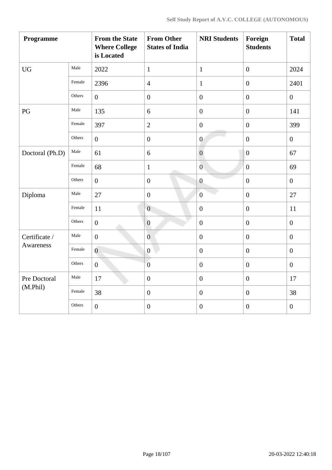| Programme       |        | <b>From the State</b><br><b>Where College</b><br>is Located | <b>From Other</b><br><b>States of India</b> | <b>NRI Students</b> | Foreign<br><b>Students</b> | <b>Total</b>     |
|-----------------|--------|-------------------------------------------------------------|---------------------------------------------|---------------------|----------------------------|------------------|
| <b>UG</b>       | Male   | 2022                                                        | $\mathbf{1}$                                | $\mathbf{1}$        | $\boldsymbol{0}$           | 2024             |
|                 | Female | 2396                                                        | $\overline{4}$                              | $\mathbf{1}$        | $\boldsymbol{0}$           | 2401             |
|                 | Others | $\overline{0}$                                              | $\boldsymbol{0}$                            | $\boldsymbol{0}$    | $\boldsymbol{0}$           | $\boldsymbol{0}$ |
| PG              | Male   | 135                                                         | 6                                           | $\boldsymbol{0}$    | $\overline{0}$             | 141              |
|                 | Female | 397                                                         | $\overline{2}$                              | $\overline{0}$      | $\overline{0}$             | 399              |
|                 | Others | $\overline{0}$                                              | $\boldsymbol{0}$                            | $\overline{0}$      | $\boldsymbol{0}$           | $\boldsymbol{0}$ |
| Doctoral (Ph.D) | Male   | 61                                                          | 6                                           | $\overline{0}$      | $\overline{0}$             | 67               |
|                 | Female | 68                                                          | $\mathbf{1}$                                | $\overline{0}$      | $\boldsymbol{0}$           | 69               |
|                 | Others | $\overline{0}$                                              | $\boldsymbol{0}$                            | $\overline{0}$      | $\overline{0}$             | $\overline{0}$   |
| Diploma         | Male   | 27                                                          | $\boldsymbol{0}$                            | $\overline{0}$      | $\boldsymbol{0}$           | 27               |
|                 | Female | 11                                                          | $\overline{0}$                              | $\boldsymbol{0}$    | $\overline{0}$             | 11               |
|                 | Others | $\overline{0}$                                              | $\boldsymbol{0}$                            | $\boldsymbol{0}$    | $\overline{0}$             | $\boldsymbol{0}$ |
| Certificate /   | Male   | $\overline{0}$                                              | $\overline{0}$                              | $\overline{0}$      | $\overline{0}$             | $\boldsymbol{0}$ |
| Awareness       | Female | $\mathbf{0}$                                                | $\boldsymbol{0}$                            | $\boldsymbol{0}$    | $\boldsymbol{0}$           | $\boldsymbol{0}$ |
|                 | Others | $\overline{0}$                                              | $\boldsymbol{0}$                            | $\boldsymbol{0}$    | $\boldsymbol{0}$           | $\boldsymbol{0}$ |
| Pre Doctoral    | Male   | 17                                                          | $\boldsymbol{0}$                            | $\boldsymbol{0}$    | $\boldsymbol{0}$           | 17               |
| (M.Phil)        | Female | 38                                                          | $\boldsymbol{0}$                            | $\boldsymbol{0}$    | $\boldsymbol{0}$           | 38               |
|                 | Others | $\boldsymbol{0}$                                            | $\boldsymbol{0}$                            | $\boldsymbol{0}$    | $\boldsymbol{0}$           | $\boldsymbol{0}$ |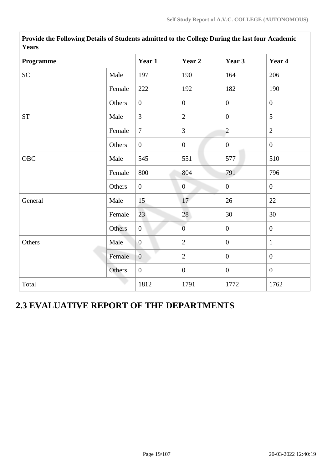| Years      |        |                  |                  |                  |                  |
|------------|--------|------------------|------------------|------------------|------------------|
| Programme  |        | Year 1           | Year 2           | Year 3           | Year 4           |
| <b>SC</b>  | Male   | 197              | 190              | 164              | 206              |
|            | Female | 222              | 192              | 182              | 190              |
|            | Others | $\overline{0}$   | $\boldsymbol{0}$ | $\overline{0}$   | $\mathbf{0}$     |
| <b>ST</b>  | Male   | $\overline{3}$   | $\mathbf{2}$     | $\overline{0}$   | 5                |
|            | Female | $\overline{7}$   | $\mathfrak{Z}$   | $\overline{2}$   | $\overline{2}$   |
|            | Others | $\overline{0}$   | $\boldsymbol{0}$ | $\mathbf{0}$     | $\mathbf{0}$     |
| <b>OBC</b> | Male   | 545              | 551              | 577              | 510              |
|            | Female | 800              | 804              | 791              | 796              |
|            | Others | $\overline{0}$   | $\overline{0}$   | $\overline{0}$   | $\overline{0}$   |
| General    | Male   | 15               | 17               | 26               | 22               |
|            | Female | 23               | 28               | 30               | 30               |
|            | Others | $\overline{0}$   | $\overline{0}$   | $\boldsymbol{0}$ | $\mathbf{0}$     |
| Others     | Male   | $\overline{0}$   | $\mathbf{2}$     | $\mathbf{0}$     | $\mathbf{1}$     |
|            | Female | $\boldsymbol{0}$ | $\overline{2}$   | $\overline{0}$   | $\overline{0}$   |
|            | Others | $\overline{0}$   | $\boldsymbol{0}$ | $\boldsymbol{0}$ | $\boldsymbol{0}$ |
| Total      |        | 1812             | 1791             | 1772             | 1762             |

**Provide the Following Details of Students admitted to the College During the last four Academic Years**

# **2.3 EVALUATIVE REPORT OF THE DEPARTMENTS**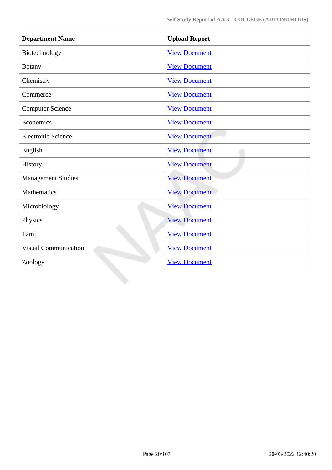| <b>Department Name</b>      | <b>Upload Report</b> |
|-----------------------------|----------------------|
| Biotechnology               | <b>View Document</b> |
| <b>Botany</b>               | <b>View Document</b> |
| Chemistry                   | <b>View Document</b> |
| Commerce                    | <b>View Document</b> |
| <b>Computer Science</b>     | <b>View Document</b> |
| Economics                   | <b>View Document</b> |
| <b>Electronic Science</b>   | <b>View Document</b> |
| English                     | <b>View Document</b> |
| History                     | <b>View Document</b> |
| <b>Management Studies</b>   | <b>View Document</b> |
| Mathematics                 | <b>View Document</b> |
| Microbiology                | <b>View Document</b> |
| Physics                     | <b>View Document</b> |
| Tamil                       | <b>View Document</b> |
| <b>Visual Communication</b> | <b>View Document</b> |
| Zoology                     | <b>View Document</b> |
|                             |                      |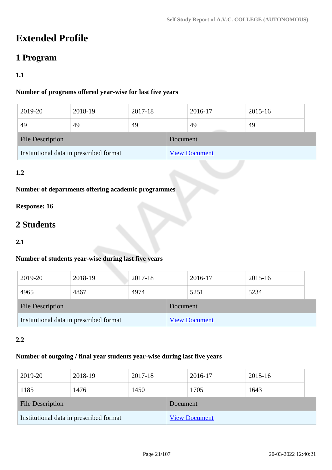# **Extended Profile**

# **1 Program**

## **1.1**

### **Number of programs offered year-wise for last five years**

| 2019-20                                 | 2018-19 | 2017-18 |                      | 2016-17  | 2015-16 |  |  |
|-----------------------------------------|---------|---------|----------------------|----------|---------|--|--|
| 49                                      | 49      | 49      |                      | 49       | 49      |  |  |
| <b>File Description</b>                 |         |         |                      | Document |         |  |  |
| Institutional data in prescribed format |         |         | <b>View Document</b> |          |         |  |  |

### **1.2**

### **Number of departments offering academic programmes**

### **Response: 16**

# **2 Students**

### **2.1**

### **Number of students year-wise during last five years**

| 2019-20                                 | 2018-19 | 2017-18 |                 | 2016-17              | 2015-16 |  |
|-----------------------------------------|---------|---------|-----------------|----------------------|---------|--|
| 4965                                    | 4867    | 4974    |                 | 5251                 | 5234    |  |
| <b>File Description</b>                 |         |         | <b>Document</b> |                      |         |  |
| Institutional data in prescribed format |         |         |                 | <b>View Document</b> |         |  |

### **2.2**

### **Number of outgoing / final year students year-wise during last five years**

| 2019-20                                 | 2018-19 | 2017-18 |          | 2016-17              | 2015-16 |  |
|-----------------------------------------|---------|---------|----------|----------------------|---------|--|
| 1185                                    | 1476    | 1450    |          | 1705                 | 1643    |  |
| <b>File Description</b>                 |         |         | Document |                      |         |  |
| Institutional data in prescribed format |         |         |          | <b>View Document</b> |         |  |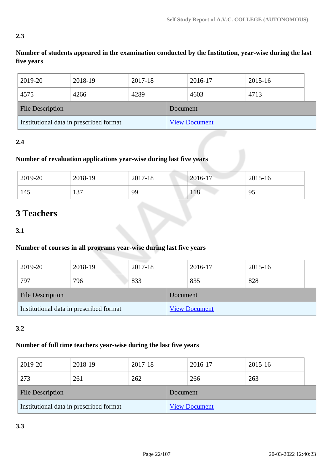## **2.3**

**Number of students appeared in the examination conducted by the Institution, year-wise during the last five years**

| 2019-20                                 | 2018-19 | 2017-18 |          | 2016-17              | 2015-16 |
|-----------------------------------------|---------|---------|----------|----------------------|---------|
| 4575                                    | 4266    | 4289    |          | 4603                 | 4713    |
| <b>File Description</b>                 |         |         | Document |                      |         |
| Institutional data in prescribed format |         |         |          | <b>View Document</b> |         |

### **2.4**

## **Number of revaluation applications year-wise during last five years**

| 2019-20 | 2018-19 | 2017-18 | $2016 - 17$ | 2015-16 |
|---------|---------|---------|-------------|---------|
| 145     | 137     | 99      | 118         | 95      |

# **3 Teachers**

**3.1**

### **Number of courses in all programs year-wise during last five years**

| 2019-20                                 | 2018-19 | 2017-18 |          | 2016-17              | 2015-16 |  |
|-----------------------------------------|---------|---------|----------|----------------------|---------|--|
| 797                                     | 796     | 833     |          | 835                  | 828     |  |
| <b>File Description</b>                 |         |         | Document |                      |         |  |
| Institutional data in prescribed format |         |         |          | <b>View Document</b> |         |  |

### **3.2**

### **Number of full time teachers year-wise during the last five years**

| 2019-20                                 | 2018-19 | 2017-18 |          | 2016-17              | 2015-16 |
|-----------------------------------------|---------|---------|----------|----------------------|---------|
| 273                                     | 261     | 262     |          | 266                  | 263     |
| <b>File Description</b>                 |         |         | Document |                      |         |
| Institutional data in prescribed format |         |         |          | <b>View Document</b> |         |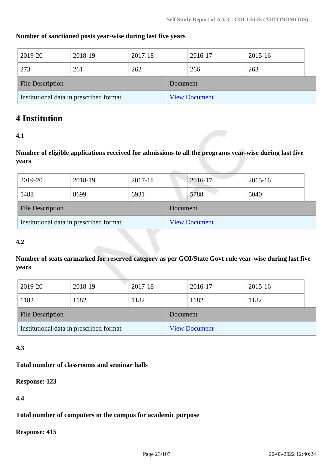### **Number of sanctioned posts year-wise during last five years**

| 2019-20                                 | 2018-19 | 2017-18 |          | 2016-17              | 2015-16 |
|-----------------------------------------|---------|---------|----------|----------------------|---------|
| 273                                     | 261     | 262     |          | 266                  | 263     |
| <b>File Description</b>                 |         |         | Document |                      |         |
| Institutional data in prescribed format |         |         |          | <b>View Document</b> |         |

# **4 Institution**

### **4.1**

**Number of eligible applications received for admissions to all the programs year-wise during last five years**

| 2019-20                                 | 2018-19 | 2017-18 |          | 2016-17              | 2015-16 |
|-----------------------------------------|---------|---------|----------|----------------------|---------|
| 5488                                    | 8699    | 6931    |          | 5788                 | 5040    |
| <b>File Description</b>                 |         |         | Document |                      |         |
| Institutional data in prescribed format |         |         |          | <b>View Document</b> |         |

### **4.2**

**Number of seats earmarked for reserved category as per GOI/State Govt rule year-wise during last five years**

| 2019-20                                 | 2018-19 | 2017-18 |          | 2016-17              | 2015-16 |  |
|-----------------------------------------|---------|---------|----------|----------------------|---------|--|
| 1182                                    | 1182    | 1182    |          | 1182                 | 1182    |  |
| <b>File Description</b>                 |         |         | Document |                      |         |  |
| Institutional data in prescribed format |         |         |          | <b>View Document</b> |         |  |

### **4.3**

### **Total number of classrooms and seminar halls**

**Response: 123**

**4.4**

**Total number of computers in the campus for academic purpose**

**Response: 415**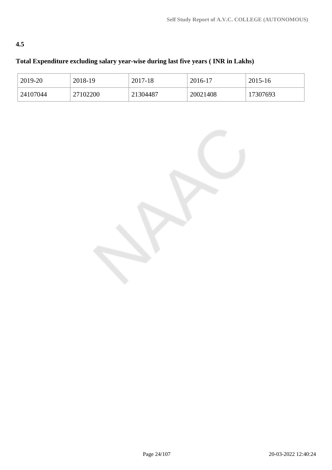### **4.5**

# **Total Expenditure excluding salary year-wise during last five years ( INR in Lakhs)**

| 2019-20  | 2018-19  | 2017-18  | 2016-17  | 2015-16  |
|----------|----------|----------|----------|----------|
| 24107044 | 27102200 | 21304487 | 20021408 | 17307693 |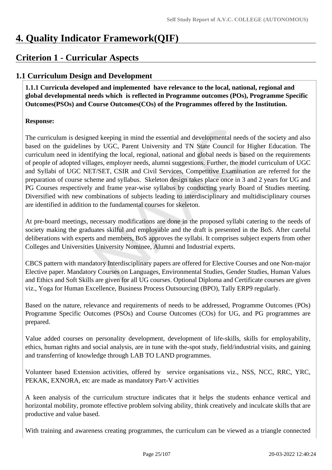# **4. Quality Indicator Framework(QIF)**

# **Criterion 1 - Curricular Aspects**

# **1.1 Curriculum Design and Development**

 **1.1.1 Curricula developed and implemented have relevance to the local, national, regional and global developmental needs which is reflected in Programme outcomes (POs), Programme Specific Outcomes(PSOs) and Course Outcomes(COs) of the Programmes offered by the Institution.**

### **Response:**

The curriculum is designed keeping in mind the essential and developmental needs of the society and also based on the guidelines by UGC, Parent University and TN State Council for Higher Education. The curriculum need in identifying the local, regional, national and global needs is based on the requirements of people of adopted villages, employer needs, alumni suggestions. Further, the model curriculum of UGC and Syllabi of UGC NET/SET, CSIR and Civil Services, Competitive Examination are referred for the preparation of course scheme and syllabus. Skeleton design takes place once in 3 and 2 years for UG and PG Courses respectively and frame year-wise syllabus by conducting yearly Board of Studies meeting. Diversified with new combinations of subjects leading to interdisciplinary and multidisciplinary courses are identified in addition to the fundamental courses for skeleton.

At pre-board meetings, necessary modifications are done in the proposed syllabi catering to the needs of society making the graduates skilful and employable and the draft is presented in the BoS. After careful deliberations with experts and members, BoS approves the syllabi. It comprises subject experts from other Colleges and Universities University Nominee, Alumni and Industrial experts.

CBCS pattern with mandatory Interdisciplinary papers are offered for Elective Courses and one Non-major Elective paper. Mandatory Courses on Languages, Environmental Studies, Gender Studies, Human Values and Ethics and Soft Skills are given for all UG courses. Optional Diploma and Certificate courses are given viz., Yoga for Human Excellence, Business Process Outsourcing (BPO), Tally ERP9 regularly.

Based on the nature, relevance and requirements of needs to be addressed, Programme Outcomes (POs) Programme Specific Outcomes (PSOs) and Course Outcomes (COs) for UG, and PG programmes are prepared.

Value added courses on personality development, development of life-skills, skills for employability, ethics, human rights and social analysis, are in tune with the-spot study, field/industrial visits, and gaining and transferring of knowledge through LAB TO LAND programmes.

Volunteer based Extension activities, offered by service organisations viz., NSS, NCC, RRC, YRC, PEKAK, EXNORA, etc are made as mandatory Part-V activities

A keen analysis of the curriculum structure indicates that it helps the students enhance vertical and horizontal mobility, promote effective problem solving ability, think creatively and inculcate skills that are productive and value based.

With training and awareness creating programmes, the curriculum can be viewed as a triangle connected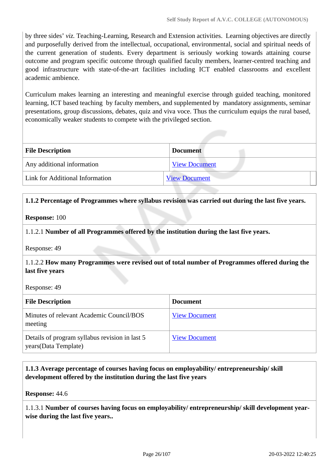by three sides' *viz.* Teaching-Learning, Research and Extension activities. Learning objectives are directly and purposefully derived from the intellectual, occupational, environmental, social and spiritual needs of the current generation of students. Every department is seriously working towards attaining course outcome and program specific outcome through qualified faculty members, learner-centred teaching and good infrastructure with state-of-the-art facilities including ICT enabled classrooms and excellent academic ambience.

Curriculum makes learning an interesting and meaningful exercise through guided teaching, monitored learning, ICT based teaching by faculty members, and supplemented by mandatory assignments, seminar presentations, group discussions, debates, quiz and viva voce. Thus the curriculum equips the rural based, economically weaker students to compete with the privileged section.

| <b>File Description</b>         | <b>Document</b>      |
|---------------------------------|----------------------|
| Any additional information      | <b>View Document</b> |
| Link for Additional Information | <b>View Document</b> |

### **1.1.2 Percentage of Programmes where syllabus revision was carried out during the last five years.**

### **Response:** 100

### 1.1.2.1 **Number of all Programmes offered by the institution during the last five years.**

Response: 49

### 1.1.2.2 **How many Programmes were revised out of total number of Programmes offered during the last five years**

Response: 49

| <b>File Description</b>                                                 | <b>Document</b>      |
|-------------------------------------------------------------------------|----------------------|
| Minutes of relevant Academic Council/BOS<br>meeting                     | <b>View Document</b> |
| Details of program syllabus revision in last 5<br>years (Data Template) | <b>View Document</b> |

### **1.1.3 Average percentage of courses having focus on employability/ entrepreneurship/ skill development offered by the institution during the last five years**

**Response:** 44.6

1.1.3.1 **Number of courses having focus on employability/ entrepreneurship/ skill development yearwise during the last five years..**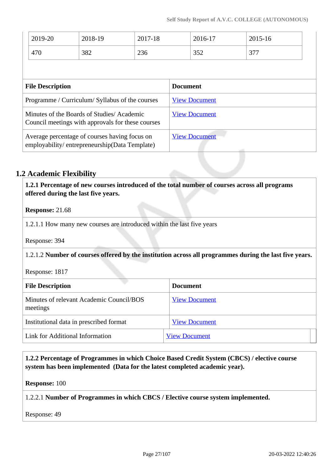|                                                                                                | 2019-20                                         | 2018-19 | 2017-18 |                                 | 2016-17              | 2015-16 |
|------------------------------------------------------------------------------------------------|-------------------------------------------------|---------|---------|---------------------------------|----------------------|---------|
|                                                                                                | 470                                             | 382     | 236     |                                 | 352                  | 377     |
|                                                                                                |                                                 |         |         |                                 |                      |         |
|                                                                                                | <b>File Description</b>                         |         |         |                                 | <b>Document</b>      |         |
|                                                                                                | Programme / Curriculum/ Syllabus of the courses |         |         |                                 | <b>View Document</b> |         |
| Minutes of the Boards of Studies/Academic<br>Council meetings with approvals for these courses |                                                 |         |         | <b>View Document</b>            |                      |         |
| Average percentage of courses having focus on<br>employability/entrepreneurship(Data Template) |                                                 |         |         | <b>View Document</b><br>التنبير |                      |         |

## **1.2 Academic Flexibility**

 **1.2.1 Percentage of new courses introduced of the total number of courses across all programs offered during the last five years.**

### **Response:** 21.68

1.2.1.1 How many new courses are introduced within the last five years

Response: 394

1.2.1.2 **Number of courses offered by the institution across all programmes during the last five years.**

Response: 1817

| <b>File Description</b>                              | <b>Document</b>      |
|------------------------------------------------------|----------------------|
| Minutes of relevant Academic Council/BOS<br>meetings | <b>View Document</b> |
| Institutional data in prescribed format              | <b>View Document</b> |
| Link for Additional Information                      | <b>View Document</b> |

 **1.2.2 Percentage of Programmes in which Choice Based Credit System (CBCS) / elective course system has been implemented (Data for the latest completed academic year).**

**Response:** 100

1.2.2.1 **Number of Programmes in which CBCS / Elective course system implemented.**

Response: 49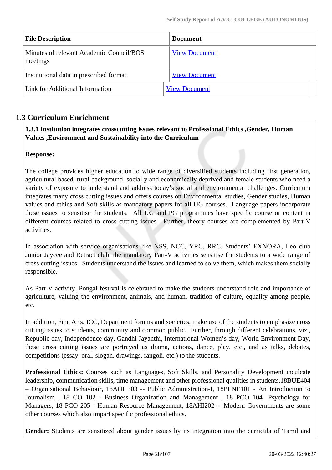| <b>File Description</b>                              | <b>Document</b>      |
|------------------------------------------------------|----------------------|
| Minutes of relevant Academic Council/BOS<br>meetings | <b>View Document</b> |
| Institutional data in prescribed format              | <b>View Document</b> |
| Link for Additional Information                      | <b>View Document</b> |

## **1.3 Curriculum Enrichment**

### **1.3.1 Institution integrates crosscutting issues relevant to Professional Ethics ,Gender, Human Values ,Environment and Sustainability into the Curriculum**

### **Response:**

The college provides higher education to wide range of diversified students including first generation, agricultural based, rural background, socially and economically deprived and female students who need a variety of exposure to understand and address today's social and environmental challenges. Curriculum integrates many cross cutting issues and offers courses on Environmental studies, Gender studies, Human values and ethics and Soft skills as mandatory papers for all UG courses. Language papers incorporate these issues to sensitise the students. All UG and PG programmes have specific course or content in different courses related to cross cutting issues. Further, theory courses are complemented by Part-V activities.

In association with service organisations like NSS, NCC, YRC, RRC, Students' EXNORA, Leo club Junior Jaycee and Retract club, the mandatory Part-V activities sensitise the students to a wide range of cross cutting issues. Students understand the issues and learned to solve them, which makes them socially responsible.

As Part-V activity, Pongal festival is celebrated to make the students understand role and importance of agriculture, valuing the environment, animals, and human, tradition of culture, equality among people, etc.

In addition, Fine Arts, ICC, Department forums and societies, make use of the students to emphasize cross cutting issues to students, community and common public. Further, through different celebrations, viz., Republic day, Independence day, Gandhi Jayanthi, International Women's day, World Environment Day, these cross cutting issues are portrayed as drama, actions, dance, play, etc., and as talks, debates, competitions (essay, oral, slogan, drawings, rangoli, etc.) to the students.

**Professional Ethics:** Courses such as Languages, Soft Skills, and Personality Development inculcate leadership, communication skills, time management and other professional qualities in students.18BUE404 – Organisational Behaviour, 18AHI 303 -- Public Administration-I, 18PENE101 - An Introduction to Journalism , 18 CO 102 - Business Organization and Management , 18 PCO 104- Psychology for Managers, 18 PCO 205 - Human Resource Management, 18AHI202 -- Modern Governments are some other courses which also impart specific professional ethics.

**Gender:** Students are sensitized about gender issues by its integration into the curricula of Tamil and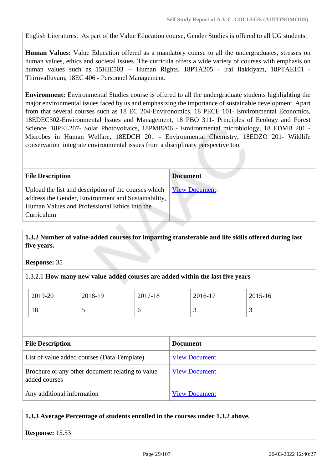English Literatures. As part of the Value Education course, Gender Studies is offered to all UG students.

**Human Values:** Value Education offered as a mandatory course to all the undergraduates, stresses on human values, ethics and societal issues. The curricula offers a wide variety of courses with emphasis on human values such as 15HIE503 -- Human Rights, 18PTA205 - Irai Ilakkiyam, 18PTAE101 - Thiruvalluvam, 18EC 406 - Personnel Management.

**Environment:** Environmental Studies course is offered to all the undergraduate students highlighting the major environmental issues faced by us and emphasizing the importance of sustainable development. Apart from that several courses such as 18 EC 204-Environomics, 18 PECE 101- Environmental Economics, 18EDEC302-Environmental Issues and Management, 18 PBO 311- Principles of Ecology and Forest Science, 18PEL207- Solar Photovoltaics, 18PMB206 - Environmental microbiology, 18 EDMB 201 - Microbes in Human Welfare, 18EDCH 201 - Environmental Chemistry, 18EDZO 201- Wildlife conservation integrate environmental issues from a disciplinary perspective too.

| <b>File Description</b>                                                                                                                                                    | <b>Document</b>      |
|----------------------------------------------------------------------------------------------------------------------------------------------------------------------------|----------------------|
| Upload the list and description of the courses which<br>address the Gender, Environment and Sustainability,<br>Human Values and Professional Ethics into the<br>Curriculum | <b>View Document</b> |

 **1.3.2 Number of value-added courses for imparting transferable and life skills offered during last five years.**

**Response:** 35

#### 1.3.2.1 **How many new value-added courses are added within the last five years**

| $2019-20$ | 2018-19 | 2017-18 | 2016-17 | 2015-16                  |
|-----------|---------|---------|---------|--------------------------|
| 18        | ັ       |         | ັ       | $\overline{\phantom{0}}$ |

| <b>File Description</b>                                           | <b>Document</b>      |
|-------------------------------------------------------------------|----------------------|
| List of value added courses (Data Template)                       | <b>View Document</b> |
| Brochure or any other document relating to value<br>added courses | <b>View Document</b> |
| Any additional information                                        | <b>View Document</b> |

### **1.3.3 Average Percentage of students enrolled in the courses under 1.3.2 above.**

**Response:** 15.53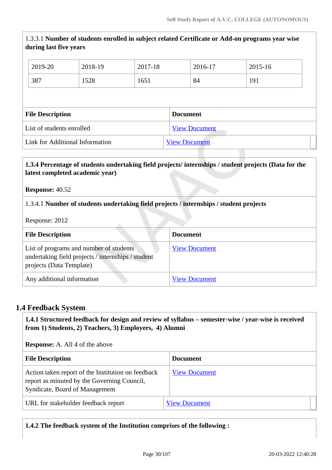## 1.3.3.1 **Number of students enrolled in subject related Certificate or Add-on programs year wise during last five years**

| 2019-20                   | 2018-19 | 2017-18 |                 | 2016-17              | 2015-16 |  |
|---------------------------|---------|---------|-----------------|----------------------|---------|--|
| 387                       | 1528    | 1651    |                 | 84                   | 191     |  |
|                           |         |         |                 |                      |         |  |
| <b>File Description</b>   |         |         |                 |                      |         |  |
|                           |         |         | <b>Document</b> |                      |         |  |
| List of students enrolled |         |         |                 | <b>View Document</b> |         |  |

### **1.3.4 Percentage of students undertaking field projects/ internships / student projects (Data for the latest completed academic year)**

#### **Response:** 40.52

### 1.3.4.1 **Number of students undertaking field projects / internships / student projects**

Response: 2012

| <b>File Description</b>                                                                                                   | <b>Document</b>      |
|---------------------------------------------------------------------------------------------------------------------------|----------------------|
| List of programs and number of students<br>undertaking field projects / internships / student<br>projects (Data Template) | <b>View Document</b> |
| Any additional information                                                                                                | <b>View Document</b> |

### **1.4 Feedback System**

 **1.4.1 Structured feedback for design and review of syllabus – semester-wise / year-wise is received from 1) Students, 2) Teachers, 3) Employers, 4) Alumni**

**Response:** A. All 4 of the above

| <b>File Description</b>                                                                                                             | <b>Document</b>      |
|-------------------------------------------------------------------------------------------------------------------------------------|----------------------|
| Action taken report of the Institution on feedback<br>report as minuted by the Governing Council,<br>Syndicate, Board of Management | <b>View Document</b> |
| URL for stakeholder feedback report                                                                                                 | <b>View Document</b> |

**1.4.2 The feedback system of the Institution comprises of the following :**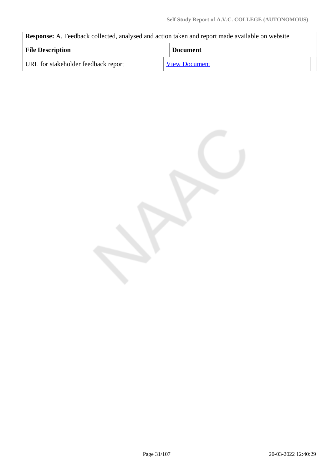**Response:** A. Feedback collected, analysed and action taken and report made available on website

| <b>File Description</b>             | <b>Document</b>      |
|-------------------------------------|----------------------|
| URL for stakeholder feedback report | <b>View Document</b> |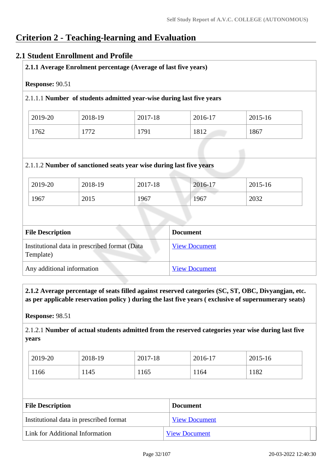# **Criterion 2 - Teaching-learning and Evaluation**

### **2.1 Student Enrollment and Profile**

| <b>Response: 90.51</b> |         |                                                                      |         |             |
|------------------------|---------|----------------------------------------------------------------------|---------|-------------|
|                        |         | 2.1.1.1 Number of students admitted year-wise during last five years |         |             |
| 2019-20                | 2018-19 | 2017-18                                                              | 2016-17 | $2015 - 16$ |
| 1762                   | 1772    | 1791                                                                 | 1812    | 1867        |

| <b>File Description</b>                                    | <b>Document</b>      |
|------------------------------------------------------------|----------------------|
| Institutional data in prescribed format (Data<br>Template) | <b>View Document</b> |
| Any additional information                                 | <b>View Document</b> |

1967 2015 1967 1967 2032

 **2.1.2 Average percentage of seats filled against reserved categories (SC, ST, OBC, Divyangjan, etc. as per applicable reservation policy ) during the last five years ( exclusive of supernumerary seats)**

**Response:** 98.51

2.1.2.1 **Number of actual students admitted from the reserved categories year wise during last five years**

| 2019-20 | 2018-19 | 2017-18 | $2016-17$ | 2015-16 |
|---------|---------|---------|-----------|---------|
| 1166    | 145     | 1165    | 1164      | 1182    |

| <b>File Description</b>                 | <b>Document</b>      |
|-----------------------------------------|----------------------|
| Institutional data in prescribed format | <b>View Document</b> |
| Link for Additional Information         | <b>View Document</b> |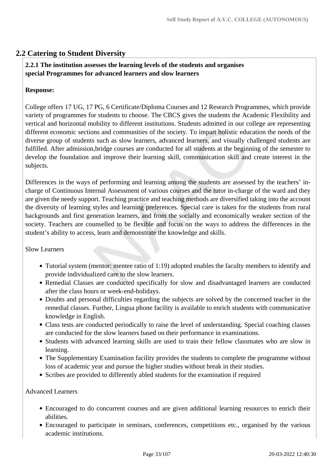## **2.2 Catering to Student Diversity**

### **2.2.1 The institution assesses the learning levels of the students and organises special Programmes for advanced learners and slow learners**

### **Response:**

College offers 17 UG, 17 PG, 6 Certificate/Diploma Courses and 12 Research Programmes, which provide variety of programmes for students to choose. The CBCS gives the students the Academic Flexibility and vertical and horizontal mobility to different institutions. Students admitted in our college are representing different economic sections and communities of the society. To impart holistic education the needs of the diverse group of students such as slow learners, advanced learners, and visually challenged students are fulfilled. After admission,bridge courses are conducted for all students at the beginning of the semester to develop the foundation and improve their learning skill, communication skill and create interest in the subjects.

Differences in the ways of performing and learning among the students are assessed by the teachers' incharge of Continuous Internal Assessment of various courses and the tutor in-charge of the ward and they are given the needy support. Teaching practice and teaching methods are diversified taking into the account the diversity of learning styles and learning preferences. Special care is taken for the students from rural backgrounds and first generation learners, and from the socially and economically weaker section of the society. Teachers are counselled to be flexible and focus on the ways to address the differences in the student's ability to access, learn and demonstrate the knowledge and skills.

#### Slow Learners

- Tutorial system (mentor: mentee ratio of 1:19) adopted enables the faculty members to identify and provide individualized care to the slow learners.
- Remedial Classes are conducted specifically for slow and disadvantaged learners are conducted after the class hours or week-end-holidays.
- Doubts and personal difficulties regarding the subjects are solved by the concerned teacher in the remedial classes. Further, Lingua phone facility is available to enrich students with communicative knowledge in English.
- Class tests are conducted periodically to raise the level of understanding. Special coaching classes are conducted for the slow learners based on their performance in examinations.
- Students with advanced learning skills are used to train their fellow classmates who are slow in learning.
- The Supplementary Examination facility provides the students to complete the programme without loss of academic year and pursue the higher studies without break in their studies.
- Scribes are provided to differently abled students for the examination if required

### Advanced Learners

- Encouraged to do concurrent courses and are given additional learning resources to enrich their abilities.
- Encouraged to participate in seminars, conferences, competitions etc., organised by the various academic institutions.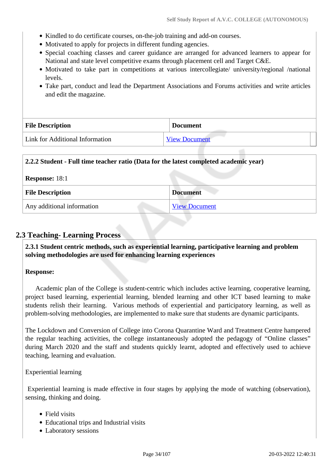- Kindled to do certificate courses, on-the-job training and add-on courses.
- Motivated to apply for projects in different funding agencies.
- Special coaching classes and career guidance are arranged for advanced learners to appear for National and state level competitive exams through placement cell and Target C&E.
- Motivated to take part in competitions at various intercollegiate/ university/regional /national levels.
- Take part, conduct and lead the Department Associations and Forums activities and write articles and edit the magazine.

| <b>File Description</b>         | <b>Document</b>      |
|---------------------------------|----------------------|
| Link for Additional Information | <b>View Document</b> |

#### **2.2.2 Student - Full time teacher ratio (Data for the latest completed academic year)**

| <b>Response: 18:1</b>      |                      |  |
|----------------------------|----------------------|--|
| <b>File Description</b>    | <b>Document</b>      |  |
| Any additional information | <b>View Document</b> |  |

### **2.3 Teaching- Learning Process**

 **2.3.1 Student centric methods, such as experiential learning, participative learning and problem solving methodologies are used for enhancing learning experiences**

#### **Response:**

 Academic plan of the College is student-centric which includes active learning, cooperative learning, project based learning, experiential learning, blended learning and other ICT based learning to make students relish their learning. Various methods of experiential and participatory learning, as well as problem-solving methodologies, are implemented to make sure that students are dynamic participants.

The Lockdown and Conversion of College into Corona Quarantine Ward and Treatment Centre hampered the regular teaching activities, the college instantaneously adopted the pedagogy of "Online classes" during March 2020 and the staff and students quickly learnt, adopted and effectively used to achieve teaching, learning and evaluation.

#### Experiential learning

 Experiential learning is made effective in four stages by applying the mode of watching (observation), sensing, thinking and doing.

- Field visits
- Educational trips and Industrial visits
- Laboratory sessions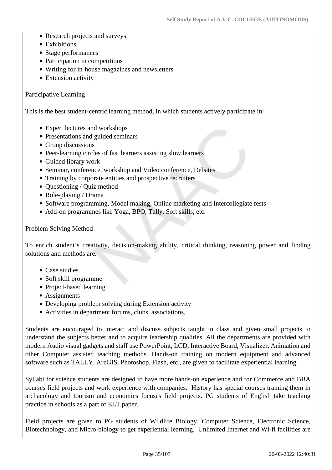- Research projects and surveys
- Exhibitions
- Stage performances
- Participation in competitions
- Writing for in-house magazines and newsletters
- Extension activity

### Participative Learning

This is the best student-centric learning method, in which students actively participate in:

- Expert lectures and workshops
- Presentations and guided seminars
- Group discussions
- Peer-learning circles of fast learners assisting slow learners
- Guided library work
- Seminar, conference, workshop and Video conference, Debates
- Training by corporate entities and prospective recruiters
- Ouestioning / Ouiz method
- Role-playing / Drama
- Software programming, Model making, Online marketing and Intercollegiate fests
- Add-on programmes like Yoga, BPO, Tally, Soft skills, etc.

### Problem Solving Method

To enrich student's creativity, decision-making ability, critical thinking, reasoning power and finding solutions and methods are.

- Case studies
- Soft skill programme
- Project-based learning
- Assignments
- Developing problem solving during Extension activity
- Activities in department forums, clubs, associations,

Students are encouraged to interact and discuss subjects taught in class and given small projects to understand the subjects better and to acquire leadership qualities. All the departments are provided with modern Audio visual gadgets and staff use PowerPoint, LCD, Interactive Board, Visualizer, Animation and other Computer assisted teaching methods. Hands-on training on modern equipment and advanced software such as TALLY, ArcGIS, Photoshop, Flash, etc., are given to facilitate experiential learning.

Syllabi for science students are designed to have more hands-on experience and for Commerce and BBA courses field projects and work experience with companies. History has special courses training them in archaeology and tourism and economics focuses field projects. PG students of English take teaching practice in schools as a part of ELT paper.

Field projects are given to PG students of Wildlife Biology, Computer Science, Electronic Science, Biotechnology, and Micro-biology to get experiential learning. Unlimited Internet and Wi-fi facilities are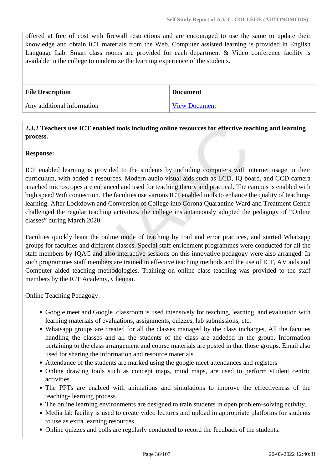offered at free of cost with firewall restrictions and are encouraged to use the same to update their knowledge and obtain ICT materials from the Web. Computer assisted learning is provided in English Language Lab. Smart class rooms are provided for each department & Video conference facility is available in the college to modernize the learning experience of the students.

| <b>File Description</b>    | <b>Document</b>      |
|----------------------------|----------------------|
| Any additional information | <b>View Document</b> |

### **2.3.2 Teachers use ICT enabled tools including online resources for effective teaching and learning process.**

### **Response:**

ICT enabled learning is provided to the students by including computers with internet usage in their curriculum, with added e-resources. Modern audio visual aids such as LCD, IQ board, and CCD camera attached microscopes are enhanced and used for teaching theory and practical. The campus is enabled with high speed Wifi connection. The faculties use various ICT enabled tools to enhance the quality of teachinglearning. After Lockdown and Conversion of College into Corona Quarantine Ward and Treatment Centre challenged the regular teaching activities, the college instantaneously adopted the pedagogy of "Online classes" during March 2020.

Faculties quickly leant the online mode of teaching by trail and error practices, and started Whatsapp groups for faculties and different classes. Special staff enrichment programmes were conducted for all the staff members by IQAC and also interactive sessions on this innovative pedagogy were also arranged. In such programmes staff members are trained in effective teaching methods and the use of ICT, AV aids and Computer aided teaching methodologies. Training on online class teaching was provided to the staff members by the ICT Academy, Chennai.

Online Teaching Pedagogy:

- Google meet and Google classroom is used intensively for teaching, learning, and evaluation with learning materials of evaluations, assignments, quizzes, lab submissions, etc.
- Whatsapp groups are created for all the classes managed by the class incharges, All the facuties handling the classes and all the students of the class are addeded in the group. Information pertaining to the class arrangement and course materials are posted in that those groups. Email also used for sharing the information and resource materials.
- Attendance of the students are marked using the google meet attendances and registers
- Online drawing tools such as concept maps, mind maps, are used to perform student centric activities.
- The PPTs are enabled with animations and simulations to improve the effectiveness of the teaching- learning process.
- The online learning environments are designed to train students in open problem-solving activity.
- Media lab facility is used to create video lectures and upload in appropriate platforms for students to use as extra learning resources.
- Online quizzes and polls are regularly conducted to record the feedback of the students.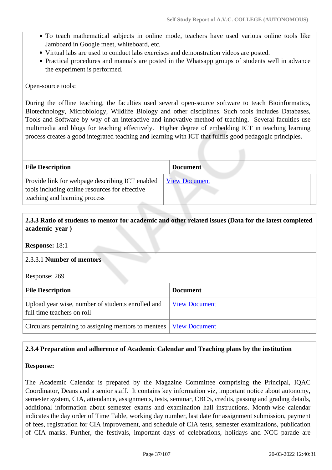- To teach mathematical subjects in online mode, teachers have used various online tools like Jamboard in Google meet, whiteboard, etc.
- Virtual labs are used to conduct labs exercises and demonstration videos are posted.
- Practical procedures and manuals are posted in the Whatsapp groups of students well in advance the experiment is performed.

#### Open-source tools:

During the offline teaching, the faculties used several open-source software to teach Bioinformatics, Biotechnology, Microbiology, Wildlife Biology and other disciplines. Such tools includes Databases, Tools and Software by way of an interactive and innovative method of teaching. Several faculties use multimedia and blogs for teaching effectively. Higher degree of embedding ICT in teaching learning process creates a good integrated teaching and learning with ICT that fulfils good pedagogic principles.

| <b>File Description</b>                                                                                                            | <b>Document</b>      |
|------------------------------------------------------------------------------------------------------------------------------------|----------------------|
| Provide link for webpage describing ICT enabled<br>tools including online resources for effective<br>teaching and learning process | <b>View Document</b> |

# **2.3.3 Ratio of students to mentor for academic and other related issues (Data for the latest completed academic year )**

**Response:** 18:1

#### 2.3.3.1 **Number of mentors**

Response: 269

| <b>File Description</b>                                                         | <b>Document</b>      |
|---------------------------------------------------------------------------------|----------------------|
| Upload year wise, number of students enrolled and<br>full time teachers on roll | <b>View Document</b> |
| Circulars pertaining to assigning mentors to mentees   View Document            |                      |

#### **2.3.4 Preparation and adherence of Academic Calendar and Teaching plans by the institution**

#### **Response:**

The Academic Calendar is prepared by the Magazine Committee comprising the Principal, IQAC Coordinator, Deans and a senior staff. It contains key information viz, important notice about autonomy, semester system, CIA, attendance, assignments, tests, seminar, CBCS, credits, passing and grading details, additional information about semester exams and examination hall instructions. Month-wise calendar indicates the day order of Time Table, working day number, last date for assignment submission, payment of fees, registration for CIA improvement, and schedule of CIA tests, semester examinations, publication of CIA marks. Further, the festivals, important days of celebrations, holidays and NCC parade are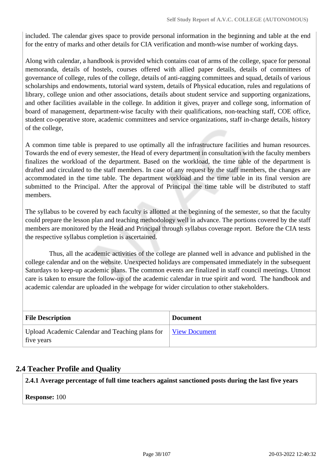included. The calendar gives space to provide personal information in the beginning and table at the end for the entry of marks and other details for CIA verification and month-wise number of working days.

Along with calendar, a handbook is provided which contains coat of arms of the college, space for personal memoranda, details of hostels, courses offered with allied paper details, details of committees of governance of college, rules of the college, details of anti-ragging committees and squad, details of various scholarships and endowments, tutorial ward system, details of Physical education, rules and regulations of library, college union and other associations, details about student service and supporting organizations, and other facilities available in the college. In addition it gives, prayer and college song, information of board of management, department-wise faculty with their qualifications, non-teaching staff, COE office, student co-operative store, academic committees and service organizations, staff in-charge details, history of the college,

A common time table is prepared to use optimally all the infrastructure facilities and human resources. Towards the end of every semester, the Head of every department in consultation with the faculty members finalizes the workload of the department. Based on the workload, the time table of the department is drafted and circulated to the staff members. In case of any request by the staff members, the changes are accommodated in the time table. The department workload and the time table in its final version are submitted to the Principal. After the approval of Principal the time table will be distributed to staff members.

The syllabus to be covered by each faculty is allotted at the beginning of the semester, so that the faculty could prepare the lesson plan and teaching methodology well in advance. The portions covered by the staff members are monitored by the Head and Principal through syllabus coverage report. Before the CIA tests the respective syllabus completion is ascertained.

 Thus, all the academic activities of the college are planned well in advance and published in the college calendar and on the website. Unexpected holidays are compensated immediately in the subsequent Saturdays to keep-up academic plans. The common events are finalized in staff council meetings. Utmost care is taken to ensure the follow-up of the academic calendar in true spirit and word. The handbook and academic calendar are uploaded in the webpage for wider circulation to other stakeholders.

| <b>File Description</b>                                       | <b>Document</b>      |
|---------------------------------------------------------------|----------------------|
| Upload Academic Calendar and Teaching plans for<br>five years | <u>View Document</u> |

# **2.4 Teacher Profile and Quality**

**2.4.1 Average percentage of full time teachers against sanctioned posts during the last five years**

**Response:** 100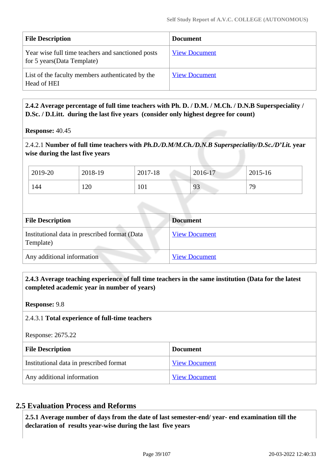| <b>File Description</b>                                                          | <b>Document</b>      |
|----------------------------------------------------------------------------------|----------------------|
| Year wise full time teachers and sanctioned posts<br>for 5 years (Data Template) | <b>View Document</b> |
| List of the faculty members authenticated by the<br>Head of HEI                  | <b>View Document</b> |

 **2.4.2 Average percentage of full time teachers with Ph. D. / D.M. / M.Ch. / D.N.B Superspeciality / D.Sc. / D.Litt. during the last five years (consider only highest degree for count)**

**Response:** 40.45

2.4.2.1 **Number of full time teachers with** *Ph.D./D.M/M.Ch./D.N.B Superspeciality/D.Sc./D'Lit.* **year wise during the last five years**

| 2019-20 | 2018-19 | 2017-18 | 2016-17 | 2015-16 |
|---------|---------|---------|---------|---------|
| 144     | 120     | 101     | 93      | 79      |

| <b>File Description</b>                                    | <b>Document</b>      |
|------------------------------------------------------------|----------------------|
| Institutional data in prescribed format (Data<br>Template) | <b>View Document</b> |
| Any additional information                                 | <b>View Document</b> |

 **2.4.3 Average teaching experience of full time teachers in the same institution (Data for the latest completed academic year in number of years)** 

**Response:** 9.8

#### 2.4.3.1 **Total experience of full-time teachers**

Response: 2675.22

| <b>File Description</b>                 | Document             |
|-----------------------------------------|----------------------|
| Institutional data in prescribed format | <b>View Document</b> |
| Any additional information              | <b>View Document</b> |

# **2.5 Evaluation Process and Reforms**

 **2.5.1 Average number of days from the date of last semester-end/ year- end examination till the declaration of results year-wise during the last five years**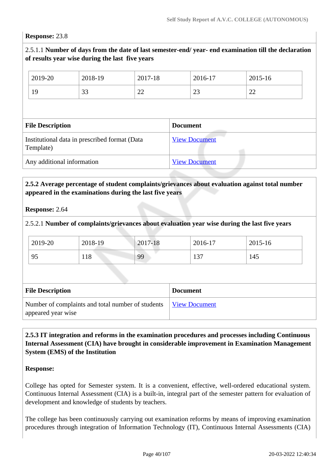#### **Response:** 23.8

# 2.5.1.1 **Number of days from the date of last semester-end/ year- end examination till the declaration of results year wise during the last five years**

| 2019-20                 | 2018-19                                       | 2017-18 |                 | 2016-17              | 2015-16 |
|-------------------------|-----------------------------------------------|---------|-----------------|----------------------|---------|
| 19                      | 33                                            | 22      |                 | 23                   | 22      |
|                         |                                               |         |                 |                      |         |
|                         |                                               |         |                 |                      |         |
| <b>File Description</b> |                                               |         | <b>Document</b> |                      |         |
| Template)               | Institutional data in prescribed format (Data |         |                 | <b>View Document</b> |         |

#### **2.5.2 Average percentage of student complaints/grievances about evaluation against total number appeared in the examinations during the last five years**

#### **Response:** 2.64

#### 2.5.2.1 **Number of complaints/grievances about evaluation year wise during the last five years**

| 2019-20 | 2018-19 | 2017-18 | 2016-17           | 2015-16 |
|---------|---------|---------|-------------------|---------|
| 95      | 118     | 99      | $\Omega$<br>1 J J | 145     |

| <b>File Description</b>                                                 | <b>Document</b>      |
|-------------------------------------------------------------------------|----------------------|
| Number of complaints and total number of students<br>appeared year wise | <b>View Document</b> |

# **2.5.3 IT integration and reforms in the examination procedures and processes including Continuous Internal Assessment (CIA) have brought in considerable improvement in Examination Management System (EMS) of the Institution**

#### **Response:**

College has opted for Semester system. It is a convenient, effective, well-ordered educational system. Continuous Internal Assessment (CIA) is a built-in, integral part of the semester pattern for evaluation of development and knowledge of students by teachers.

The college has been continuously carrying out examination reforms by means of improving examination procedures through integration of Information Technology (IT), Continuous Internal Assessments (CIA)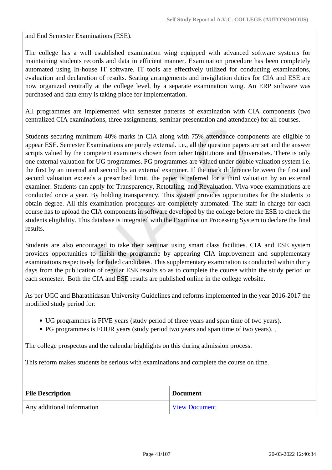and End Semester Examinations (ESE).

The college has a well established examination wing equipped with advanced software systems for maintaining students records and data in efficient manner. Examination procedure has been completely automated using In-house IT software. IT tools are effectively utilized for conducting examinations, evaluation and declaration of results. Seating arrangements and invigilation duties for CIA and ESE are now organized centrally at the college level, by a separate examination wing. An ERP software was purchased and data entry is taking place for implementation.

All programmes are implemented with semester patterns of examination with CIA components (two centralized CIA examinations, three assignments, seminar presentation and attendance) for all courses.

Students securing minimum 40% marks in CIA along with 75% attendance components are eligible to appear ESE. Semester Examinations are purely external. i.e., all the question papers are set and the answer scripts valued by the competent examiners chosen from other Institutions and Universities. There is only one external valuation for UG programmes. PG programmes are valued under double valuation system i.e. the first by an internal and second by an external examiner. If the mark difference between the first and second valuation exceeds a prescribed limit, the paper is referred for a third valuation by an external examiner. Students can apply for Transparency, Retotaling, and Revaluation. Viva-voce examinations are conducted once a year. By holding transparency, This system provides opportunities for the students to obtain degree. All this examination procedures are completely automated. The staff in charge for each course has to upload the CIA components in software developed by the college before the ESE to check the students eligibility. This database is integrated with the Examination Processing System to declare the final results.

Students are also encouraged to take their seminar using smart class facilities. CIA and ESE system provides opportunities to finish the programme by appearing CIA improvement and supplementary examinations respectively for failed candidates. This supplementary examination is conducted within thirty days from the publication of regular ESE results so as to complete the course within the study period or each semester. Both the CIA and ESE results are published online in the college website.

As per UGC and Bharathidasan University Guidelines and reforms implemented in the year 2016-2017 the modified study period for:

- UG programmes is FIVE years (study period of three years and span time of two years).
- PG programmes is FOUR years (study period two years and span time of two years). ,

The college prospectus and the calendar highlights on this during admission process.

This reform makes students be serious with examinations and complete the course on time.

| <b>File Description</b>    | <b>Document</b>      |
|----------------------------|----------------------|
| Any additional information | <b>View Document</b> |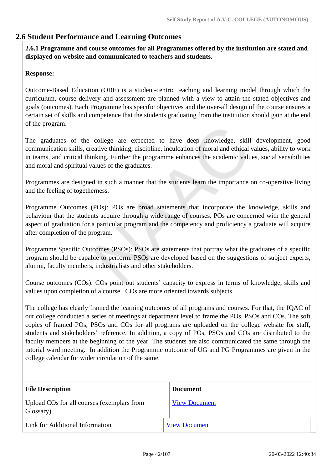# **2.6 Student Performance and Learning Outcomes**

 **2.6.1 Programme and course outcomes for all Programmes offered by the institution are stated and displayed on website and communicated to teachers and students.**

#### **Response:**

Outcome-Based Education (OBE) is a student-centric teaching and learning model through which the curriculum, course delivery and assessment are planned with a view to attain the stated objectives and goals (outcomes). Each Programme has specific objectives and the over-all design of the course ensures a certain set of skills and competence that the students graduating from the institution should gain at the end of the program.

The graduates of the college are expected to have deep knowledge, skill development, good communication skills, creative thinking, discipline, inculcation of moral and ethical values, ability to work in teams, and critical thinking. Further the programme enhances the academic values, social sensibilities and moral and spiritual values of the graduates.

Programmes are designed in such a manner that the students learn the importance on co-operative living and the feeling of togetherness.

Programme Outcomes (POs): POs are broad statements that incorporate the knowledge, skills and behaviour that the students acquire through a wide range of courses. POs are concerned with the general aspect of graduation for a particular program and the competency and proficiency a graduate will acquire after completion of the program.

Programme Specific Outcomes (PSOs): PSOs are statements that portray what the graduates of a specific program should be capable to perform. PSOs are developed based on the suggestions of subject experts, alumni, faculty members, industrialists and other stakeholders.

Course outcomes (COs): COs point out students' capacity to express in terms of knowledge, skills and values upon completion of a course. COs are more oriented towards subjects.

The college has clearly framed the learning outcomes of all programs and courses. For that, the IQAC of our college conducted a series of meetings at department level to frame the POs, PSOs and COs. The soft copies of framed POs, PSOs and COs for all programs are uploaded on the college website for staff, students and stakeholders' reference. In addition, a copy of POs, PSOs and COs are distributed to the faculty members at the beginning of the year. The students are also communicated the same through the tutorial ward meeting. In addition the Programme outcome of UG and PG Programmes are given in the college calendar for wider circulation of the same.

| <b>File Description</b>                                 | <b>Document</b>      |
|---------------------------------------------------------|----------------------|
| Upload COs for all courses (exemplars from<br>Glossary) | <b>View Document</b> |
| Link for Additional Information                         | <b>View Document</b> |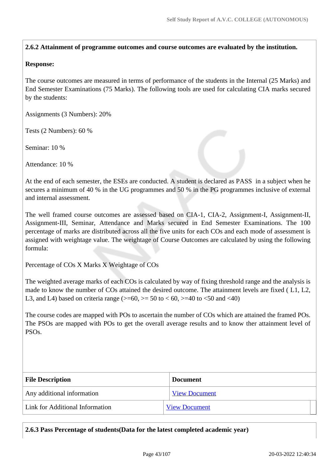#### **2.6.2 Attainment of programme outcomes and course outcomes are evaluated by the institution.**

#### **Response:**

The course outcomes are measured in terms of performance of the students in the Internal (25 Marks) and End Semester Examinations (75 Marks). The following tools are used for calculating CIA marks secured by the students:

Assignments (3 Numbers): 20%

Tests (2 Numbers): 60 %

Seminar: 10 %

Attendance: 10 %

At the end of each semester, the ESEs are conducted. A student is declared as PASS in a subject when he secures a minimum of 40 % in the UG programmes and 50 % in the PG programmes inclusive of external and internal assessment.

The well framed course outcomes are assessed based on CIA-1, CIA-2, Assignment-I, Assignment-II, Assignment-III, Seminar, Attendance and Marks secured in End Semester Examinations. The 100 percentage of marks are distributed across all the five units for each COs and each mode of assessment is assigned with weightage value. The weightage of Course Outcomes are calculated by using the following formula:

Percentage of COs X Marks X Weightage of COs

The weighted average marks of each COs is calculated by way of fixing threshold range and the analysis is made to know the number of COs attained the desired outcome. The attainment levels are fixed ( L1, L2, L3, and L4) based on criteria range ( $>= 60$ ,  $>= 50$  to  $< 60$ ,  $>= 40$  to  $< 50$  and  $< 40$ )

The course codes are mapped with POs to ascertain the number of COs which are attained the framed POs. The PSOs are mapped with POs to get the overall average results and to know ther attainment level of PSOs.

| <b>File Description</b>         | <b>Document</b>      |
|---------------------------------|----------------------|
| Any additional information      | <b>View Document</b> |
| Link for Additional Information | <b>View Document</b> |

**2.6.3 Pass Percentage of students(Data for the latest completed academic year)**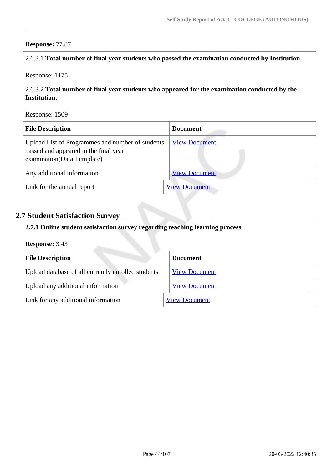**Response:** 77.87

# 2.6.3.1 **Total number of final year students who passed the examination conducted by Institution.**

Response: 1175

# 2.6.3.2 **Total number of final year students who appeared for the examination conducted by the Institution.**

Response: 1509

| <b>File Description</b>                                                                                                  | <b>Document</b>      |
|--------------------------------------------------------------------------------------------------------------------------|----------------------|
| Upload List of Programmes and number of students<br>passed and appeared in the final year<br>examination (Data Template) | <b>View Document</b> |
| Any additional information                                                                                               | <b>View Document</b> |
| Link for the annual report                                                                                               | <b>View Document</b> |

# **2.7 Student Satisfaction Survey**

| 2.7.1 Online student satisfaction survey regarding teaching learning process |                      |  |  |
|------------------------------------------------------------------------------|----------------------|--|--|
| <b>Response: 3.43</b>                                                        |                      |  |  |
| <b>File Description</b>                                                      | <b>Document</b>      |  |  |
| Upload database of all currently enrolled students                           | <b>View Document</b> |  |  |
| Upload any additional information                                            | <b>View Document</b> |  |  |
| Link for any additional information                                          | <b>View Document</b> |  |  |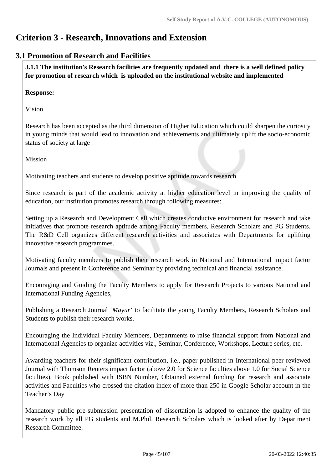# **Criterion 3 - Research, Innovations and Extension**

# **3.1 Promotion of Research and Facilities**

 **3.1.1 The institution's Research facilities are frequently updated and there is a well defined policy for promotion of research which is uploaded on the institutional website and implemented**

## **Response:**

Vision

Research has been accepted as the third dimension of Higher Education which could sharpen the curiosity in young minds that would lead to innovation and achievements and ultimately uplift the socio-economic status of society at large

Mission

Motivating teachers and students to develop positive aptitude towards research

Since research is part of the academic activity at higher education level in improving the quality of education, our institution promotes research through following measures:

Setting up a Research and Development Cell which creates conducive environment for research and take initiatives that promote research aptitude among Faculty members, Research Scholars and PG Students. The R&D Cell organizes different research activities and associates with Departments for uplifting innovative research programmes.

Motivating faculty members to publish their research work in National and International impact factor Journals and present in Conference and Seminar by providing technical and financial assistance.

Encouraging and Guiding the Faculty Members to apply for Research Projects to various National and International Funding Agencies,

Publishing a Research Journal '*Mayur*' to facilitate the young Faculty Members, Research Scholars and Students to publish their research works.

Encouraging the Individual Faculty Members, Departments to raise financial support from National and International Agencies to organize activities viz., Seminar, Conference, Workshops, Lecture series, etc.

Awarding teachers for their significant contribution, i.e., paper published in International peer reviewed Journal with Thomson Reuters impact factor (above 2.0 for Science faculties above 1.0 for Social Science faculties), Book published with ISBN Number, Obtained external funding for research and associate activities and Faculties who crossed the citation index of more than 250 in Google Scholar account in the Teacher's Day

Mandatory public pre-submission presentation of dissertation is adopted to enhance the quality of the research work by all PG students and M.Phil. Research Scholars which is looked after by Department Research Committee.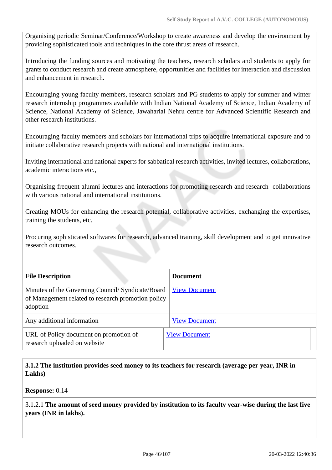Organising periodic Seminar/Conference/Workshop to create awareness and develop the environment by providing sophisticated tools and techniques in the core thrust areas of research.

Introducing the funding sources and motivating the teachers, research scholars and students to apply for grants to conduct research and create atmosphere, opportunities and facilities for interaction and discussion and enhancement in research.

Encouraging young faculty members, research scholars and PG students to apply for summer and winter research internship programmes available with Indian National Academy of Science, Indian Academy of Science, National Academy of Science, Jawaharlal Nehru centre for Advanced Scientific Research and other research institutions.

Encouraging faculty members and scholars for international trips to acquire international exposure and to initiate collaborative research projects with national and international institutions.

Inviting international and national experts for sabbatical research activities, invited lectures, collaborations, academic interactions etc.,

Organising frequent alumni lectures and interactions for promoting research and research collaborations with various national and international institutions.

Creating MOUs for enhancing the research potential, collaborative activities, exchanging the expertises, training the students, etc.

Procuring sophisticated softwares for research, advanced training, skill development and to get innovative research outcomes.

| <b>File Description</b>                                                                                            | <b>Document</b>      |
|--------------------------------------------------------------------------------------------------------------------|----------------------|
| Minutes of the Governing Council/Syndicate/Board<br>of Management related to research promotion policy<br>adoption | <b>View Document</b> |
| Any additional information                                                                                         | <b>View Document</b> |
| URL of Policy document on promotion of<br>research uploaded on website                                             | <b>View Document</b> |

 **3.1.2 The institution provides seed money to its teachers for research (average per year, INR in Lakhs)**

**Response:** 0.14

3.1.2.1 **The amount of seed money provided by institution to its faculty year-wise during the last five years (INR in lakhs).**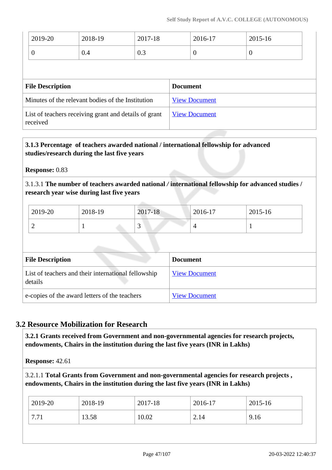| 2019-20                                                           | 2018-19 | 2017-18              |                 | 2016-17 | 2015-16          |  |
|-------------------------------------------------------------------|---------|----------------------|-----------------|---------|------------------|--|
| $\overline{0}$                                                    | 0.4     | 0.3                  | $\theta$        |         | $\boldsymbol{0}$ |  |
|                                                                   |         |                      |                 |         |                  |  |
| <b>File Description</b>                                           |         |                      | <b>Document</b> |         |                  |  |
| Minutes of the relevant bodies of the Institution                 |         | <b>View Document</b> |                 |         |                  |  |
| List of teachers receiving grant and details of grant<br>received |         | <b>View Document</b> |                 |         |                  |  |

# **3.1.3 Percentage of teachers awarded national / international fellowship for advanced studies/research during the last five years**

**Response:** 0.83

3.1.3.1 **The number of teachers awarded national** */* **international fellowship for advanced studies / research year wise during last five years**

| 2019-20 | 2018-19 | 2017-18 | 2016-17 | 2015-16 |
|---------|---------|---------|---------|---------|
| ∼       |         | ັ       |         |         |

| <b>File Description</b>                                        | <b>Document</b>      |
|----------------------------------------------------------------|----------------------|
| List of teachers and their international fellowship<br>details | <b>View Document</b> |
| e-copies of the award letters of the teachers                  | <b>View Document</b> |

# **3.2 Resource Mobilization for Research**

 **3.2.1 Grants received from Government and non-governmental agencies for research projects, endowments, Chairs in the institution during the last five years (INR in Lakhs)** 

**Response:** 42.61

3.2.1.1 **Total Grants from Government and non-governmental agencies for research projects , endowments, Chairs in the institution during the last five years (INR in Lakhs)**

| 2019-20            | 2018-19 | 2017-18 | 2016-17      | 2015-16 |
|--------------------|---------|---------|--------------|---------|
| 77<br><i>1</i> .11 | 13.58   | 10.02   | $\angle$ .14 | 9.16    |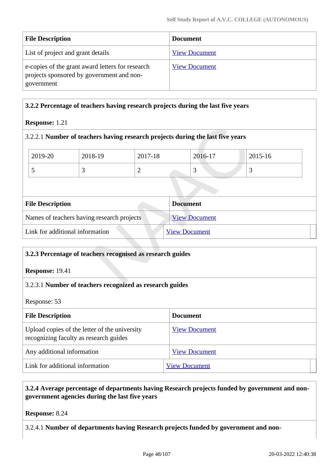| <b>File Description</b>                                                                                     | <b>Document</b>      |
|-------------------------------------------------------------------------------------------------------------|----------------------|
| List of project and grant details                                                                           | <b>View Document</b> |
| e-copies of the grant award letters for research<br>projects sponsored by government and non-<br>government | <b>View Document</b> |

#### **3.2.2 Percentage of teachers having research projects during the last five years**

#### **Response:** 1.21

#### 3.2.2.1 **Number of teachers having research projects during the last five years**

| 2019-20 | 2018-19 | 2017-18 | 2016-17 | 2015-16 |
|---------|---------|---------|---------|---------|
|         | ັ       | -       |         | ~       |

| <b>File Description</b>                    | <b>Document</b>      |
|--------------------------------------------|----------------------|
| Names of teachers having research projects | <b>View Document</b> |
| Link for additional information            | <b>View Document</b> |

| 3.2.3 Percentage of teachers recognised as research guides                              |                      |
|-----------------------------------------------------------------------------------------|----------------------|
| Response: 19.41                                                                         |                      |
| 3.2.3.1 Number of teachers recognized as research guides                                |                      |
| Response: 53                                                                            |                      |
| <b>File Description</b>                                                                 | <b>Document</b>      |
| Upload copies of the letter of the university<br>recognizing faculty as research guides | <b>View Document</b> |
| Any additional information                                                              | <b>View Document</b> |
| Link for additional information                                                         | <b>View Document</b> |

# **3.2.4 Average percentage of departments having Research projects funded by government and nongovernment agencies during the last five years**

**Response:** 8.24

3.2.4.1 **Number of departments having Research projects funded by government and non-**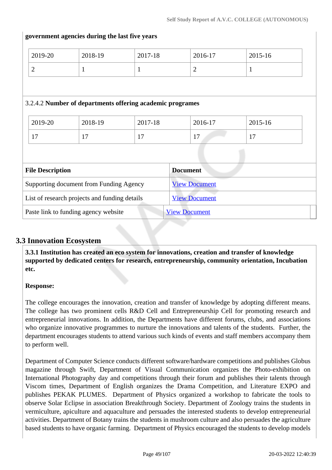|                                                              | 2019-20                                       | 2018-19                                                   | 2017-18      |                      | 2016-17              | 2015-16      |
|--------------------------------------------------------------|-----------------------------------------------|-----------------------------------------------------------|--------------|----------------------|----------------------|--------------|
|                                                              | $\overline{2}$                                | 1                                                         | $\mathbf{1}$ |                      | $\overline{2}$       | $\mathbf{1}$ |
|                                                              |                                               |                                                           |              |                      |                      |              |
|                                                              |                                               | 3.2.4.2 Number of departments offering academic programes |              |                      |                      |              |
|                                                              |                                               |                                                           |              |                      |                      |              |
|                                                              | 2019-20                                       | 2018-19                                                   | 2017-18      |                      | 2016-17              | 2015-16      |
|                                                              | 17                                            | 17                                                        | 17           |                      | 17                   | 17           |
|                                                              |                                               |                                                           |              |                      |                      |              |
|                                                              | <b>File Description</b><br><b>Document</b>    |                                                           |              |                      |                      |              |
|                                                              |                                               |                                                           |              |                      |                      |              |
|                                                              | Supporting document from Funding Agency       |                                                           |              | <b>View Document</b> |                      |              |
|                                                              | List of research projects and funding details |                                                           |              |                      | <b>View Document</b> |              |
| Paste link to funding agency website<br><b>View Document</b> |                                               |                                                           |              |                      |                      |              |

# **3.3 Innovation Ecosystem**

**government agencies during the last five years**

 **3.3.1 Institution has created an eco system for innovations, creation and transfer of knowledge supported by dedicated centers for research, entrepreneurship, community orientation, Incubation etc.**

# **Response:**

The college encourages the innovation, creation and transfer of knowledge by adopting different means. The college has two prominent cells R&D Cell and Entrepreneurship Cell for promoting research and entrepreneurial innovations. In addition, the Departments have different forums, clubs, and associations who organize innovative programmes to nurture the innovations and talents of the students. Further, the department encourages students to attend various such kinds of events and staff members accompany them to perform well.

Department of Computer Science conducts different software/hardware competitions and publishes Globus magazine through Swift, Department of Visual Communication organizes the Photo-exhibition on International Photography day and competitions through their forum and publishes their talents through Viscom times, Department of English organizes the Drama Competition, and Literature EXPO and publishes PEKAK PLUMES. Department of Physics organized a workshop to fabricate the tools to observe Solar Eclipse in association Breakthrough Society. Department of Zoology trains the students in vermiculture, apiculture and aquaculture and persuades the interested students to develop entrepreneurial activities. Department of Botany trains the students in mushroom culture and also persuades the agriculture based students to have organic farming. Department of Physics encouraged the students to develop models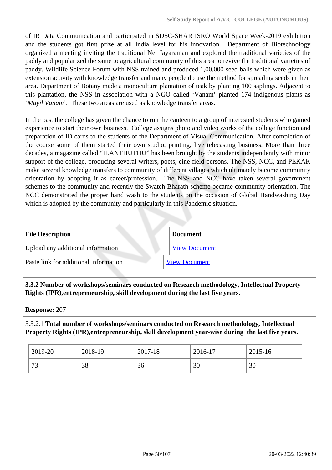of IR Data Communication and participated in SDSC-SHAR ISRO World Space Week-2019 exhibition and the students got first prize at all India level for his innovation. Department of Biotechnology organized a meeting inviting the traditional Nel Jayaraman and explored the traditional varieties of the paddy and popularized the same to agricultural community of this area to revive the traditional varieties of paddy. Wildlife Science Forum with NSS trained and produced 1,00,000 seed balls which were given as extension activity with knowledge transfer and many people do use the method for spreading seeds in their area. Department of Botany made a monoculture plantation of teak by planting 100 saplings. Adjacent to this plantation, the NSS in association with a NGO called 'Vanam' planted 174 indigenous plants as '*Mayil Vanam*'. These two areas are used as knowledge transfer areas.

In the past the college has given the chance to run the canteen to a group of interested students who gained experience to start their own business. College assigns photo and video works of the college function and preparation of ID cards to the students of the Department of Visual Communication. After completion of the course some of them started their own studio, printing, live telecasting business. More than three decades, a magazine called "ILANTHUTHU" has been brought by the students independently with minor support of the college, producing several writers, poets, cine field persons. The NSS, NCC, and PEKAK make several knowledge transfers to community of different villages which ultimately become community orientation by adopting it as career/profession. The NSS and NCC have taken several government schemes to the community and recently the Swatch Bharath scheme became community orientation. The NCC demonstrated the proper hand wash to the students on the occasion of Global Handwashing Day which is adopted by the community and particularly in this Pandemic situation.

| <b>File Description</b>               | <b>Document</b>      |
|---------------------------------------|----------------------|
| Upload any additional information     | <b>View Document</b> |
| Paste link for additional information | <b>View Document</b> |

## **3.3.2 Number of workshops/seminars conducted on Research methodology, Intellectual Property Rights (IPR),entrepreneurship, skill development during the last five years.**

**Response:** 207

## 3.3.2.1 **Total number of workshops/seminars conducted on Research methodology, Intellectual Property Rights (IPR),entrepreneurship, skill development year-wise during the last five years.**

| 2019-20  | 2018-19 | 2017-18 | 2016-17 | 2015-16 |
|----------|---------|---------|---------|---------|
| 73<br>38 |         | 36      | 30      | 30      |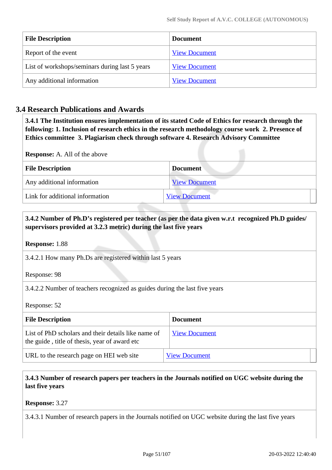| <b>File Description</b>                        | <b>Document</b>      |
|------------------------------------------------|----------------------|
| Report of the event                            | <b>View Document</b> |
| List of workshops/seminars during last 5 years | <b>View Document</b> |
| Any additional information                     | <b>View Document</b> |

# **3.4 Research Publications and Awards**

 **3.4.1 The Institution ensures implementation of its stated Code of Ethics for research through the following: 1. Inclusion of research ethics in the research methodology course work 2. Presence of Ethics committee 3. Plagiarism check through software 4. Research Advisory Committee**

| <b>Response:</b> A. All of the above |                      |  |  |  |
|--------------------------------------|----------------------|--|--|--|
| <b>File Description</b>              | Document             |  |  |  |
| Any additional information           | <b>View Document</b> |  |  |  |
| Link for additional information      | <b>View Document</b> |  |  |  |

# **3.4.2 Number of Ph.D's registered per teacher (as per the data given w.r.t recognized Ph.D guides/ supervisors provided at 3.2.3 metric) during the last five years**

**Response:** 1.88

3.4.2.1 How many Ph.Ds are registered within last 5 years

Response: 98

3.4.2.2 Number of teachers recognized as guides during the last five years

Response: 52

| <b>File Description</b>                                                                              | <b>Document</b>      |
|------------------------------------------------------------------------------------------------------|----------------------|
| List of PhD scholars and their details like name of<br>the guide, title of thesis, year of award etc | <b>View Document</b> |
| URL to the research page on HEI web site                                                             | <b>View Document</b> |

 **3.4.3 Number of research papers per teachers in the Journals notified on UGC website during the last five years**

**Response:** 3.27

3.4.3.1 Number of research papers in the Journals notified on UGC website during the last five years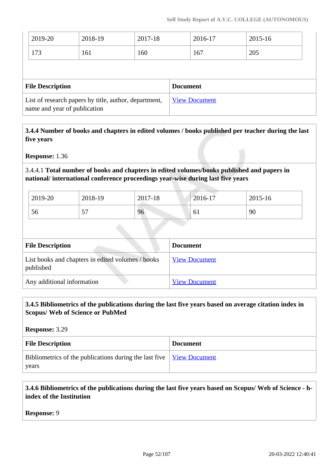| <b>File Description</b> |         |         | <b>Document</b> |         |         |
|-------------------------|---------|---------|-----------------|---------|---------|
|                         |         |         |                 |         |         |
| 173                     | 161     | 160     |                 | 167     | 205     |
| 2019-20                 | 2018-19 | 2017-18 |                 | 2016-17 | 2015-16 |

| List of research papers by title, author, department, <u>View Document</u> |  |
|----------------------------------------------------------------------------|--|
| name and year of publication                                               |  |

 **3.4.4 Number of books and chapters in edited volumes / books published per teacher during the last five years**

**Response:** 1.36

3.4.4.1 **Total number of books and chapters in edited volumes/books published and papers in national/ international conference proceedings year-wise during last five years**

| 2019-20 | 2018-19                                              | 2017-18 | 2016-17               | 2015-16 |
|---------|------------------------------------------------------|---------|-----------------------|---------|
| 56      | $\overline{\phantom{a}}$<br>$\overline{\phantom{a}}$ | 96      | $\theta$ <sup>T</sup> | 90      |

| <b>File Description</b>                                        | <b>Document</b>      |
|----------------------------------------------------------------|----------------------|
| List books and chapters in edited volumes / books<br>published | <b>View Document</b> |
| Any additional information                                     | <b>View Document</b> |

 **3.4.5 Bibliometrics of the publications during the last five years based on average citation index in Scopus/ Web of Science or PubMed**

**Response:** 3.29

| <b>File Description</b>                                                                                 | <b>Document</b> |
|---------------------------------------------------------------------------------------------------------|-----------------|
| Bibliometrics of the publications during the last five $\frac{V_{\text{icW}}}{V_{\text{icW}}}$ Document |                 |
| years                                                                                                   |                 |

# **3.4.6 Bibliometrics of the publications during the last five years based on Scopus/ Web of Science - hindex of the Institution**

**Response:** 9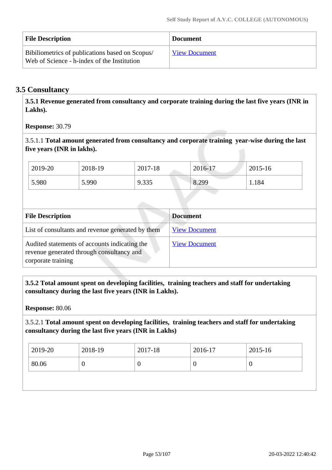| <b>File Description</b>                                                                        | <b>Document</b>      |
|------------------------------------------------------------------------------------------------|----------------------|
| Bibiliometrics of publications based on Scopus/<br>Web of Science - h-index of the Institution | <b>View Document</b> |

# **3.5 Consultancy**

 **3.5.1 Revenue generated from consultancy and corporate training during the last five years (INR in Lakhs).**

**Response:** 30.79

3.5.1.1 **Total amount generated from consultancy and corporate training year-wise during the last five years (INR in lakhs).**

| 2019-20 | 2018-19 | 2017-18 | 2016-17 | 2015-16 |
|---------|---------|---------|---------|---------|
| 5.980   | 5.990   | 9.335   | 8.299   | 1.184   |

| <b>File Description</b>                                                                                          | <b>Document</b>      |
|------------------------------------------------------------------------------------------------------------------|----------------------|
| List of consultants and revenue generated by them                                                                | <b>View Document</b> |
| Audited statements of accounts indicating the<br>revenue generated through consultancy and<br>corporate training | <b>View Document</b> |

 **3.5.2 Total amount spent on developing facilities, training teachers and staff for undertaking consultancy during the last five years (INR in Lakhs).**

**Response:** 80.06

3.5.2.1 **Total amount spent on developing facilities, training teachers and staff for undertaking consultancy during the last five years (INR in Lakhs)**

| 2019-20 | 2018-19 | 2017-18 | 2016-17 | 2015-16 |
|---------|---------|---------|---------|---------|
| 80.06   | U       |         | U       | ν       |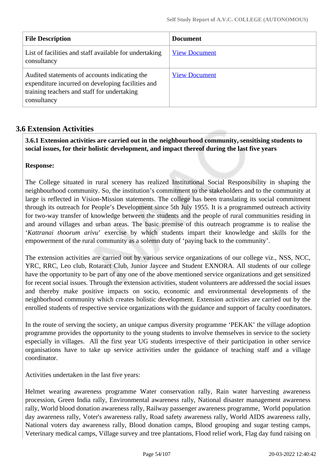| <b>File Description</b>                                                                                                                                          | <b>Document</b>      |
|------------------------------------------------------------------------------------------------------------------------------------------------------------------|----------------------|
| List of facilities and staff available for undertaking<br>consultancy                                                                                            | <b>View Document</b> |
| Audited statements of accounts indicating the<br>expenditure incurred on developing facilities and<br>training teachers and staff for undertaking<br>consultancy | <b>View Document</b> |

# **3.6 Extension Activities**

 **3.6.1 Extension activities are carried out in the neighbourhood community, sensitising students to social issues, for their holistic development, and impact thereof during the last five years**

#### **Response:**

The College situated in rural scenery has realized Institutional Social Responsibility in shaping the neighbourhood community. So, the institution's commitment to the stakeholders and to the community at large is reflected in Vision-Mission statements. The college has been translating its social commitment through its outreach for People's Development since 5th July 1955. It is a programmed outreach activity for two-way transfer of knowledge between the students and the people of rural communities residing in and around villages and urban areas. The basic premise of this outreach programme is to realise the '*Kattranai thoorum arivu*' exercise by which students impart their knowledge and skills for the empowerment of the rural community as a solemn duty of 'paying back to the community'.

The extension activities are carried out by various service organizations of our college viz., NSS, NCC, YRC, RRC, Leo club, Rotaract Club, Junior Jaycee and Student EXNORA. All students of our college have the opportunity to be part of any one of the above mentioned service organizations and get sensitized for recent social issues. Through the extension activities, student volunteers are addressed the social issues and thereby make positive impacts on socio, economic and environmental developments of the neighborhood community which creates holistic development. Extension activities are carried out by the enrolled students of respective service organizations with the guidance and support of faculty coordinators.

In the route of serving the society, an unique campus diversity programme 'PEKAK' the village adoption programme provides the opportunity to the young students to involve themselves in service to the society especially in villages. All the first year UG students irrespective of their participation in other service organisations have to take up service activities under the guidance of teaching staff and a village coordinator.

Activities undertaken in the last five years:

Helmet wearing awareness programme Water conservation rally, Rain water harvesting awareness procession, Green India rally, Environmental awareness rally, National disaster management awareness rally, World blood donation awareness rally, Railway passenger awareness programme, World population day awareness rally, Voter's awareness rally, Road safety awareness rally, World AIDS awareness rally, National voters day awareness rally, Blood donation camps, Blood grouping and sugar testing camps, Veterinary medical camps, Village survey and tree plantations, Flood relief work, Flag day fund raising on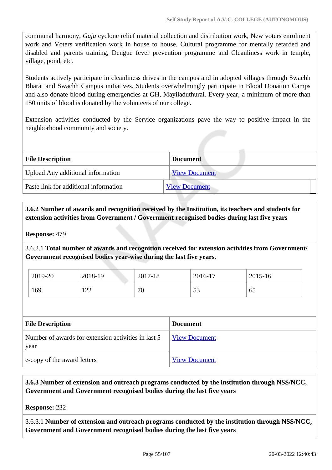communal harmony, *Gaja* cyclone relief material collection and distribution work, New voters enrolment work and Voters verification work in house to house, Cultural programme for mentally retarded and disabled and parents training, Dengue fever prevention programme and Cleanliness work in temple, village, pond, etc.

Students actively participate in cleanliness drives in the campus and in adopted villages through Swachh Bharat and Swachh Campus initiatives. Students overwhelmingly participate in Blood Donation Camps and also donate blood during emergencies at GH, Mayiladuthurai. Every year, a minimum of more than 150 units of blood is donated by the volunteers of our college.

Extension activities conducted by the Service organizations pave the way to positive impact in the neighborhood community and society.

| <b>File Description</b>                  | <b>Document</b>      |
|------------------------------------------|----------------------|
| <b>Upload Any additional information</b> | <b>View Document</b> |
| Paste link for additional information    | <b>View Document</b> |

 **3.6.2 Number of awards and recognition received by the Institution, its teachers and students for extension activities from Government / Government recognised bodies during last five years**

**Response:** 479

3.6.2.1 **Total number of awards and recognition received for extension activities from Government/ Government recognised bodies year-wise during the last five years.**

| 2019-20 | 2018-19        | 2017-18 | 2016-17   | 2015-16 |
|---------|----------------|---------|-----------|---------|
| 169     | $\cap$<br>- 22 | 70      | م س<br>JJ | 65      |

| <b>File Description</b>                                     | <b>Document</b>      |
|-------------------------------------------------------------|----------------------|
| Number of awards for extension activities in last 5<br>year | <b>View Document</b> |
| e-copy of the award letters                                 | <b>View Document</b> |

 **3.6.3 Number of extension and outreach programs conducted by the institution through NSS/NCC, Government and Government recognised bodies during the last five years**

**Response:** 232

3.6.3.1 **Number of extension and outreach programs conducted by the institution through NSS/NCC, Government and Government recognised bodies during the last five years**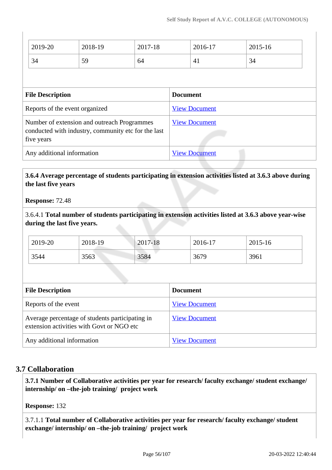$\begin{array}{c} \hline \end{array}$ 

|                                                                                                                  | 2019-20<br>34 | 2018-19<br>59 | 2017-18<br>64 |                                         | 2016-17<br>41        | $2015 - 16$<br>34 |  |
|------------------------------------------------------------------------------------------------------------------|---------------|---------------|---------------|-----------------------------------------|----------------------|-------------------|--|
| <b>File Description</b><br>Reports of the event organized                                                        |               |               |               | <b>Document</b><br><b>View Document</b> |                      |                   |  |
| Number of extension and outreach Programmes<br>conducted with industry, community etc for the last<br>five years |               |               |               |                                         | <b>View Document</b> |                   |  |
| Any additional information                                                                                       |               |               |               |                                         | <b>View Document</b> |                   |  |

 **3.6.4 Average percentage of students participating in extension activities listed at 3.6.3 above during the last five years**

**Response:** 72.48

3.6.4.1 **Total number of students participating in extension activities listed at 3.6.3 above year-wise during the last five years.**

| 2019-20 | 2018-19 | $2017 - 18$ | 2016-17 | 2015-16 |
|---------|---------|-------------|---------|---------|
| 3544    | 3563    | 3584        | 3679    | 3961    |

| <b>File Description</b>                                                                      | <b>Document</b>      |
|----------------------------------------------------------------------------------------------|----------------------|
| Reports of the event                                                                         | <b>View Document</b> |
| Average percentage of students participating in<br>extension activities with Govt or NGO etc | <b>View Document</b> |
| Any additional information                                                                   | <b>View Document</b> |

# **3.7 Collaboration**

 **3.7.1 Number of Collaborative activities per year for research/ faculty exchange/ student exchange/ internship/ on –the-job training/ project work** 

**Response:** 132

3.7.1.1 **Total number of Collaborative activities per year for research/ faculty exchange/ student exchange/ internship/ on –the-job training/ project work**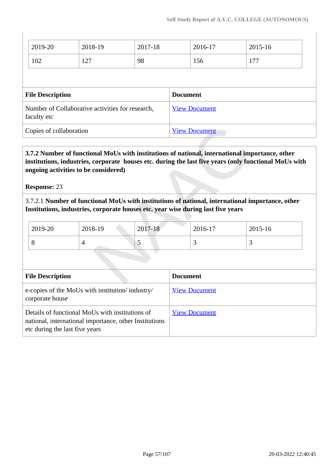| 2019-20                                          | 2018-19 | 2017-18 |                 | 2016-17              | 2015-16 |
|--------------------------------------------------|---------|---------|-----------------|----------------------|---------|
| 102                                              | 127     | 98      |                 | 156                  | 177     |
|                                                  |         |         |                 |                      |         |
| <b>File Description</b>                          |         |         | <b>Document</b> |                      |         |
| Number of Collaborative activities for research, |         |         |                 | <b>View Document</b> |         |
| faculty etc                                      |         |         |                 |                      |         |

 **3.7.2 Number of functional MoUs with institutions of national, international importance, other institutions, industries, corporate houses etc. during the last five years (only functional MoUs with ongoing activities to be considered)**

#### **Response:** 23

3.7.2.1 **Number of functional MoUs with institutions of national, international importance, other Institutions, industries, corporate houses etc. year wise during last five years** 

|                                                                                                                                             | 2019-20                                                            | 2018-19 | 2017-18 |                      | 2016-17              | 2015-16 |  |
|---------------------------------------------------------------------------------------------------------------------------------------------|--------------------------------------------------------------------|---------|---------|----------------------|----------------------|---------|--|
|                                                                                                                                             | 8                                                                  | 4       | 5       |                      | 3                    | 3       |  |
|                                                                                                                                             |                                                                    |         |         |                      |                      |         |  |
|                                                                                                                                             | <b>File Description</b>                                            |         |         |                      | <b>Document</b>      |         |  |
|                                                                                                                                             | e-copies of the MoUs with institution/industry/<br>corporate house |         |         |                      | <b>View Document</b> |         |  |
| Details of functional MoUs with institutions of<br>national, international importance, other Institutions<br>etc during the last five years |                                                                    |         |         | <b>View Document</b> |                      |         |  |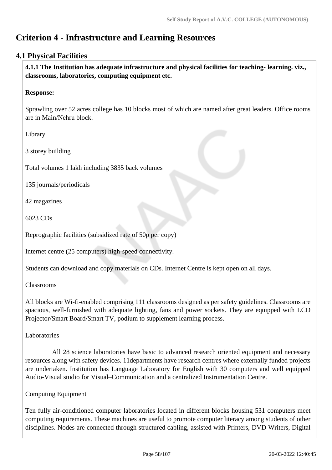# **Criterion 4 - Infrastructure and Learning Resources**

# **4.1 Physical Facilities**

 **4.1.1 The Institution has adequate infrastructure and physical facilities for teaching- learning. viz., classrooms, laboratories, computing equipment etc.** 

#### **Response:**

Sprawling over 52 acres college has 10 blocks most of which are named after great leaders. Office rooms are in Main/Nehru block.

Library

3 storey building

Total volumes 1 lakh including 3835 back volumes

135 journals/periodicals

42 magazines

6023 CDs

Reprographic facilities (subsidized rate of 50p per copy)

Internet centre (25 computers) high-speed connectivity.

Students can download and copy materials on CDs. Internet Centre is kept open on all days.

Classrooms

All blocks are Wi-fi-enabled comprising 111 classrooms designed as per safety guidelines. Classrooms are spacious, well-furnished with adequate lighting, fans and power sockets. They are equipped with LCD Projector/Smart Board/Smart TV, podium to supplement learning process.

Laboratories

 All 28 science laboratories have basic to advanced research oriented equipment and necessary resources along with safety devices. 11departments have research centres where externally funded projects are undertaken. Institution has Language Laboratory for English with 30 computers and well equipped Audio-Visual studio for Visual–Communication and a centralized Instrumentation Centre.

#### Computing Equipment

Ten fully air-conditioned computer laboratories located in different blocks housing 531 computers meet computing requirements. These machines are useful to promote computer literacy among students of other disciplines. Nodes are connected through structured cabling, assisted with Printers, DVD Writers, Digital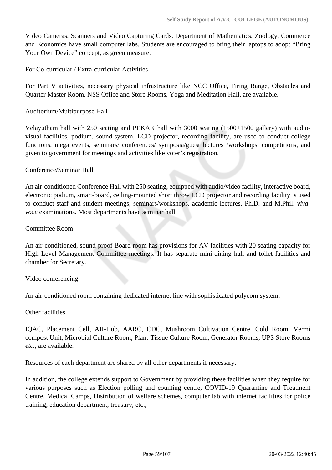Video Cameras, Scanners and Video Capturing Cards. Department of Mathematics, Zoology, Commerce and Economics have small computer labs. Students are encouraged to bring their laptops to adopt "Bring Your Own Device" concept, as green measure.

For Co-curricular / Extra-curricular Activities

For Part V activities, necessary physical infrastructure like NCC Office, Firing Range, Obstacles and Quarter Master Room, NSS Office and Store Rooms, Yoga and Meditation Hall, are available.

Auditorium/Multipurpose Hall

Velayutham hall with 250 seating and PEKAK hall with 3000 seating (1500+1500 gallery) with audiovisual facilities, podium, sound-system, LCD projector, recording facility, are used to conduct college functions, mega events, seminars/conferences/symposia/guest lectures/workshops, competitions, and given to government for meetings and activities like voter's registration.

Conference/Seminar Hall

An air-conditioned Conference Hall with 250 seating, equipped with audio/video facility, interactive board, electronic podium, smart-board, ceiling-mounted short throw LCD projector and recording facility is used to conduct staff and student meetings, seminars/workshops, academic lectures, Ph.D. and M.Phil. *vivavoce* examinations. Most departments have seminar hall.

Committee Room

An air-conditioned, sound-proof Board room has provisions for AV facilities with 20 seating capacity for High Level Management Committee meetings. It has separate mini-dining hall and toilet facilities and chamber for Secretary.

Video conferencing

An air-conditioned room containing dedicated internet line with sophisticated polycom system.

Other facilities

IQAC, Placement Cell, AII-Hub, AARC, CDC, Mushroom Cultivation Centre, Cold Room, Vermi compost Unit, Microbial Culture Room, Plant-Tissue Culture Room, Generator Rooms, UPS Store Rooms *etc*., are available.

Resources of each department are shared by all other departments if necessary.

In addition, the college extends support to Government by providing these facilities when they require for various purposes such as Election polling and counting centre, COVID-19 Quarantine and Treatment Centre, Medical Camps, Distribution of welfare schemes, computer lab with internet facilities for police training, education department, treasury, etc.,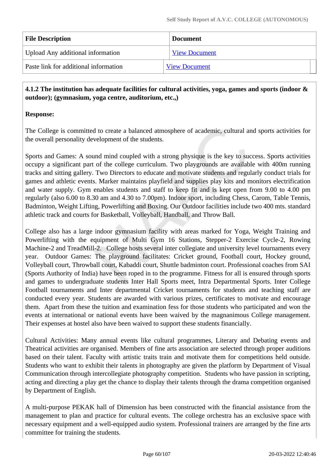| <b>File Description</b>               | <b>Document</b>      |
|---------------------------------------|----------------------|
| Upload Any additional information     | <b>View Document</b> |
| Paste link for additional information | <b>View Document</b> |

 **4.1.2 The institution has adequate facilities for cultural activities, yoga, games and sports (indoor & outdoor); (gymnasium, yoga centre, auditorium, etc.,)**

### **Response:**

The College is committed to create a balanced atmosphere of academic, cultural and sports activities for the overall personality development of the students.

Sports and Games: A sound mind coupled with a strong physique is the key to success. Sports activities occupy a significant part of the college curriculum. Two playgrounds are available with 400m running tracks and sitting gallery. Two Directors to educate and motivate students and regularly conduct trials for games and athletic events. Marker maintains playfield and supplies play kits and monitors electrification and water supply. Gym enables students and staff to keep fit and is kept open from 9.00 to 4.00 pm regularly (also 6.00 to 8.30 am and 4.30 to 7.00pm). Indoor sport, including Chess, Carom, Table Tennis, Badminton, Weight Lifting, Powerlifting and Boxing. Our Outdoor facilities include two 400 mts. standard athletic track and courts for Basketball, Volleyball, Handball, and Throw Ball.

College also has a large indoor gymnasium facility with areas marked for Yoga, Weight Training and Powerlifting with the equipment of Multi Gym 16 Stations, Stepper-2 Exercise Cycle-2, Rowing Machine-2 and TreadMill-2. College hosts several inter collegiate and university level tournaments every year. Outdoor Games: The playground facilitates: Cricket ground, Football court, Hockey ground, Volleyball court, Throwball court, Kabaddi court, Shuttle badminton court. Professional coaches from SAI (Sports Authority of India) have been roped in to the programme. Fitness for all is ensured through sports and games to undergraduate students Inter Hall Sports meet, Intra Departmental Sports. Inter College Football tournaments and Inter departmental Cricket tournaments for students and teaching staff are conducted every year. Students are awarded with various prizes, certificates to motivate and encourage them. Apart from these the tuition and examination fess for those students who participated and won the events at international or national events have been waived by the magnanimous College management. Their expenses at hostel also have been waived to support these students financially.

Cultural Activities: Many annual events like cultural programmes, Literary and Debating events and Theatrical activities are organised. Members of fine arts association are selected through proper auditions based on their talent. Faculty with artistic traits train and motivate them for competitions held outside. Students who want to exhibit their talents in photography are given the platform by Department of Visual Communication through intercollegiate photography competition. Students who have passion in scripting, acting and directing a play get the chance to display their talents through the drama competition organised by Department of English.

A multi-purpose PEKAK hall of Dimension has been constructed with the financial assistance from the management to plan and practice for cultural events. The college orchestra has an exclusive space with necessary equipment and a well-equipped audio system. Professional trainers are arranged by the fine arts committee for training the students.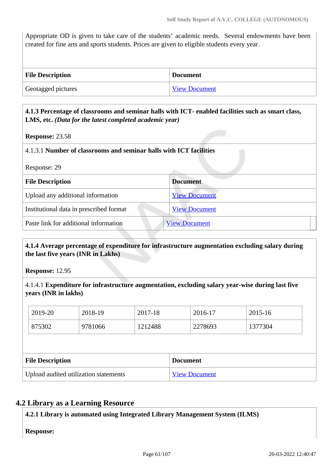Appropriate OD is given to take care of the students' academic needs. Several endowments have been created for fine arts and sports students. Prices are given to eligible students every year.

| <b>File Description</b> | <b>Document</b>      |
|-------------------------|----------------------|
| Geotagged pictures      | <b>View Document</b> |

#### **4.1.3 Percentage of classrooms and seminar halls with ICT- enabled facilities such as smart class, LMS, etc.** *(Data for the latest completed academic year)*

**Response:** 23.58

#### 4.1.3.1 **Number of classrooms and seminar halls with ICT facilities**

Response: 29

| <b>File Description</b>                 | <b>Document</b>      |
|-----------------------------------------|----------------------|
| Upload any additional information       | <b>View Document</b> |
| Institutional data in prescribed format | <b>View Document</b> |
| Paste link for additional information   | <b>View Document</b> |
|                                         |                      |

#### **4.1.4 Average percentage of expenditure for infrastructure augmentation excluding salary during the last five years (INR in Lakhs)**

**Response:** 12.95

4.1.4.1 **Expenditure for infrastructure augmentation, excluding salary year-wise during last five years (INR in lakhs)**

|                                       | 2019-20 | 2018-19         | 2017-18              |  | 2016-17 | 2015-16 |
|---------------------------------------|---------|-----------------|----------------------|--|---------|---------|
|                                       | 875302  | 9781066         | 1212488              |  | 2278693 | 1377304 |
|                                       |         |                 |                      |  |         |         |
| <b>File Description</b>               |         | <b>Document</b> |                      |  |         |         |
| Upload audited utilization statements |         |                 | <b>View Document</b> |  |         |         |

# **4.2 Library as a Learning Resource**

**4.2.1 Library is automated using Integrated Library Management System (ILMS)**

**Response:**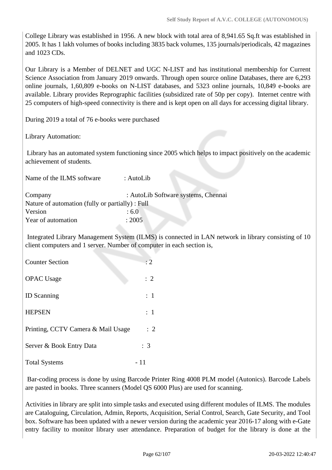College Library was established in 1956. A new block with total area of 8,941.65 Sq.ft was established in 2005. It has 1 lakh volumes of books including 3835 back volumes, 135 journals/periodicals, 42 magazines and 1023 CDs.

Our Library is a Member of DELNET and UGC N-LIST and has institutional membership for Current Science Association from January 2019 onwards. Through open source online Databases, there are 6,293 online journals, 1,60,809 e-books on N-LIST databases, and 5323 online journals, 10,849 e-books are available. Library provides Reprographic facilities (subsidized rate of 50p per copy). Internet centre with 25 computers of high-speed connectivity is there and is kept open on all days for accessing digital library.

During 2019 a total of 76 e-books were purchased

Library Automation:

 Library has an automated system functioning since 2005 which helps to impact positively on the academic achievement of students.

Name of the ILMS software : AutoLib

| Company                                          | : AutoLib Software systems, Chennai |
|--------------------------------------------------|-------------------------------------|
| Nature of automation (fully or partially) : Full |                                     |
| Version                                          | :6.0                                |
| Year of automation                               | : 2005                              |

 Integrated Library Management System (ILMS) is connected in LAN network in library consisting of 10 client computers and 1 server. Number of computer in each section is,

| <b>Counter Section</b>             | : 2            |
|------------------------------------|----------------|
| <b>OPAC</b> Usage                  | $\colon 2$     |
| <b>ID</b> Scanning                 | $\cdot$ 1      |
| <b>HEPSEN</b>                      | $\mathbf{1}$   |
| Printing, CCTV Camera & Mail Usage | : 2            |
| Server & Book Entry Data           | $\therefore$ 3 |
| <b>Total Systems</b>               | - 11           |

 Bar-coding process is done by using Barcode Printer Ring 4008 PLM model (Autonics). Barcode Labels are pasted in books. Three scanners (Model QS 6000 Plus) are used for scanning.

Activities in library are split into simple tasks and executed using different modules of ILMS. The modules are Cataloguing, Circulation, Admin, Reports, Acquisition, Serial Control, Search, Gate Security, and Tool box. Software has been updated with a newer version during the academic year 2016-17 along with e-Gate entry facility to monitor library user attendance. Preparation of budget for the library is done at the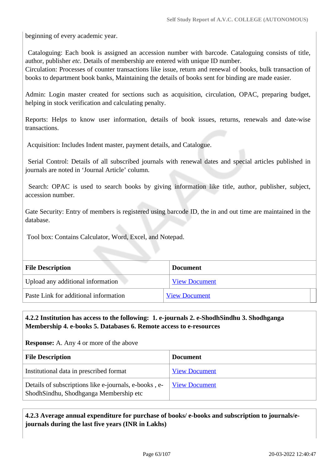beginning of every academic year.

 Cataloguing: Each book is assigned an accession number with barcode. Cataloguing consists of title, author, publisher *etc.* Details of membership are entered with unique ID number.

Circulation: Processes of counter transactions like issue, return and renewal of books, bulk transaction of books to department book banks, Maintaining the details of books sent for binding are made easier.

Admin: Login master created for sections such as acquisition, circulation, OPAC, preparing budget, helping in stock verification and calculating penalty.

Reports: Helps to know user information, details of book issues, returns, renewals and date-wise transactions.

Acquisition: Includes Indent master, payment details, and Catalogue.

 Serial Control: Details of all subscribed journals with renewal dates and special articles published in journals are noted in 'Journal Article' column.

 Search: OPAC is used to search books by giving information like title, author, publisher, subject, accession number.

Gate Security: Entry of members is registered using barcode ID, the in and out time are maintained in the database.

Tool box: Contains Calculator, Word, Excel, and Notepad.

| <b>File Description</b>               | <b>Document</b>      |
|---------------------------------------|----------------------|
| Upload any additional information     | <b>View Document</b> |
| Paste Link for additional information | <b>View Document</b> |

#### **4.2.2 Institution has access to the following: 1. e-journals 2. e-ShodhSindhu 3. Shodhganga Membership 4. e-books 5. Databases 6. Remote access to e-resources**

**Response:** A. Any 4 or more of the above

| <b>File Description</b>                                                                          | <b>Document</b>      |
|--------------------------------------------------------------------------------------------------|----------------------|
| Institutional data in prescribed format                                                          | <b>View Document</b> |
| Details of subscriptions like e-journals, e-books, e-<br>Shodh Sindhu, Shodhganga Membership etc | <b>View Document</b> |

## **4.2.3 Average annual expenditure for purchase of books/ e-books and subscription to journals/ejournals during the last five years (INR in Lakhs)**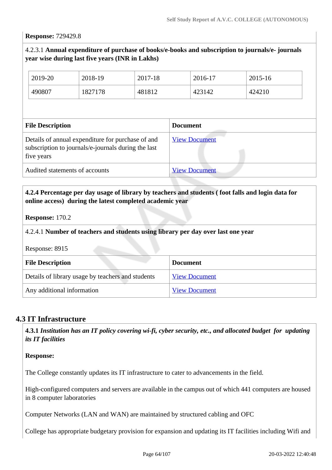#### **Response:** 729429.8

# 4.2.3.1 **Annual expenditure of purchase of books/e-books and subscription to journals/e- journals year wise during last five years (INR in Lakhs)**

| 2019-20 | 2018-19 | 2017-18 | 2016-17 | 2015-16 |
|---------|---------|---------|---------|---------|
| 490807  | 1827178 | 481812  | 423142  | 424210  |

| <b>File Description</b>                                                                                                | <b>Document</b>      |  |  |  |
|------------------------------------------------------------------------------------------------------------------------|----------------------|--|--|--|
| Details of annual expenditure for purchase of and<br>subscription to journals/e-journals during the last<br>five years | <b>View Document</b> |  |  |  |
| Audited statements of accounts                                                                                         | <b>View Document</b> |  |  |  |

#### **4.2.4 Percentage per day usage of library by teachers and students ( foot falls and login data for online access) during the latest completed academic year**

#### **Response:** 170.2

#### 4.2.4.1 **Number of teachers and students using library per day over last one year**

Response: 8915

| <b>File Description</b>                           | <b>Document</b>      |
|---------------------------------------------------|----------------------|
| Details of library usage by teachers and students | <b>View Document</b> |
| Any additional information                        | <b>View Document</b> |

# **4.3 IT Infrastructure**

 **4.3.1** *Institution has an IT policy covering wi-fi, cyber security, etc., and allocated budget for updating its IT facilities* 

#### **Response:**

The College constantly updates its IT infrastructure to cater to advancements in the field.

High-configured computers and servers are available in the campus out of which 441 computers are housed in 8 computer laboratories

Computer Networks (LAN and WAN) are maintained by structured cabling and OFC

College has appropriate budgetary provision for expansion and updating its IT facilities including Wifi and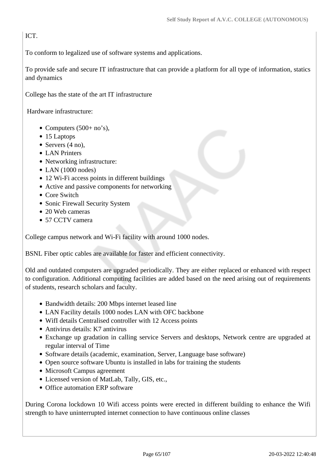# ICT.

To conform to legalized use of software systems and applications.

To provide safe and secure IT infrastructure that can provide a platform for all type of information, statics and dynamics

College has the state of the art IT infrastructure

Hardware infrastructure:

- Computers  $(500+ no's)$ ,
- 15 Laptops
- Servers  $(4 \text{ no})$ ,
- LAN Printers
- Networking infrastructure:
- $\bullet$  LAN (1000 nodes)
- 12 Wi-Fi access points in different buildings
- Active and passive components for networking
- Core Switch
- Sonic Firewall Security System
- 20 Web cameras
- 57 CCTV camera

College campus network and Wi-Fi facility with around 1000 nodes.

BSNL Fiber optic cables are available for faster and efficient connectivity.

Old and outdated computers are upgraded periodically. They are either replaced or enhanced with respect to configuration. Additional computing facilities are added based on the need arising out of requirements of students, research scholars and faculty.

- Bandwidth details: 200 Mbps internet leased line
- LAN Facility details 1000 nodes LAN with OFC backbone
- WifI details Centralised controller with 12 Access points
- Antivirus details: K7 antivirus
- Exchange up gradation in calling service Servers and desktops, Network centre are upgraded at regular interval of Time
- Software details (academic, examination, Server, Language base software)
- Open source software Ubuntu is installed in labs for training the students
- Microsoft Campus agreement
- Licensed version of MatLab, Tally, GIS, etc.,
- Office automation ERP software

During Corona lockdown 10 Wifi access points were erected in different building to enhance the Wifi strength to have uninterrupted internet connection to have continuous online classes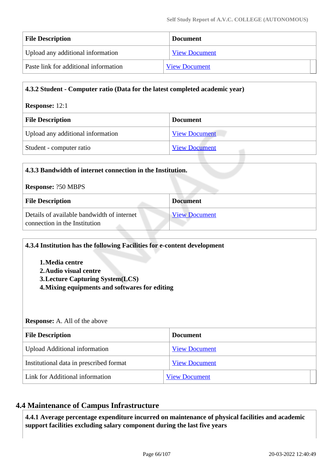| <b>File Description</b>               | <b>Document</b>      |  |
|---------------------------------------|----------------------|--|
| Upload any additional information     | <b>View Document</b> |  |
| Paste link for additional information | <b>View Document</b> |  |

# **4.3.2 Student - Computer ratio (Data for the latest completed academic year) Response:** 12:1 **File Description Document** Upload any additional information [View Document](https://assessmentonline.naac.gov.in/storage/app/hei/SSR/105332/4.3.2_1620228030_5927.pdf) Student - computer ratio [View Document](https://assessmentonline.naac.gov.in/storage/app/hei/SSR/105332/4.3.2_1620228035_5927.pdf)

| 4.3.3 Bandwidth of internet connection in the Institution.                  |                      |  |  |  |
|-----------------------------------------------------------------------------|----------------------|--|--|--|
| <b>Response: ?50 MBPS</b>                                                   |                      |  |  |  |
| <b>File Description</b>                                                     | <b>Document</b>      |  |  |  |
| Details of available bandwidth of internet<br>connection in the Institution | <b>View Document</b> |  |  |  |

| 4.3.4 Institution has the following Facilities for e-content development<br>1. Media centre<br>2. Audio visual centre<br><b>3. Lecture Capturing System (LCS)</b><br>4. Mixing equipments and softwares for editing<br><b>Response:</b> A. All of the above |                      |
|-------------------------------------------------------------------------------------------------------------------------------------------------------------------------------------------------------------------------------------------------------------|----------------------|
| <b>File Description</b>                                                                                                                                                                                                                                     | <b>Document</b>      |
| <b>Upload Additional information</b>                                                                                                                                                                                                                        | <b>View Document</b> |
| Institutional data in prescribed format                                                                                                                                                                                                                     | <b>View Document</b> |
| Link for Additional information                                                                                                                                                                                                                             | <b>View Document</b> |

# **4.4 Maintenance of Campus Infrastructure**

 **4.4.1 Average percentage expenditure incurred on maintenance of physical facilities and academic support facilities excluding salary component during the last five years**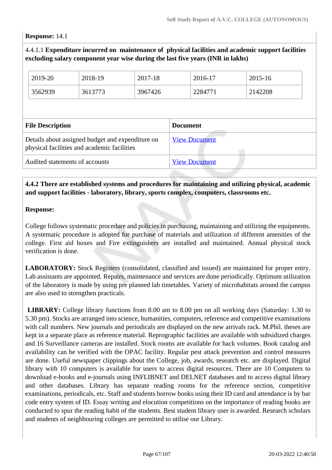#### **Response:** 14.1

# 4.4.1.1 **Expenditure incurred on maintenance of physical facilities and academic support facilities excluding salary component year wise during the last five years (INR in lakhs)**

| 2019-20                 | 2018-19                                                                                         | 2017-18 |                 | 2016-17              | 2015-16 |
|-------------------------|-------------------------------------------------------------------------------------------------|---------|-----------------|----------------------|---------|
| 3562939                 | 3613773                                                                                         | 3967426 |                 | 2284771              | 2142208 |
|                         |                                                                                                 |         |                 |                      |         |
|                         |                                                                                                 |         |                 |                      |         |
| <b>File Description</b> |                                                                                                 |         | <b>Document</b> |                      |         |
|                         | Details about assigned budget and expenditure on<br>physical facilities and academic facilities |         |                 | <b>View Document</b> |         |

# **4.4.2 There are established systems and procedures for maintaining and utilizing physical, academic and support facilities - laboratory, library, sports complex, computers, classrooms etc.**

#### **Response:**

College follows systematic procedure and policies in purchasing, maintaining and utilizing the equipments. A systematic procedure is adopted for purchase of materials and utilization of different amenities of the college. First aid boxes and Fire extinguishers are installed and maintained. Annual physical stock verification is done.

**LABORATORY:** Stock Registers (consolidated, classified and issued) are maintained for proper entry. Lab assistants are appointed. Repairs, maintenance and services are done periodically. Optimum utilization of the laboratory is made by using pre planned lab timetables. Variety of microhabitats around the campus are also used to strengthen practicals.

 **LIBRARY:** College library functions from 8.00 am to 8.00 pm on all working days (Saturday: 1.30 to 5.30 pm). Stocks are arranged into science, humanities, computers, reference and competitive examinations with call numbers. New journals and periodicals are displayed on the new arrivals rack. M.Phil. theses are kept in a separate place as reference material. Reprographic facilities are available with subsidized charges and 16 Surveillance cameras are installed. Stock rooms are available for back volumes. Book catalog and availability can be verified with the OPAC facility. Regular pest attack prevention and control measures are done. Useful newspaper clippings about the College, job, awards, research etc. are displayed. Digital library with 10 computers is available for users to access digital resources. There are 10 Computers to download e-books and e-journals using INFLIBNET and DELNET databases and to access digital library and other databases. Library has separate reading rooms for the reference section, competitive examinations, periodicals, etc. Staff and students borrow books using their ID card and attendance is by bar code entry system of ID. Essay writing and elocution competitions on the importance of reading books are conducted to spur the reading habit of the students. Best student library user is awarded. Research scholars and students of neighbouring colleges are permitted to utilise our Library.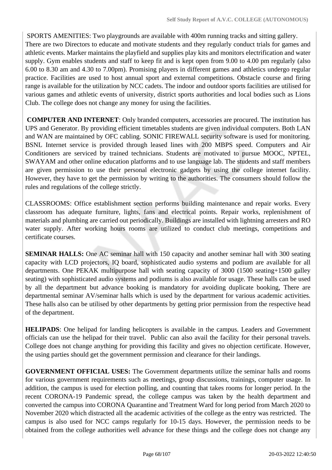SPORTS AMENITIES: Two playgrounds are available with 400m running tracks and sitting gallery. There are two Directors to educate and motivate students and they regularly conduct trials for games and athletic events. Marker maintains the playfield and supplies play kits and monitors electrification and water supply. Gym enables students and staff to keep fit and is kept open from 9.00 to 4.00 pm regularly (also 6.00 to 8.30 am and 4.30 to 7.00pm). Promising players in different games and athletics undergo regular practice. Facilities are used to host annual sport and external competitions. Obstacle course and firing range is available for the utilization by NCC cadets. The indoor and outdoor sports facilities are utilised for various games and athletic events of university, district sports authorities and local bodies such as Lions Club. The college does not change any money for using the facilities.

**COMPUTER AND INTERNET**: Only branded computers, accessories are procured. The institution has UPS and Generator. By providing efficient timetables students are given individual computers. Both LAN and WAN are maintained by OFC cabling. SONIC FIREWALL security software is used for monitoring. BSNL Internet service is provided through leased lines with 200 MBPS speed. Computers and Air Conditioners are serviced by trained technicians. Students are motivated to pursue MOOC, NPTEL, SWAYAM and other online education platforms and to use language lab. The students and staff members are given permission to use their personal electronic gadgets by using the college internet facility. However, they have to get the permission by writing to the authorities. The consumers should follow the rules and regulations of the college strictly.

CLASSROOMS: Office establishment section performs building maintenance and repair works. Every classroom has adequate furniture, lights, fans and electrical points. Repair works, replenishment of materials and plumbing are carried out periodically. Buildings are installed with lightning arresters and RO water supply. After working hours rooms are utilized to conduct club meetings, competitions and certificate courses.

**SEMINAR HALLS:** One AC seminar hall with 150 capacity and another seminar hall with 300 seating capacity with LCD projectors, IQ board, sophisticated audio systems and podium are available for all departments. One PEKAK multipurpose hall with seating capacity of 3000 (1500 seating+1500 galley seating) with sophisticated audio systems and podiums is also available for usage. These halls can be used by all the department but advance booking is mandatory for avoiding duplicate booking, There are departmental seminar AV/seminar halls which is used by the department for various academic activities. These halls also can be utilised by other departments by getting prior permission from the respective head of the department.

**HELIPADS**: One helipad for landing helicopters is available in the campus. Leaders and Government officials can use the helipad for their travel. Public can also avail the facility for their personal travels. College does not change anything for providing this facility and gives no objection certificate. However, the using parties should get the government permission and clearance for their landings.

**GOVERNMENT OFFICIAL USES:** The Government departments utilize the seminar halls and rooms for various government requirements such as meetings, group discussions, trainings, computer usage. In addition, the campus is used for election polling, and counting that takes rooms for longer period. In the recent CORONA-19 Pandemic spread, the college campus was taken by the health department and converted the campus into CORONA Quarantine and Treatment Ward for long period from March 2020 to November 2020 which distracted all the academic activities of the college as the entry was restricted. The campus is also used for NCC camps regularly for 10-15 days. However, the permission needs to be obtained from the college authorities well advance for these things and the college does not change any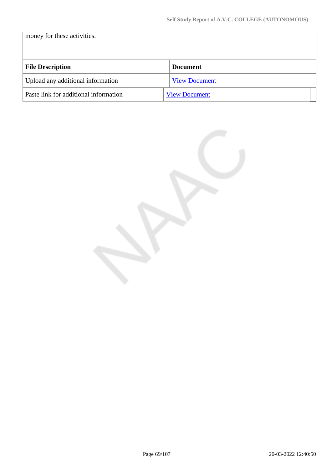money for these activities.

| <b>File Description</b>               | <b>Document</b>      |
|---------------------------------------|----------------------|
| Upload any additional information     | <b>View Document</b> |
| Paste link for additional information | <b>View Document</b> |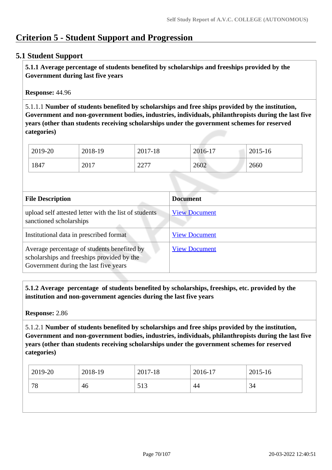# **Criterion 5 - Student Support and Progression**

# **5.1 Student Support**

 **5.1.1 Average percentage of students benefited by scholarships and freeships provided by the Government during last five years** 

**Response:** 44.96

5.1.1.1 **Number of students benefited by scholarships and free ships provided by the institution, Government and non-government bodies, industries, individuals, philanthropists during the last five years (other than students receiving scholarships under the government schemes for reserved categories)** 

| 2019-20 | 2018-19 | 2017-18      | 2016-17 | 2015-16 |
|---------|---------|--------------|---------|---------|
| 1847    | 2017    | つつワワ<br>2211 | 2602    | 2660    |

| <b>File Description</b>                                                                                                            | <b>Document</b>      |
|------------------------------------------------------------------------------------------------------------------------------------|----------------------|
| upload self attested letter with the list of students<br>sanctioned scholarships                                                   | <b>View Document</b> |
| Institutional data in prescribed format                                                                                            | <b>View Document</b> |
| Average percentage of students benefited by<br>scholarships and freeships provided by the<br>Government during the last five years | <b>View Document</b> |

 **5.1.2 Average percentage of students benefited by scholarships, freeships, etc. provided by the institution and non-government agencies during the last five years**

**Response:** 2.86

5.1.2.1 **Number of students benefited by scholarships and free ships provided by the institution, Government and non-government bodies, industries, individuals, philanthropists during the last five years (other than students receiving scholarships under the government schemes for reserved categories)** 

| 78<br>513<br>34<br>46<br>44 | 2015-16 |
|-----------------------------|---------|
|                             |         |
|                             |         |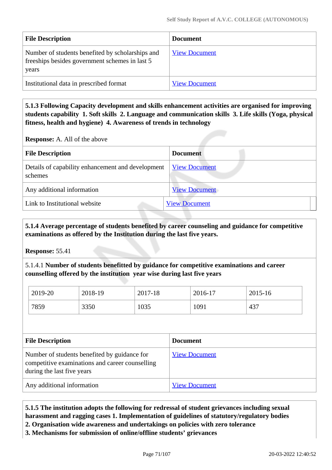| <b>File Description</b>                                                                                     | <b>Document</b>      |
|-------------------------------------------------------------------------------------------------------------|----------------------|
| Number of students benefited by scholarships and<br>freeships besides government schemes in last 5<br>years | <b>View Document</b> |
| Institutional data in prescribed format                                                                     | <b>View Document</b> |

 **5.1.3 Following Capacity development and skills enhancement activities are organised for improving students capability 1. Soft skills 2. Language and communication skills 3. Life skills (Yoga, physical fitness, health and hygiene) 4. Awareness of trends in technology**

**Response:** A. All of the above

| <b>Document</b>      |
|----------------------|
| <b>View Document</b> |
| <b>View Document</b> |
| <b>View Document</b> |
|                      |

# **5.1.4 Average percentage of students benefited by career counseling and guidance for competitive examinations as offered by the Institution during the last five years.**

**Response:** 55.41

5.1.4.1 **Number of students benefitted by guidance for competitive examinations and career counselling offered by the institution year wise during last five years**

| 2019-20 | 2018-19 | 2017-18 | 2016-17 | 2015-16 |
|---------|---------|---------|---------|---------|
| 7859    | 3350    | 1035    | 1091    | 437     |

| <b>File Description</b>                                                                                                       | <b>Document</b>      |
|-------------------------------------------------------------------------------------------------------------------------------|----------------------|
| Number of students benefited by guidance for<br>competitive examinations and career counselling<br>during the last five years | <b>View Document</b> |
| Any additional information                                                                                                    | <b>View Document</b> |

# **5.1.5 The institution adopts the following for redressal of student grievances including sexual harassment and ragging cases 1. Implementation of guidelines of statutory/regulatory bodies**

**2. Organisation wide awareness and undertakings on policies with zero tolerance**

**3. Mechanisms for submission of online/offline students' grievances**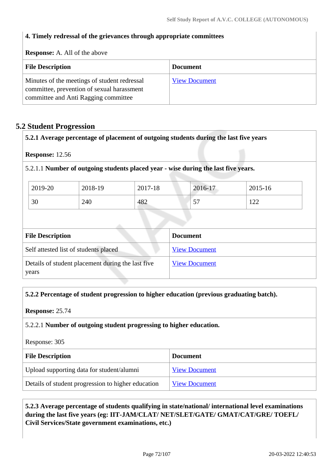# **4. Timely redressal of the grievances through appropriate committees Response:** A. All of the above **File Description Document** Minutes of the meetings of student redressal committee, prevention of sexual harassment committee and Anti Ragging committee [View Document](https://assessmentonline.naac.gov.in/storage/app/hei/SSR/105332/5.1.5_1621531595_5927.pdf)

# **5.2 Student Progression**

|                                       |                                                   |                      | 5.2.1 Average percentage of placement of outgoing students during the last five years |             |  |
|---------------------------------------|---------------------------------------------------|----------------------|---------------------------------------------------------------------------------------|-------------|--|
| Response: 12.56                       |                                                   |                      |                                                                                       |             |  |
|                                       |                                                   |                      | 5.2.1.1 Number of outgoing students placed year - wise during the last five years.    |             |  |
| 2019-20                               | 2018-19                                           | 2017-18              | 2016-17                                                                               | $2015 - 16$ |  |
| 30                                    | 240                                               | 482                  | 57                                                                                    | 122         |  |
|                                       |                                                   |                      |                                                                                       |             |  |
| <b>File Description</b>               |                                                   |                      | <b>Document</b>                                                                       |             |  |
| Self attested list of students placed |                                                   | <b>View Document</b> |                                                                                       |             |  |
| years                                 | Details of student placement during the last five |                      | <b>View Document</b>                                                                  |             |  |

**5.2.2 Percentage of student progression to higher education (previous graduating batch).**

**Response:** 25.74

#### 5.2.2.1 **Number of outgoing student progressing to higher education.**

Response: 305

| <b>File Description</b>                            | <b>Document</b>      |
|----------------------------------------------------|----------------------|
| Upload supporting data for student/alumni          | <u>View Document</u> |
| Details of student progression to higher education | <b>View Document</b> |

 **5.2.3 Average percentage of students qualifying in state/national/ international level examinations during the last five years (eg: IIT-JAM/CLAT/ NET/SLET/GATE/ GMAT/CAT/GRE/ TOEFL/ Civil Services/State government examinations, etc.)**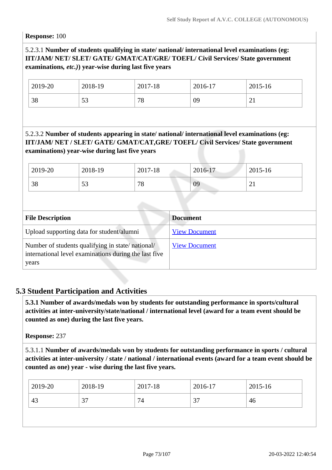**Response:** 100

# 5.2.3.1 **Number of students qualifying in state/ national/ international level examinations (eg: IIT/JAM/ NET/ SLET/ GATE/ GMAT/CAT/GRE/ TOEFL/ Civil Services/ State government examinations***, etc.)***) year-wise during last five years**

| 2019-20 | 2018-19      | 2017-18 | 2016-17 | 2015-16  |
|---------|--------------|---------|---------|----------|
| 38      | $\sim$<br>ັບ | 78      | 09      | $\sim$ 1 |

# 5.2.3.2 **Number of students appearing in state/ national/ international level examinations (eg: IIT/JAM/ NET / SLET/ GATE/ GMAT/CAT,GRE/ TOEFL/ Civil Services/ State government examinations) year-wise during last five years**

| 2019-20 | 2018-19  | 2017-18 | 2016-17 | 2015-16                  |
|---------|----------|---------|---------|--------------------------|
| 38      | ہے<br>JJ | 78      | 09      | $\overline{\phantom{0}}$ |

| <b>File Description</b>                                                                                            | <b>Document</b>      |
|--------------------------------------------------------------------------------------------------------------------|----------------------|
| Upload supporting data for student/alumni                                                                          | <b>View Document</b> |
| Number of students qualifying in state/national/<br>international level examinations during the last five<br>years | <b>View Document</b> |

# **5.3 Student Participation and Activities**

 **5.3.1 Number of awards/medals won by students for outstanding performance in sports/cultural activities at inter-university/state/national / international level (award for a team event should be counted as one) during the last five years.**

**Response:** 237

5.3.1.1 **Number of awards/medals won by students for outstanding performance in sports / cultural activities at inter-university / state / national / international events (award for a team event should be counted as one) year - wise during the last five years.**

| 2019-20<br>2018-19<br>2017-18<br>2016-17 | 2015-16 |
|------------------------------------------|---------|
| 43<br>74<br>37<br>37                     | 46      |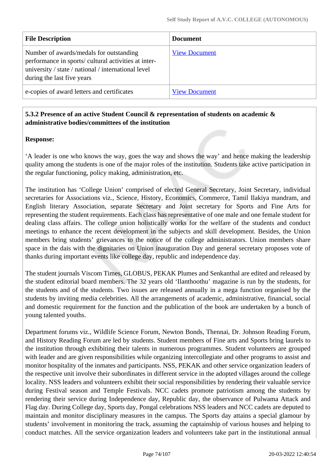| <b>File Description</b>                                                                                                                                                              | <b>Document</b>      |
|--------------------------------------------------------------------------------------------------------------------------------------------------------------------------------------|----------------------|
| Number of awards/medals for outstanding<br>performance in sports/ cultural activities at inter-<br>university / state / national / international level<br>during the last five years | <b>View Document</b> |
| e-copies of award letters and certificates                                                                                                                                           | <b>View Document</b> |

# **5.3.2 Presence of an active Student Council & representation of students on academic & administrative bodies/committees of the institution**

### **Response:**

'A leader is one who knows the way, goes the way and shows the way' and hence making the leadership quality among the students is one of the major roles of the institution. Students take active participation in the regular functioning, policy making, administration, etc.

The institution has 'College Union' comprised of elected General Secretary, Joint Secretary, individual secretaries for Associations viz., Science, History, Economics, Commerce, Tamil Ilakiya mandram, and English literary Association, separate Secretary and Joint secretary for Sports and Fine Arts for representing the student requirements. Each class has representative of one male and one female student for dealing class affairs. The college union holistically works for the welfare of the students and conduct meetings to enhance the recent development in the subjects and skill development. Besides, the Union members bring students' grievances to the notice of the college administrators. Union members share space in the dais with the dignitaries on Union inauguration Day and general secretary proposes vote of thanks during important events like college day, republic and independence day.

The student journals Viscom Times, GLOBUS, PEKAK Plumes and Senkanthal are edited and released by the student editorial board members. The 32 years old 'Ilanthoothu' magazine is run by the students, for the students and of the students. Two issues are released annually in a mega function organised by the students by inviting media celebrities. All the arrangements of academic, administrative, financial, social and domestic requirement for the function and the publication of the book are undertaken by a bunch of young talented youths.

Department forums viz., Wildlife Science Forum, Newton Bonds, Thennai, Dr. Johnson Reading Forum, and History Reading Forum are led by students. Student members of Fine arts and Sports bring laurels to the institution through exhibiting their talents in numerous programmes. Student volunteers are grouped with leader and are given responsibilities while organizing intercollegiate and other programs to assist and monitor hospitality of the inmates and participants. NSS, PEKAK and other service organization leaders of the respective unit involve their subordinates in different service in the adopted villages around the college locality. NSS leaders and volunteers exhibit their social responsibilities by rendering their valuable service during Festival season and Temple Festivals. NCC cadets promote patriotism among the students by rendering their service during Independence day, Republic day, the observance of Pulwama Attack and Flag day. During College day, Sports day, Pongal celebrations NSS leaders and NCC cadets are deputed to maintain and monitor disciplinary measures in the campus. The Sports day attains a special glamour by students' involvement in monitoring the track, assuming the captainship of various houses and helping to conduct matches. All the service organization leaders and volunteers take part in the institutional annual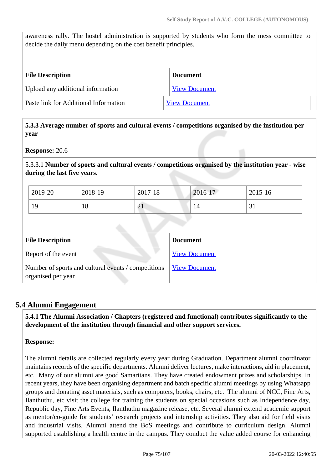awareness rally. The hostel administration is supported by students who form the mess committee to decide the daily menu depending on the cost benefit principles.

| <b>File Description</b>                      | <b>Document</b>      |
|----------------------------------------------|----------------------|
| Upload any additional information            | <b>View Document</b> |
| <b>Paste link for Additional Information</b> | <b>View Document</b> |

 **5.3.3 Average number of sports and cultural events / competitions organised by the institution per year**

#### **Response:** 20.6

5.3.3.1 **Number of sports and cultural events / competitions organised by the institution year - wise during the last five years.**

| 2019-20  | 2018-19 | 2017-18 | 2016-17 | 2015-16     |
|----------|---------|---------|---------|-------------|
| $\Omega$ | 18      | 21      | 14      | $\sim$<br>◡ |

| <b>File Description</b>                                                   | <b>Document</b>      |
|---------------------------------------------------------------------------|----------------------|
| Report of the event                                                       | <b>View Document</b> |
| Number of sports and cultural events / competitions<br>organised per year | <b>View Document</b> |

# **5.4 Alumni Engagement**

 **5.4.1 The Alumni Association / Chapters (registered and functional) contributes significantly to the development of the institution through financial and other support services.**

#### **Response:**

The alumni details are collected regularly every year during Graduation. Department alumni coordinator maintains records of the specific departments. Alumni deliver lectures, make interactions, aid in placement, etc. Many of our alumni are good Samaritans. They have created endowment prizes and scholarships. In recent years, they have been organising department and batch specific alumni meetings by using Whatsapp groups and donating asset materials, such as computers, books, chairs, etc. The alumni of NCC, Fine Arts, Ilanthuthu, etc visit the college for training the students on special occasions such as Independence day, Republic day, Fine Arts Events, Ilanthuthu magazine release, etc. Several alumni extend academic support as mentor/co-guide for students' research projects and internship activities. They also aid for field visits and industrial visits. Alumni attend the BoS meetings and contribute to curriculum design. Alumni supported establishing a health centre in the campus. They conduct the value added course for enhancing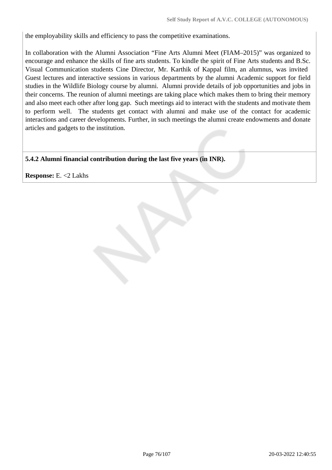the employability skills and efficiency to pass the competitive examinations.

In collaboration with the Alumni Association "Fine Arts Alumni Meet (FIAM–2015)" was organized to encourage and enhance the skills of fine arts students. To kindle the spirit of Fine Arts students and B.Sc. Visual Communication students Cine Director, Mr. Karthik of Kappal film, an alumnus, was invited Guest lectures and interactive sessions in various departments by the alumni Academic support for field studies in the Wildlife Biology course by alumni. Alumni provide details of job opportunities and jobs in their concerns. The reunion of alumni meetings are taking place which makes them to bring their memory and also meet each other after long gap. Such meetings aid to interact with the students and motivate them to perform well. The students get contact with alumni and make use of the contact for academic interactions and career developments. Further, in such meetings the alumni create endowments and donate articles and gadgets to the institution.

**5.4.2 Alumni financial contribution during the last five years (in INR).**

**Response:** E. <2 Lakhs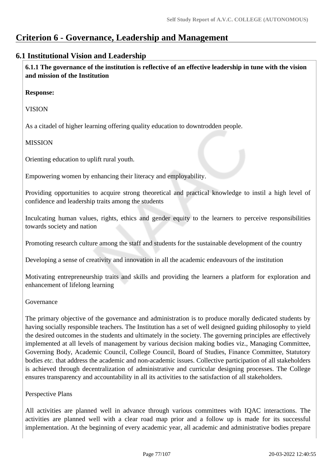# **Criterion 6 - Governance, Leadership and Management**

### **6.1 Institutional Vision and Leadership**

 **6.1.1 The governance of the institution is reflective of an effective leadership in tune with the vision and mission of the Institution**

#### **Response:**

VISION

As a citadel of higher learning offering quality education to downtrodden people.

#### MISSION

Orienting education to uplift rural youth.

Empowering women by enhancing their literacy and employability.

Providing opportunities to acquire strong theoretical and practical knowledge to instil a high level of confidence and leadership traits among the students

Inculcating human values, rights, ethics and gender equity to the learners to perceive responsibilities towards society and nation

Promoting research culture among the staff and students for the sustainable development of the country

Developing a sense of creativity and innovation in all the academic endeavours of the institution

Motivating entrepreneurship traits and skills and providing the learners a platform for exploration and enhancement of lifelong learning

#### Governance

The primary objective of the governance and administration is to produce morally dedicated students by having socially responsible teachers. The Institution has a set of well designed guiding philosophy to yield the desired outcomes in the students and ultimately in the society. The governing principles are effectively implemented at all levels of management by various decision making bodies viz., Managing Committee, Governing Body, Academic Council, College Council, Board of Studies, Finance Committee, Statutory bodies *etc.* that address the academic and non-academic issues. Collective participation of all stakeholders is achieved through decentralization of administrative and curricular designing processes. The College ensures transparency and accountability in all its activities to the satisfaction of all stakeholders.

#### Perspective Plans

All activities are planned well in advance through various committees with IQAC interactions. The activities are planned well with a clear road map prior and a follow up is made for its successful implementation. At the beginning of every academic year, all academic and administrative bodies prepare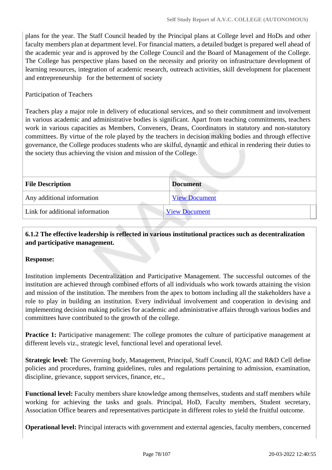plans for the year. The Staff Council headed by the Principal plans at College level and HoDs and other faculty members plan at department level. For financial matters, a detailed budget is prepared well ahead of the academic year and is approved by the College Council and the Board of Management of the College. The College has perspective plans based on the necessity and priority on infrastructure development of learning resources, integration of academic research, outreach activities, skill development for placement and entrepreneurship for the betterment of society

#### Participation of Teachers

Teachers play a major role in delivery of educational services, and so their commitment and involvement in various academic and administrative bodies is significant. Apart from teaching commitments, teachers work in various capacities as Members, Conveners, Deans, Coordinators in statutory and non-statutory committees. By virtue of the role played by the teachers in decision making bodies and through effective governance, the College produces students who are skilful, dynamic and ethical in rendering their duties to the society thus achieving the vision and mission of the College.

| <b>File Description</b>         | <b>Document</b>      |
|---------------------------------|----------------------|
| Any additional information      | <b>View Document</b> |
| Link for additional information | <b>View Document</b> |
|                                 |                      |

#### **6.1.2 The effective leadership is reflected in various institutional practices such as decentralization and participative management.**

#### **Response:**

Institution implements Decentralization and Participative Management. The successful outcomes of the institution are achieved through combined efforts of all individuals who work towards attaining the vision and mission of the institution. The members from the apex to bottom including all the stakeholders have a role to play in building an institution. Every individual involvement and cooperation in devising and implementing decision making policies for academic and administrative affairs through various bodies and committees have contributed to the growth of the college.

**Practice 1:** Participative management: The college promotes the culture of participative management at different levels viz., strategic level, functional level and operational level.

**Strategic level:** The Governing body, Management, Principal, Staff Council, IQAC and R&D Cell define policies and procedures, framing guidelines, rules and regulations pertaining to admission, examination, discipline, grievance, support services, finance, etc.,

**Functional level:** Faculty members share knowledge among themselves, students and staff members while working for achieving the tasks and goals. Principal, HoD, Faculty members, Student secretary, Association Office bearers and representatives participate in different roles to yield the fruitful outcome.

**Operational level:** Principal interacts with government and external agencies, faculty members, concerned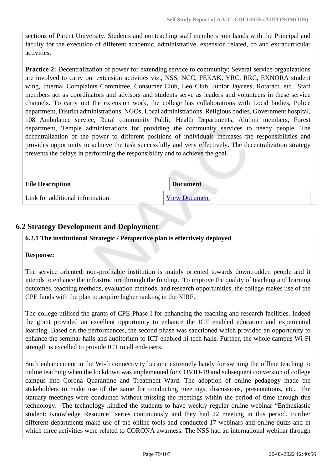sections of Parent University. Students and nonteaching staff members join hands with the Principal and faculty for the execution of different academic, administrative, extension related, co and extracurricular activities.

**Practice 2:** Decentralization of power for extending service to community: Several service organizations are involved to carry out extension activities viz., NSS, NCC, PEKAK, YRC, RRC, EXNORA student wing, Internal Complaints Committee, Consumer Club, Leo Club, Junior Jaycees, Rotaract, etc., Staff members act as coordinators and advisors and students serve as leaders and volunteers in these service channels. To carry out the extension work, the college has collaborations with Local bodies, Police department, District administrations, NGOs, Local administrations, Religious bodies, Government hospital, 108 Ambulance service, Rural community Public Health Departments, Alumni members, Forest department, Temple administrations for providing the community services to needy people. The decentralization of the power to different positions of individuals increases the responsibilities and provides opportunity to achieve the task successfully and very effectively. The decentralization strategy prevents the delays in performing the responsibility and to achieve the goal.

| <b>File Description</b>         | <b>Document</b>      |
|---------------------------------|----------------------|
| Link for additional information | <b>View Document</b> |

# **6.2 Strategy Development and Deployment**

#### **6.2.1 The institutional Strategic / Perspective plan is effectively deployed**

#### **Response:**

The service oriented, non-profitable institution is mainly oriented towards downtrodden people and it intends to enhance the infrastructure through the funding. To improve the quality of teaching and learning outcomes, teaching methods, evaluation methods, and research opportunities, the college makes use of the CPE funds with the plan to acquire higher ranking in the NIRF.

The college utilised the grants of CPE-Phase-I for enhancing the teaching and research facilities. Indeed the grant provided an excellent opportunity to enhance the ICT enabled education and experiential learning. Based on the performances, the second phase was sanctioned which provided an opportunity to enhance the seminar halls and auditorium to ICT enabled hi-tech halls. Further, the whole campus Wi-Fi strength is excelled to provide ICT to all end-users.

Such enhancement in the Wi-fi connectivity became extremely handy for swtiting the offline teaching to online teaching when the lockdown was implemented for COVID-19 and subsequent conversion of college campus into Corona Quarantine and Treatment Ward. The adoption of online pedagogy made the stakeholders to make use of the same for conducting meetings, discussions, presentations, etc., The statuary meetings were conducted without missing the meetings within the period of time through this technology. The technology kindled the students to have weekly regular online webinar "Enthusiastic student: Knowledge Resource" series continuously and they had 22 meeting in this period. Further different departments make use of the online tools and conducted 17 webinars and online quizs and in which three activities were related to CORONA awarness. The NSS had an international webinar through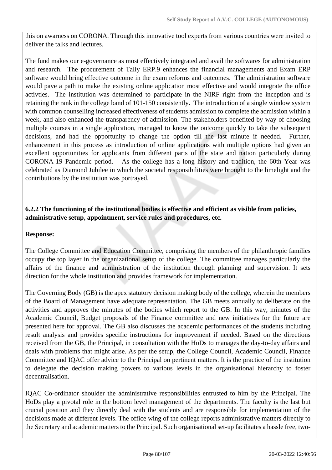this on awarness on CORONA. Through this innovative tool experts from various countries were invited to deliver the talks and lectures.

The fund makes our e-governance as most effectively integrated and avail the softwares for administration and research. The procurement of Tally ERP.9 enhances the financial managements and Exam ERP software would bring effective outcome in the exam reforms and outcomes. The administration software would pave a path to make the existing online application most effective and would integrate the office activties. The institution was determined to participate in the NIRF right from the inception and is retaining the rank in the college band of 101-150 consistently. The introduction of a single window system with common counselling increased effectiveness of students admission to complete the admission within a week, and also enhanced the transparency of admission. The stakeholders benefited by way of choosing multiple courses in a single application, managed to know the outcome quickly to take the subsequent decisions, and had the opportunity to change the option till the last minute if needed. Further, enhancement in this process as introduction of online applications with multiple options had given an excellent opportunities for applicants from different parts of the state and nation particularly during CORONA-19 Pandemic period. As the college has a long history and tradition, the 60th Year was celebrated as Diamond Jubilee in which the societal responsibilities were brought to the limelight and the contributions by the institution was portrayed.

#### **6.2.2 The functioning of the institutional bodies is effective and efficient as visible from policies, administrative setup, appointment, service rules and procedures, etc.**

#### **Response:**

The College Committee and Education Committee, comprising the members of the philanthropic families occupy the top layer in the organizational setup of the college. The committee manages particularly the affairs of the finance and administration of the institution through planning and supervision. It sets direction for the whole institution and provides framework for implementation.

The Governing Body (GB) is the apex statutory decision making body of the college, wherein the members of the Board of Management have adequate representation. The GB meets annually to deliberate on the activities and approves the minutes of the bodies which report to the GB. In this way, minutes of the Academic Council, Budget proposals of the Finance committee and new initiatives for the future are presented here for approval. The GB also discusses the academic performances of the students including result analysis and provides specific instructions for improvement if needed. Based on the directions received from the GB, the Principal, in consultation with the HoDs to manages the day-to-day affairs and deals with problems that might arise. As per the setup, the College Council, Academic Council, Finance Committee and IQAC offer advice to the Principal on pertinent matters. It is the practice of the institution to delegate the decision making powers to various levels in the organisational hierarchy to foster decentralisation.

IQAC Co-ordinator shoulder the administrative responsibilities entrusted to him by the Principal. The HoDs play a pivotal role in the bottom level management of the departments. The faculty is the last but crucial position and they directly deal with the students and are responsible for implementation of the decisions made at different levels. The office wing of the college reports administrative matters directly to the Secretary and academic matters to the Principal. Such organisational set-up facilitates a hassle free, two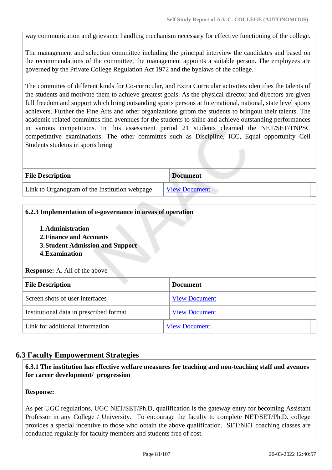way communication and grievance handling mechanism necessary for effective functioning of the college.

The management and selection committee including the principal interview the candidates and based on the recommendations of the committee, the management appoints a suitable person. The employees are governed by the Private College Regulation Act 1972 and the byelaws of the college.

The committes of different kinds for Co-curricular, and Extra Curricular activities identifies the talents of the students and motivate them to achieve greatest goals. As the physical director and directors are given full freedom and support which bring outsanding sports persons at International, national, state level sports achievers. Further the Fine Arts and other organizations grrom the students to bringout their talents. The academic related committes find avennues for the students to shine and achieve outstanding performances in various competitions. In this assessment period 21 students clearned the NET/SET/TNPSC competitative examinations. The other committes such as Discipline, ICC, Equal opportunity Cell Students studetns in sports bring

| <b>File Description</b>                       | <b>Document</b>      |
|-----------------------------------------------|----------------------|
| Link to Organogram of the Institution webpage | <b>View Document</b> |

# **6.2.3 Implementation of e-governance in areas of operation**

- **1.Administration**
- **2.Finance and Accounts**
- **3.Student Admission and Support**
- **4.Examination**

**Response:** A. All of the above

| <b>File Description</b>                 | <b>Document</b>      |
|-----------------------------------------|----------------------|
| Screen shots of user interfaces         | <b>View Document</b> |
| Institutional data in prescribed format | <b>View Document</b> |
| Link for additional information         | <b>View Document</b> |

# **6.3 Faculty Empowerment Strategies**

 **6.3.1 The institution has effective welfare measures for teaching and non-teaching staff and avenues for career development/ progression** 

#### **Response:**

As per UGC regulations, UGC NET/SET/Ph.D, qualification is the gateway entry for becoming Assistant Professor in any College / University. To encourage the faculty to complete NET/SET/Ph.D. college provides a special incentive to those who obtain the above qualification. SET/NET coaching classes are conducted regularly for faculty members and students free of cost.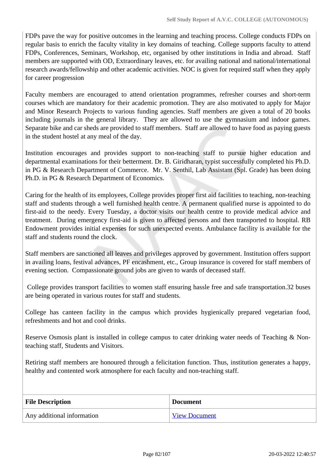FDPs pave the way for positive outcomes in the learning and teaching process. College conducts FDPs on regular basis to enrich the faculty vitality in key domains of teaching. College supports faculty to attend FDPs, Conferences, Seminars, Workshop, etc, organised by other institutions in India and abroad. Staff members are supported with OD, Extraordinary leaves, etc. for availing national and national/international research awards/fellowship and other academic activities. NOC is given for required staff when they apply for career progression

Faculty members are encouraged to attend orientation programmes, refresher courses and short-term courses which are mandatory for their academic promotion. They are also motivated to apply for Major and Minor Research Projects to various funding agencies. Staff members are given a total of 20 books including journals in the general library. They are allowed to use the gymnasium and indoor games. Separate bike and car sheds are provided to staff members. Staff are allowed to have food as paying guests in the student hostel at any meal of the day.

Institution encourages and provides support to non-teaching staff to pursue higher education and departmental examinations for their betterment. Dr. B. Giridharan, typist successfully completed his Ph.D. in PG & Research Department of Commerce. Mr. V. Senthil, Lab Assistant (Spl. Grade) has been doing Ph.D. in PG & Research Department of Economics.

Caring for the health of its employees, College provides proper first aid facilities to teaching, non-teaching staff and students through a well furnished health centre. A permanent qualified nurse is appointed to do first-aid to the needy. Every Tuesday, a doctor visits our health centre to provide medical advice and treatment. During emergency first-aid is given to affected persons and then transported to hospital. RB Endowment provides initial expenses for such unexpected events. Ambulance facility is available for the staff and students round the clock.

Staff members are sanctioned all leaves and privileges approved by government. Institution offers support in availing loans, festival advances, PF encashment, etc., Group insurance is covered for staff members of evening section. Compassionate ground jobs are given to wards of deceased staff.

 College provides transport facilities to women staff ensuring hassle free and safe transportation.32 buses are being operated in various routes for staff and students.

College has canteen facility in the campus which provides hygienically prepared vegetarian food, refreshments and hot and cool drinks.

Reserve Osmosis plant is installed in college campus to cater drinking water needs of Teaching & Nonteaching staff, Students and Visitors.

Retiring staff members are honoured through a felicitation function. Thus, institution generates a happy, healthy and contented work atmosphere for each faculty and non-teaching staff.

| <b>File Description</b>    | <b>Document</b>      |
|----------------------------|----------------------|
| Any additional information | <b>View Document</b> |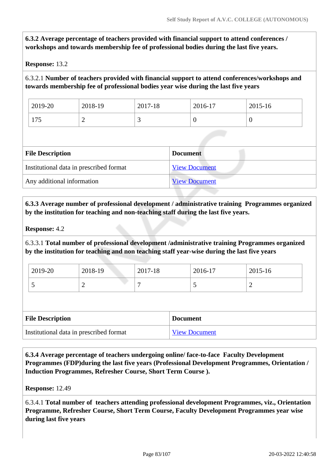**6.3.2 Average percentage of teachers provided with financial support to attend conferences / workshops and towards membership fee of professional bodies during the last five years.**

**Response:** 13.2

6.3.2.1 **Number of teachers provided with financial support to attend conferences/workshops and towards membership fee of professional bodies year wise during the last five years**

| 2019-20 | 2018-19 | 2017-18 | 2016-17 | 2015-16 |
|---------|---------|---------|---------|---------|
| 175     | ∽       | ້       | ν       | ◡       |

| <b>File Description</b>                 | <b>Document</b>      |
|-----------------------------------------|----------------------|
| Institutional data in prescribed format | <b>View Document</b> |
| Any additional information              | <b>View Document</b> |

 **6.3.3 Average number of professional development / administrative training Programmes organized by the institution for teaching and non-teaching staff during the last five years.**

**Response:** 4.2

6.3.3.1 **Total number of professional development /administrative training Programmes organized by the institution for teaching and non teaching staff year-wise during the last five years**

| 2019-20 | 2018-19 | 2017-18 | 2016-17                  | $2015 - 16$ |
|---------|---------|---------|--------------------------|-------------|
| ັ       | ∽       | -       | $\overline{\phantom{0}}$ | ∽           |

| <b>File Description</b>                 | <b>Document</b>      |
|-----------------------------------------|----------------------|
| Institutional data in prescribed format | <b>View Document</b> |

 **6.3.4 Average percentage of teachers undergoing online/ face-to-face Faculty Development Programmes (FDP)during the last five years (Professional Development Programmes, Orientation / Induction Programmes, Refresher Course, Short Term Course ).**

**Response:** 12.49

6.3.4.1 **Total number of teachers attending professional development Programmes, viz., Orientation Programme, Refresher Course, Short Term Course, Faculty Development Programmes year wise during last five years**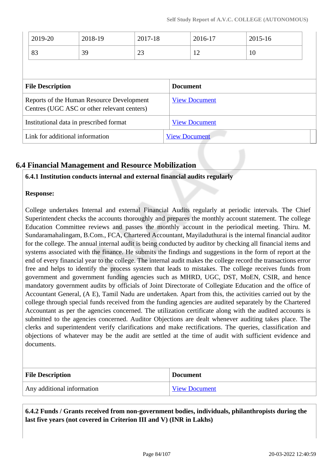|                                                                                          | 2019-20 | 2018-19              | 2017-18              |  | 2016-17 | 2015-16 |  |
|------------------------------------------------------------------------------------------|---------|----------------------|----------------------|--|---------|---------|--|
|                                                                                          | 83      | 39                   | 23                   |  | 12      | 10      |  |
|                                                                                          |         |                      |                      |  |         |         |  |
| <b>File Description</b>                                                                  |         |                      | <b>Document</b>      |  |         |         |  |
| Reports of the Human Resource Development<br>Centres (UGC ASC or other relevant centers) |         |                      | <b>View Document</b> |  |         |         |  |
| Institutional data in prescribed format                                                  |         |                      | <b>View Document</b> |  |         |         |  |
| Link for additional information                                                          |         | <b>View Document</b> |                      |  |         |         |  |

# **6.4 Financial Management and Resource Mobilization**

#### **6.4.1 Institution conducts internal and external financial audits regularly**

#### **Response:**

College undertakes Internal and external Financial Audits regularly at periodic intervals. The Chief Superintendent checks the accounts thoroughly and prepares the monthly account statement. The college Education Committee reviews and passes the monthly account in the periodical meeting. Thiru. M. Sundaramahalingam, B.Com., FCA, Chartered Accountant, Mayiladuthurai is the internal financial auditor for the college. The annual internal audit is being conducted by auditor by checking all financial items and systems associated with the finance. He submits the findings and suggestions in the form of report at the end of every financial year to the college. The internal audit makes the college record the transactions error free and helps to identify the process system that leads to mistakes. The college receives funds from government and government funding agencies such as MHRD, UGC, DST, MoEN, CSIR, and hence mandatory government audits by officials of Joint Directorate of Collegiate Education and the office of Accountant General, (A E), Tamil Nadu are undertaken. Apart from this, the activities carried out by the college through special funds received from the funding agencies are audited separately by the Chartered Accountant as per the agencies concerned. The utilization certificate along with the audited accounts is submitted to the agencies concerned. Auditor Objections are dealt whenever auditing takes place. The clerks and superintendent verify clarifications and make rectifications. The queries, classification and objections of whatever may be the audit are settled at the time of audit with sufficient evidence and documents.

| <b>File Description</b>    | <b>Document</b>      |
|----------------------------|----------------------|
| Any additional information | <b>View Document</b> |

 **6.4.2 Funds / Grants received from non-government bodies, individuals, philanthropists during the last five years (not covered in Criterion III and V) (INR in Lakhs)**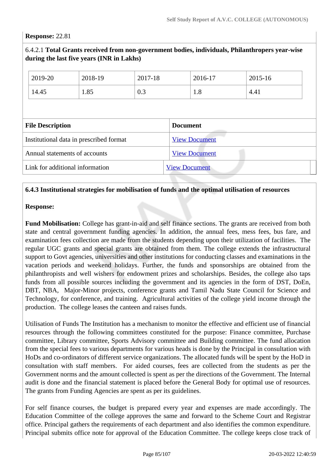#### **Response:** 22.81

| 2019-20                                 | 2018-19 | 2017-18              |                      | 2016-17 | 2015-16 |  |
|-----------------------------------------|---------|----------------------|----------------------|---------|---------|--|
| 14.45                                   | 1.85    | 0.3                  |                      | 1.8     | 4.41    |  |
|                                         |         |                      |                      |         |         |  |
| <b>Document</b>                         |         |                      |                      |         |         |  |
| <b>File Description</b>                 |         |                      |                      |         |         |  |
| Institutional data in prescribed format |         |                      | <b>View Document</b> |         |         |  |
| Annual statements of accounts           |         |                      | <b>View Document</b> |         |         |  |
| Link for additional information         |         | <b>View Document</b> |                      |         |         |  |
|                                         |         |                      |                      |         |         |  |

#### 6.4.2.1 **Total Grants received from non-government bodies, individuals, Philanthropers year-wise during the last five years (INR in Lakhs)**

#### **6.4.3 Institutional strategies for mobilisation of funds and the optimal utilisation of resources**

#### **Response:**

**Fund Mobilisation:** College has grant-in-aid and self finance sections. The grants are received from both state and central government funding agencies. In addition, the annual fees, mess fees, bus fare, and examination fees collection are made from the students depending upon their utilization of facilities. The regular UGC grants and special grants are obtained from them. The college extends the infrastructural support to Govt agencies, universities and other institutions for conducting classes and examinations in the vacation periods and weekend holidays. Further, the funds and sponsorships are obtained from the philanthropists and well wishers for endowment prizes and scholarships. Besides, the college also taps funds from all possible sources including the government and its agencies in the form of DST, DoEn, DBT, NBA, Major-Minor projects, conference grants and Tamil Nadu State Council for Science and Technology, for conference, and training. Agricultural activities of the college yield income through the production. The college leases the canteen and raises funds.

Utilisation of Funds The Institution has a mechanism to monitor the effective and efficient use of financial resources through the following committees constituted for the purpose: Finance committee, Purchase committee, Library committee, Sports Advisory committee and Building committee. The fund allocation from the special fees to various departments for various heads is done by the Principal in consultation with HoDs and co-ordinators of different service organizations. The allocated funds will be spent by the HoD in consultation with staff members. For aided courses, fees are collected from the students as per the Government norms and the amount collected is spent as per the directions of the Government. The Internal audit is done and the financial statement is placed before the General Body for optimal use of resources. The grants from Funding Agencies are spent as per its guidelines.

For self finance courses, the budget is prepared every year and expenses are made accordingly. The Education Committee of the college approves the same and forward to the Scheme Court and Registrar office. Principal gathers the requirements of each department and also identifies the common expenditure. Principal submits office note for approval of the Education Committee. The college keeps close track of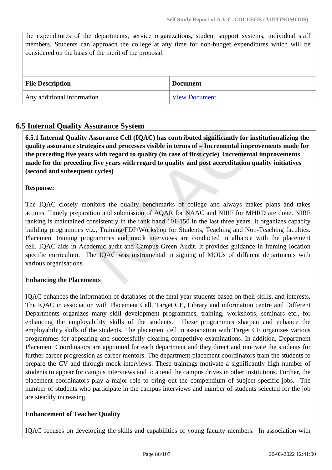the expenditures of the departments, service organizations, student support systems, individual staff members. Students can approach the college at any time for non-budget expenditures which will be considered on the basis of the merit of the proposal.

| <b>File Description</b>    | <b>Document</b>      |
|----------------------------|----------------------|
| Any additional information | <b>View Document</b> |

# **6.5 Internal Quality Assurance System**

 **6.5.1 Internal Quality Assurance Cell (IQAC) has contributed significantly for institutionalizing the quality assurance strategies and processes visible in terms of – Incremental improvements made for the preceding five years with regard to quality (in case of first cycle) Incremental improvements made for the preceding five years with regard to quality and post accreditation quality initiatives (second and subsequent cycles)** 

#### **Response:**

The IQAC closely monitors the quality benchmarks of college and always makes plans and takes actions. Timely preparation and submission of AQAR for NAAC and NIRF for MHRD are done. NIRF ranking is maintained consistently in the rank band 101-150 in the last three years. It organizes capacity building programmes viz., Training/FDP/Workshop for Students, Teaching and Non-Teaching faculties. Placement training programmes and mock interviews are conducted in alliance with the placement cell. IQAC aids in Academic audit and Campus Green Audit. It provides guidance in framing location specific curriculum. The IQAC was instrumental in signing of MOUs of different departments with various organisations.

#### **Enhancing the Placements**

IQAC enhances the information of databases of the final year students based on their skills, and interests. The IQAC in association with Placement Cell, Target CE, Library and information centre and Different Departments organizes many skill development programmes, training, workshops, seminars etc., for enhancing the employability skills of the students. These programmes sharpen and enhance the employability skills of the students. The placement cell in association with Target CE organizes various programmes for appearing and successfully clearing competitive examinations. In addition, Department Placement Coordinators are appointed for each department and they direct and motivate the students for further career progression as career mentors. The department placement coordinators train the students to prepare the CV and through mock interviews. These trainings motivate a significantly high number of students to appear for campus interviews and to attend the campus drives in other institutions. Further, the placement coordinators play a major role to bring out the compendium of subject specific jobs. The number of students who participate in the campus interviews and number of students selected for the job are steadily increasing.

#### **Enhancement of Teacher Quality**

IQAC focuses on developing the skills and capabilities of young faculty members. In association with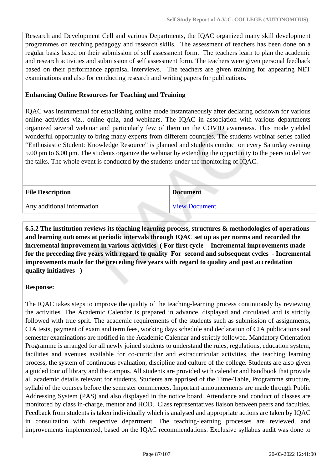Research and Development Cell and various Departments, the IQAC organized many skill development programmes on teaching pedagogy and research skills. The assessment of teachers has been done on a regular basis based on their submission of self assessment form. The teachers learn to plan the academic and research activities and submission of self assessment form. The teachers were given personal feedback based on their performance appraisal interviews. The teachers are given training for appearing NET examinations and also for conducting research and writing papers for publications.

#### **Enhancing Online Resources for Teaching and Training**

IQAC was instrumental for establishing online mode instantaneously after declaring ockdown for various online activities viz., online quiz, and webinars. The IQAC in association with various departments organized several webinar and particularly few of them on the COVID awareness. This mode yielded wonderful opportunity to bring many experts from different countries. The students webinar series called "Enthusiastic Student: Knowledge Resource" is planned and students conduct on every Saturday evening 5.00 pm to 6.00 pm. The students organize the webinar by extending the opportunity to the peers to deliver the talks. The whole event is conducted by the students under the monitoring of IQAC.

| <b>File Description</b>    | <b>Document</b>      |
|----------------------------|----------------------|
| Any additional information | <b>View Document</b> |

 **6.5.2 The institution reviews its teaching learning process, structures & methodologies of operations and learning outcomes at periodic intervals through IQAC set up as per norms and recorded the incremental improvement in various activities ( For first cycle - Incremental improvements made for the preceding five years with regard to quality For second and subsequent cycles - Incremental improvements made for the preceding five years with regard to quality and post accreditation quality initiatives )** 

#### **Response:**

The IQAC takes steps to improve the quality of the teaching-learning process continuously by reviewing the activities. The Academic Calendar is prepared in advance, displayed and circulated and is strictly followed with true sprit. The academic requirements of the students such as submission of assignments, CIA tests, payment of exam and term fees, working days schedule and declaration of CIA publications and semester examinations are notified in the Academic Calendar and strictly followed. Mandatory Orientation Programme is arranged for all newly joined students to understand the rules, regulations, education system, facilities and avenues available for co-curricular and extracurricular activities, the teaching learning process, the system of continuous evaluation, discipline and culture of the college. Students are also given a guided tour of library and the campus. All students are provided with calendar and handbook that provide all academic details relevant for students. Students are apprised of the Time-Table, Programme structure, syllabi of the courses before the semester commences. Important announcements are made through Public Addressing System (PAS) and also displayed in the notice board. Attendance and conduct of classes are monitored by class in-charge, mentor and HOD. Class representatives liaison between peers and faculties. Feedback from students is taken individually which is analysed and appropriate actions are taken by IQAC in consultation with respective department. The teaching-learning processes are reviewed, and improvements implemented, based on the IQAC recommendations. Exclusive syllabus audit was done to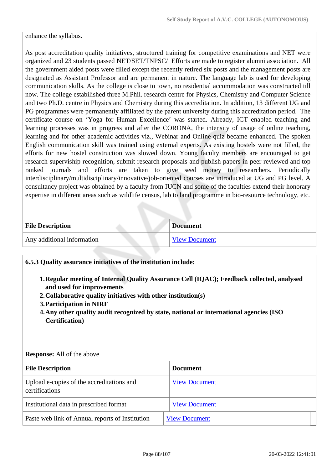enhance the syllabus.

As post accreditation quality initiatives, structured training for competitive examinations and NET were organized and 23 students passed NET/SET/TNPSC/ Efforts are made to register alumni association. All the government aided posts were filled except the recently retired six posts and the management posts are designated as Assistant Professor and are permanent in nature. The language lab is used for developing communication skills. As the college is close to town, no residential accommodation was constructed till now. The college estabilished three M.Phil. research centre for Physics, Chemistry and Computer Science and two Ph.D. centre in Physics and Chemistry during this accreditation. In addition, 13 different UG and PG programmes were permanently affiliated by the parent university during this accreditation period. The certificate course on 'Yoga for Human Excellence' was started. Already, ICT enabled teaching and learning processes was in progress and after the CORONA, the intensity of usage of online teaching, learning and for other academic activities viz., Webinar and Online quiz became enhanced. The spoken English communication skill was trained using external experts. As existing hostels were not filled, the efforts for new hostel construction was slowed down. Young faculty members are encouraged to get research superviship recognition, submit research proposals and publish papers in peer reviewed and top ranked journals and efforts are taken to give seed money to researchers. Periodically interdisciplinary/multidisciplinary/innovative/job-oriented courses are introduced at UG and PG level. A consultancy project was obtained by a faculty from IUCN and some of the faculties extend their honorary expertise in different areas such as wildlife census, lab to land programme in bio-resource technology, etc.

| <b>File Description</b>    | <b>Document</b>      |
|----------------------------|----------------------|
| Any additional information | <b>View Document</b> |

#### **6.5.3 Quality assurance initiatives of the institution include:**

- **1.Regular meeting of Internal Quality Assurance Cell (IQAC); Feedback collected, analysed and used for improvements**
- **2.Collaborative quality initiatives with other institution(s)**
- **3.Participation in NIRF**
- **4.Any other quality audit recognized by state, national or international agencies (ISO Certification)**

| <b>File Description</b>                                     | <b>Document</b>      |
|-------------------------------------------------------------|----------------------|
| Upload e-copies of the accreditations and<br>certifications | <b>View Document</b> |
| Institutional data in prescribed format                     | <b>View Document</b> |
| Paste web link of Annual reports of Institution             | <b>View Document</b> |

#### **Response:** All of the above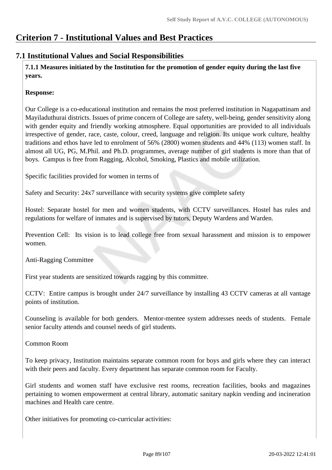# **Criterion 7 - Institutional Values and Best Practices**

# **7.1 Institutional Values and Social Responsibilities**

 **7.1.1 Measures initiated by the Institution for the promotion of gender equity during the last five years.**

#### **Response:**

Our College is a co-educational institution and remains the most preferred institution in Nagapattinam and Mayiladuthurai districts. Issues of prime concern of College are safety, well-being, gender sensitivity along with gender equity and friendly working atmosphere. Equal opportunities are provided to all individuals irrespective of gender, race, caste, colour, creed, language and religion. Its unique work culture, healthy traditions and ethos have led to enrolment of 56% (2800) women students and 44% (113) women staff. In almost all UG, PG, M.Phil. and Ph.D. programmes, average number of girl students is more than that of boys. Campus is free from Ragging, Alcohol, Smoking, Plastics and mobile utilization.

Specific facilities provided for women in terms of

Safety and Security: 24x7 surveillance with security systems give complete safety

Hostel: Separate hostel for men and women students, with CCTV surveillances. Hostel has rules and regulations for welfare of inmates and is supervised by tutors, Deputy Wardens and Warden.

Prevention Cell: Its vision is to lead college free from sexual harassment and mission is to empower women.

Anti-Ragging Committee

First year students are sensitized towards ragging by this committee.

CCTV: Entire campus is brought under 24/7 surveillance by installing 43 CCTV cameras at all vantage points of institution.

Counseling is available for both genders. Mentor-mentee system addresses needs of students. Female senior faculty attends and counsel needs of girl students.

Common Room

To keep privacy, Institution maintains separate common room for boys and girls where they can interact with their peers and faculty. Every department has separate common room for Faculty.

Girl students and women staff have exclusive rest rooms, recreation facilities, books and magazines pertaining to women empowerment at central library, automatic sanitary napkin vending and incineration machines and Health care centre.

Other initiatives for promoting co-curricular activities: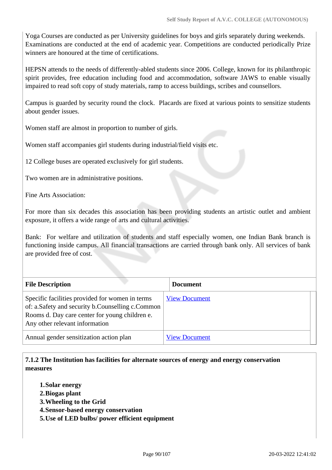Yoga Courses are conducted as per University guidelines for boys and girls separately during weekends. Examinations are conducted at the end of academic year. Competitions are conducted periodically Prize winners are honoured at the time of certifications.

HEPSN attends to the needs of differently-abled students since 2006. College, known for its philanthropic spirit provides, free education including food and accommodation, software JAWS to enable visually impaired to read soft copy of study materials, ramp to access buildings, scribes and counsellors.

Campus is guarded by security round the clock. Placards are fixed at various points to sensitize students about gender issues.

Women staff are almost in proportion to number of girls.

Women staff accompanies girl students during industrial/field visits etc.

12 College buses are operated exclusively for girl students.

Two women are in administrative positions.

Fine Arts Association:

For more than six decades this association has been providing students an artistic outlet and ambient exposure, it offers a wide range of arts and cultural activities.

Bank: For welfare and utilization of students and staff especially women, one Indian Bank branch is functioning inside campus. All financial transactions are carried through bank only. All services of bank are provided free of cost.

| <b>File Description</b>                                                                                                                                                                 | <b>Document</b>      |  |
|-----------------------------------------------------------------------------------------------------------------------------------------------------------------------------------------|----------------------|--|
| Specific facilities provided for women in terms<br>of: a.Safety and security b.Counselling c.Common<br>Rooms d. Day care center for young children e.<br>Any other relevant information | <b>View Document</b> |  |
| Annual gender sensitization action plan                                                                                                                                                 | <b>View Document</b> |  |

 **7.1.2 The Institution has facilities for alternate sources of energy and energy conservation measures** 

- **1.Solar energy**
- **2.Biogas plant**
- **3.Wheeling to the Grid**
- **4.Sensor-based energy conservation**
- **5.Use of LED bulbs/ power efficient equipment**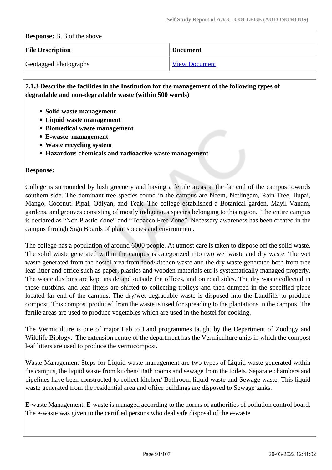$\overline{\phantom{a}}$ 

| <b>Response:</b> B. 3 of the above |                      |
|------------------------------------|----------------------|
| <b>File Description</b>            | <b>Document</b>      |
| Geotagged Photographs              | <b>View Document</b> |

#### **7.1.3 Describe the facilities in the Institution for the management of the following types of degradable and non-degradable waste (within 500 words)**

- Solid waste management
- **Liquid waste management**
- **Biomedical waste management**
- **E-waste management**
- **Waste recycling system**
- **Hazardous chemicals and radioactive waste management**

#### **Response:**

College is surrounded by lush greenery and having a fertile areas at the far end of the campus towards southern side. The dominant tree species found in the campus are Neem, Netlingam, Rain Tree, Ilupai, Mango, Coconut, Pipal, Odiyan, and Teak. The college established a Botanical garden, Mayil Vanam, gardens, and grooves consisting of mostly indigenous species belonging to this region. The entire campus is declared as "Non Plastic Zone" and "Tobacco Free Zone". Necessary awareness has been created in the campus through Sign Boards of plant species and environment.

The college has a population of around 6000 people. At utmost care is taken to dispose off the solid waste. The solid waste generated within the campus is categorized into two wet waste and dry waste. The wet waste generated from the hostel area from food/kitchen waste and the dry waste generated both from tree leaf litter and office such as paper, plastics and wooden materials etc is systematically managed properly. The waste dustbins are kept inside and outside the offices, and on road sides. The dry waste collected in these dustbins, and leaf litters are shifted to collecting trolleys and then dumped in the specified place located far end of the campus. The dry/wet degradable waste is disposed into the Landfills to produce compost. This compost produced from the waste is used for spreading to the plantations in the campus. The fertile areas are used to produce vegetables which are used in the hostel for cooking.

The Vermiculture is one of major Lab to Land programmes taught by the Department of Zoology and Wildlife Biology. The extension centre of the department has the Vermiculture units in which the compost leaf litters are used to produce the vermicompost.

Waste Management Steps for Liquid waste management are two types of Liquid waste generated within the campus, the liquid waste from kitchen/ Bath rooms and sewage from the toilets. Separate chambers and pipelines have been constructed to collect kitchen/ Bathroom liquid waste and Sewage waste. This liquid waste generated from the residential area and office buildings are disposed to Sewage tanks.

E-waste Management: E-waste is managed according to the norms of authorities of pollution control board. The e-waste was given to the certified persons who deal safe disposal of the e-waste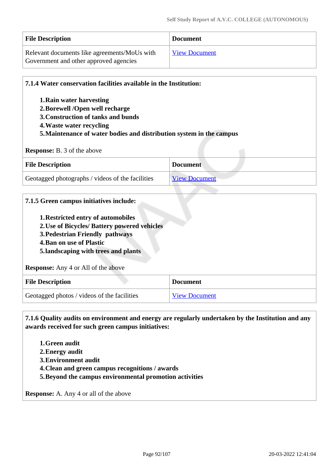| <b>File Description</b>                                                                | <b>Document</b>      |
|----------------------------------------------------------------------------------------|----------------------|
| Relevant documents like agreements/MoUs with<br>Government and other approved agencies | <b>View Document</b> |

| 7.1.4 Water conservation facilities available in the Institution:    |                 |  |
|----------------------------------------------------------------------|-----------------|--|
| 1. Rain water harvesting<br>2. Borewell /Open well recharge          |                 |  |
| 3. Construction of tanks and bunds                                   |                 |  |
| 4. Waste water recycling                                             |                 |  |
| 5. Maintenance of water bodies and distribution system in the campus |                 |  |
| <b>Response:</b> B. 3 of the above                                   |                 |  |
|                                                                      |                 |  |
| <b>File Description</b>                                              | <b>Document</b> |  |

| 7.1.5 Green campus initiatives include:                                                                                                                                                                |                      |
|--------------------------------------------------------------------------------------------------------------------------------------------------------------------------------------------------------|----------------------|
| <b>1. Restricted entry of automobiles</b><br>2. Use of Bicycles/ Battery powered vehicles<br>3. Pedestrian Friendly pathways<br><b>4. Ban on use of Plastic</b><br>5.landscaping with trees and plants |                      |
| <b>Response:</b> Any 4 or All of the above                                                                                                                                                             |                      |
| <b>File Description</b>                                                                                                                                                                                | <b>Document</b>      |
| Geotagged photos / videos of the facilities                                                                                                                                                            | <b>View Document</b> |

 **7.1.6 Quality audits on environment and energy are regularly undertaken by the Institution and any awards received for such green campus initiatives:**

**1.Green audit 2.Energy audit 3.Environment audit 4.Clean and green campus recognitions / awards 5.Beyond the campus environmental promotion activities** 

**Response:** A. Any 4 or all of the above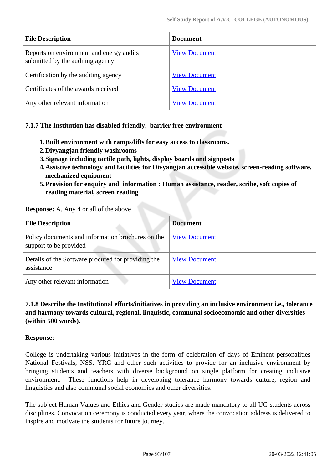| <b>File Description</b>                                                      | <b>Document</b>      |
|------------------------------------------------------------------------------|----------------------|
| Reports on environment and energy audits<br>submitted by the auditing agency | <b>View Document</b> |
| Certification by the auditing agency                                         | <b>View Document</b> |
| Certificates of the awards received                                          | <b>View Document</b> |
| Any other relevant information                                               | <b>View Document</b> |

#### **7.1.7 The Institution has disabled-friendly, barrier free environment**

- **1.Built environment with ramps/lifts for easy access to classrooms.**
- **2.Divyangjan friendly washrooms**
- **3.Signage including tactile path, lights, display boards and signposts**
- **4.Assistive technology and facilities for Divyangjan accessible website, screen-reading software, mechanized equipment**
- **5.Provision for enquiry and information : Human assistance, reader, scribe, soft copies of reading material, screen reading**

**Response:** A. Any 4 or all of the above

| <b>File Description</b>                                                     | <b>Document</b>      |
|-----------------------------------------------------------------------------|----------------------|
| Policy documents and information brochures on the<br>support to be provided | <b>View Document</b> |
| Details of the Software procured for providing the<br>assistance            | <b>View Document</b> |
| Any other relevant information                                              | <b>View Document</b> |

### **7.1.8 Describe the Institutional efforts/initiatives in providing an inclusive environment i.e., tolerance and harmony towards cultural, regional, linguistic, communal socioeconomic and other diversities (within 500 words).**

#### **Response:**

College is undertaking various initiatives in the form of celebration of days of Eminent personalities National Festivals, NSS, YRC and other such activities to provide for an inclusive environment by bringing students and teachers with diverse background on single platform for creating inclusive environment. These functions help in developing tolerance harmony towards culture, region and linguistics and also communal social economics and other diversities.

The subject Human Values and Ethics and Gender studies are made mandatory to all UG students across disciplines. Convocation ceremony is conducted every year, where the convocation address is delivered to inspire and motivate the students for future journey.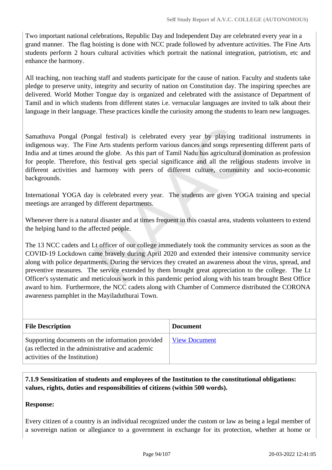Two important national celebrations, Republic Day and Independent Day are celebrated every year in a grand manner. The flag hoisting is done with NCC prade followed by adventure activities. The Fine Arts students perform 2 hours cultural activities which portrait the national integration, patriotism, etc and enhance the harmony.

All teaching, non teaching staff and students participate for the cause of nation. Faculty and students take pledge to preserve unity, integrity and security of nation on Constitution day. The inspiring speeches are delivered. World Mother Tongue day is organized and celebrated with the assistance of Department of Tamil and in which students from different states i.e. vernacular languages are invited to talk about their language in their language. These practices kindle the curiosity among the students to learn new languages.

Samathuva Pongal (Pongal festival) is celebrated every year by playing traditional instruments in indigenous way. The Fine Arts students perform various dances and songs representing different parts of India and at times around the globe. As this part of Tamil Nadu has agricultural domination as profession for people. Therefore, this festival gets special significance and all the religious students involve in different activities and harmony with peers of different culture, community and socio-economic backgrounds.

International YOGA day is celebrated every year. The students are given YOGA training and special meetings are arranged by different departments.

Whenever there is a natural disaster and at times frequent in this coastal area, students volunteers to extend the helping hand to the affected people.

The 13 NCC cadets and Lt officer of our college immediately took the community services as soon as the COVID-19 Lockdown came bravely during April 2020 and extended their intensive community service along with police departments. During the services they created an awareness about the virus, spread, and preventive measures. The service extended by them brought great appreciation to the college. The Lt Officer's systematic and meticulous work in this pandemic period along with his team brought Best Office award to him. Furthermore, the NCC cadets along with Chamber of Commerce distributed the CORONA awareness pamphlet in the Mayiladuthurai Town.

| <b>File Description</b>                                                                                                                | <b>Document</b>      |
|----------------------------------------------------------------------------------------------------------------------------------------|----------------------|
| Supporting documents on the information provided<br>(as reflected in the administrative and academic<br>activities of the Institution) | <b>View Document</b> |

 **7.1.9 Sensitization of students and employees of the Institution to the constitutional obligations: values, rights, duties and responsibilities of citizens (within 500 words).**

#### **Response:**

Every citizen of a country is an individual recognized under the custom or law as being a legal member of a sovereign nation or allegiance to a government in exchange for its protection, whether at home or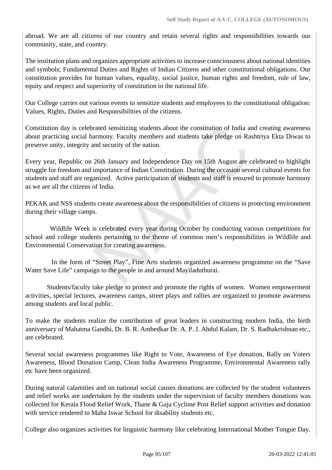abroad. We are all citizens of our country and retain several rights and responsibilities towards our community, state, and country.

The institution plans and organizes appropriate activities to increase consciousness about national identities and symbols; Fundamental Duties and Rights of Indian Citizens and other constitutional obligations. Our constitution provides for human values, equality, social justice, human rights and freedom, rule of law, equity and respect and superiority of constitution in the national life.

Our College carries out various events to sensitize students and employees to the constitutional obligation: Values, Rights, Duties and Responsibilities of the citizens.

Constitution day is celebrated sensitizing students about the constitution of India and creating awareness about practicing social harmony. Faculty members and students take pledge on Rashtriya Ekta Diwas to preserve unity, integrity and security of the nation.

Every year, Republic on 26th January and Independence Day on 15th August are celebrated to highlight struggle for freedom and importance of Indian Constitution. During the occasion several cultural events for students and staff are organized. Active participation of students and staff is ensured to promote harmony as we are all the citizens of India.

PEKAK and NSS students create awareness about the responsibilities of citizens in protecting environment during their village camps.

 Wildlife Week is celebrated every year during October by conducting various competitions for school and college students pertaining to the theme of common men's responsibilities in Wildlife and Environmental Conservation for creating awareness.

 In the form of "Street Play", Fine Arts students organized awareness programme on the "Save Water Save Life" campaign to the people in and around Mayiladuthurai.

 Students/faculty take pledge to protect and promote the rights of women. Women empowerment activities, special lectures, awareness camps, street plays and rallies are organized to promote awareness among students and local public.

To make the students realize the contribution of great leaders in constructing modern India, the birth anniversary of Mahatma Gandhi, Dr. B. R. Ambedkar Dr. A. P. J. Abdul Kalam, Dr. S. Radhakrishnan etc., are celebrated.

Several social awareness programmes like Right to Vote, Awareness of Eye donation, Rally on Voters Awareness, Blood Donation Camp, Clean India Awareness Programme, Environmental Awareness rally etc have been organized.

During natural calamities and on national social causes donations are collected by the student volunteers and relief works are undertaken by the students under the supervision of faculty members donations was collected for Kerala Flood Relief Work, Thane & Gaja Cyclone Post Relief support activities and donation with service rendered to Maha Iswar School for disability students etc.

College also organizes activities for linguistic harmony like celebrating International Mother Tongue Day.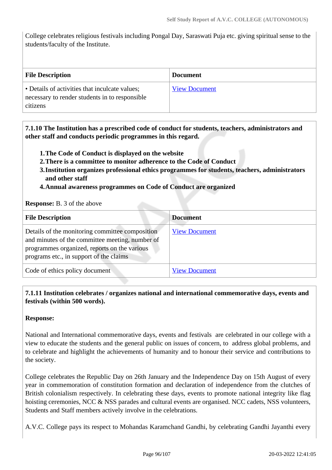College celebrates religious festivals including Pongal Day, Saraswati Puja etc. giving spiritual sense to the students/faculty of the Institute.

| <b>File Description</b>                                                                                      | <b>Document</b>      |
|--------------------------------------------------------------------------------------------------------------|----------------------|
| • Details of activities that inculcate values;<br>necessary to render students in to responsible<br>citizens | <b>View Document</b> |

 **7.1.10 The Institution has a prescribed code of conduct for students, teachers, administrators and other staff and conducts periodic programmes in this regard.** 

- **1.The Code of Conduct is displayed on the website**
- **2.There is a committee to monitor adherence to the Code of Conduct**
- **3.Institution organizes professional ethics programmes for students, teachers, administrators and other staff**
- **4.Annual awareness programmes on Code of Conduct are organized**

#### **Response:** B. 3 of the above

| <b>File Description</b>                                                                                                                                                                       | <b>Document</b>      |
|-----------------------------------------------------------------------------------------------------------------------------------------------------------------------------------------------|----------------------|
| Details of the monitoring committee composition<br>and minutes of the committee meeting, number of<br>programmes organized, reports on the various<br>programs etc., in support of the claims | <b>View Document</b> |
| Code of ethics policy document                                                                                                                                                                | <b>View Document</b> |

# **7.1.11 Institution celebrates / organizes national and international commemorative days, events and festivals (within 500 words).**

#### **Response:**

National and International commemorative days, events and festivals are celebrated in our college with a view to educate the students and the general public on issues of concern, to address global problems, and to celebrate and highlight the achievements of humanity and to honour their service and contributions to the society.

College celebrates the Republic Day on 26th January and the Independence Day on 15th August of every year in commemoration of constitution formation and declaration of independence from the clutches of British colonialism respectively. In celebrating these days, events to promote national integrity like flag hoisting ceremonies, NCC & NSS parades and cultural events are organised. NCC cadets, NSS volunteers, Students and Staff members actively involve in the celebrations.

A.V.C. College pays its respect to Mohandas Karamchand Gandhi, by celebrating Gandhi Jayanthi every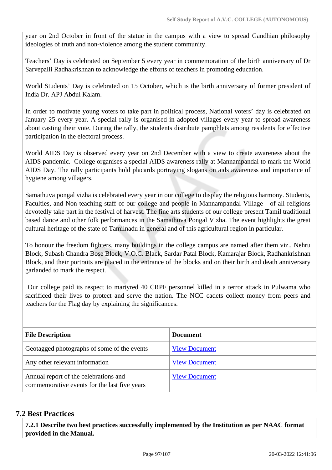year on 2nd October in front of the statue in the campus with a view to spread Gandhian philosophy ideologies of truth and non-violence among the student community.

Teachers' Day is celebrated on September 5 every year in commemoration of the birth anniversary of Dr Sarvepalli Radhakrishnan to acknowledge the efforts of teachers in promoting education.

World Students' Day is celebrated on 15 October, which is the birth anniversary of former president of India Dr. APJ Abdul Kalam.

In order to motivate young voters to take part in political process, National voters' day is celebrated on January 25 every year. A special rally is organised in adopted villages every year to spread awareness about casting their vote. During the rally, the students distribute pamphlets among residents for effective participation in the electoral process.

World AIDS Day is observed every year on 2nd December with a view to create awareness about the AIDS pandemic. College organises a special AIDS awareness rally at Mannampandal to mark the World AIDS Day. The rally participants hold placards portraying slogans on aids awareness and importance of hygiene among villagers.

Samathuva pongal vizha is celebrated every year in our college to display the religious harmony. Students, Faculties, and Non-teaching staff of our college and people in Mannampandal Village of all religions devotedly take part in the festival of harvest. The fine arts students of our college present Tamil traditional based dance and other folk performances in the Samathuva Pongal Vizha. The event highlights the great cultural heritage of the state of Tamilnadu in general and of this agricultural region in particular.

To honour the freedom fighters, many buildings in the college campus are named after them viz., Nehru Block, Subash Chandra Bose Block, V.O.C. Black, Sardar Patal Block, Kamarajar Block, Radhankrishnan Block, and their portraits are placed in the entrance of the blocks and on their birth and death anniversary garlanded to mark the respect.

 Our college paid its respect to martyred 40 CRPF personnel killed in a terror attack in Pulwama who sacrificed their lives to protect and serve the nation. The NCC cadets collect money from peers and teachers for the Flag day by explaining the significances.

| <b>File Description</b>                                                               | <b>Document</b>      |
|---------------------------------------------------------------------------------------|----------------------|
| Geotagged photographs of some of the events                                           | <b>View Document</b> |
| Any other relevant information                                                        | <b>View Document</b> |
| Annual report of the celebrations and<br>commemorative events for the last five years | <b>View Document</b> |

# **7.2 Best Practices**

 **7.2.1 Describe two best practices successfully implemented by the Institution as per NAAC format provided in the Manual.**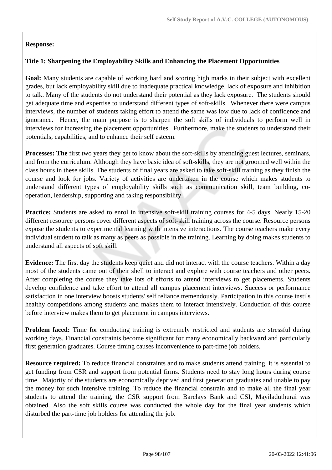# **Response:**

# **Title 1: Sharpening the Employability Skills and Enhancing the Placement Opportunities**

**Goal:** Many students are capable of working hard and scoring high marks in their subject with excellent grades, but lack employability skill due to inadequate practical knowledge, lack of exposure and inhibition to talk. Many of the students do not understand their potential as they lack exposure. The students should get adequate time and expertise to understand different types of soft-skills. Whenever there were campus interviews, the number of students taking effort to attend the same was low due to lack of confidence and ignorance. Hence, the main purpose is to sharpen the soft skills of individuals to perform well in interviews for increasing the placement opportunities. Furthermore, make the students to understand their potentials, capabilities, and to enhance their self esteem.

**Processes: The** first two years they get to know about the soft-skills by attending guest lectures, seminars, and from the curriculum. Although they have basic idea of soft-skills, they are not groomed well within the class hours in these skills. The students of final years are asked to take soft-skill training as they finish the course and look for jobs. Variety of activities are undertaken in the course which makes students to understand different types of employability skills such as communication skill, team building, cooperation, leadership, supporting and taking responsibility.

**Practice:** Students are asked to enrol in intensive soft-skill training courses for 4-5 days. Nearly 15-20 different resource persons cover different aspects of soft-skill training across the course. Resource persons expose the students to experimental learning with intensive interactions. The course teachers make every individual student to talk as many as peers as possible in the training. Learning by doing makes students to understand all aspects of soft skill.

**Evidence:** The first day the students keep quiet and did not interact with the course teachers. Within a day most of the students came out of their shell to interact and explore with course teachers and other peers. After completing the course they take lots of efforts to attend interviews to get placements. Students develop confidence and take effort to attend all campus placement interviews. Success or performance satisfaction in one interview boosts students' self reliance tremendously. Participation in this course instils healthy competitions among students and makes them to interact intensively. Conduction of this course before interview makes them to get placement in campus interviews.

**Problem faced:** Time for conducting training is extremely restricted and students are stressful during working days. Financial constraints become significant for many economically backward and particularly first generation graduates. Course timing causes inconvenience to part-time job holders.

**Resource required:** To reduce financial constraints and to make students attend training, it is essential to get funding from CSR and support from potential firms. Students need to stay long hours during course time. Majority of the students are economically deprived and first generation graduates and unable to pay the money for such intensive training. To reduce the financial constrain and to make all the final year students to attend the training, the CSR support from Barclays Bank and CSI, Mayiladuthurai was obtained. Also the soft skills course was conducted the whole day for the final year students which disturbed the part-time job holders for attending the job.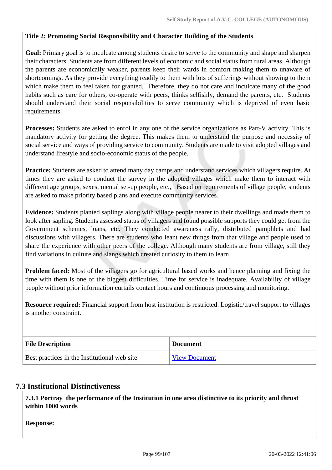#### **Title 2: Promoting Social Responsibility and Character Building of the Students**

**Goal:** Primary goal is to inculcate among students desire to serve to the community and shape and sharpen their characters. Students are from different levels of economic and social status from rural areas. Although the parents are economically weaker, parents keep their wards in comfort making them to unaware of shortcomings. As they provide everything readily to them with lots of sufferings without showing to them which make them to feel taken for granted. Therefore, they do not care and inculcate many of the good habits such as care for others, co-operate with peers, thinks selfishly, demand the parents, etc. Students should understand their social responsibilities to serve community which is deprived of even basic requirements.

**Processes:** Students are asked to enrol in any one of the service organizations as Part-V activity. This is mandatory activity for getting the degree. This makes them to understand the purpose and necessity of social service and ways of providing service to community. Students are made to visit adopted villages and understand lifestyle and socio-economic status of the people.

**Practice:** Students are asked to attend many day camps and understand services which villagers require. At times they are asked to conduct the survey in the adopted villages which make them to interact with different age groups, sexes, mental set-up people, etc., Based on requirements of village people, students are asked to make priority based plans and execute community services.

**Evidence:** Students planted saplings along with village people nearer to their dwellings and made them to look after sapling. Students assessed status of villagers and found possible supports they could get from the Government schemes, loans, etc. They conducted awareness rally, distributed pamphlets and had discussions with villagers. There are students who leant new things from that village and people used to share the experience with other peers of the college. Although many students are from village, still they find variations in culture and slangs which created curiosity to them to learn.

**Problem faced:** Most of the villagers go for agricultural based works and hence planning and fixing the time with them is one of the biggest difficulties. Time for service is inadequate. Availability of village people without prior information curtails contact hours and continuous processing and monitoring.

**Resource required:** Financial support from host institution is restricted. Logistic/travel support to villages is another constraint.

| <b>File Description</b>                      | <b>Document</b>      |
|----------------------------------------------|----------------------|
| Best practices in the Institutional web site | <b>View Document</b> |

#### **7.3 Institutional Distinctiveness**

 **7.3.1 Portray the performance of the Institution in one area distinctive to its priority and thrust within 1000 words**

**Response:**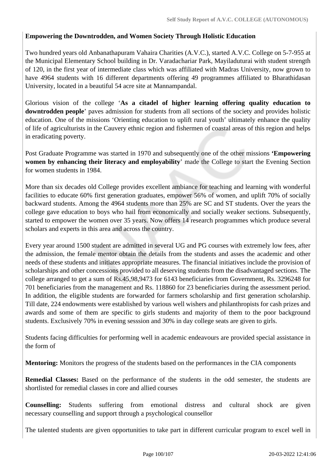#### **Empowering the Downtrodden, and Women Society Through Holistic Education**

Two hundred years old Anbanathapuram Vahaira Charities (A.V.C.), started A.V.C. College on 5-7-955 at the Municipal Elementary School building in Dr. Varadachariar Park, Mayiladuturai with student strength of 120, in the first year of intermediate class which was affiliated with Madras University, now grown to have 4964 students with 16 different departments offering 49 programmes affiliated to Bharathidasan University, located in a beautiful 54 acre site at Mannampandal.

Glorious vision of the college '**As a citadel of higher learning offering quality education to downtrodden people**' paves admission for students from all sections of the society and provides holistic education. One of the missions 'Orienting education to uplift rural youth' ultimately enhance the quality of life of agriculturists in the Cauvery ethnic region and fishermen of coastal areas of this region and helps in eradicating poverty.

Post Graduate Programme was started in 1970 and subsequently one of the other missions **'Empowering women by enhancing their literacy and employability**' made the College to start the Evening Section for women students in 1984.

More than six decades old College provides excellent ambiance for teaching and learning with wonderful facilities to educate 60% first generation graduates, empower 56% of women, and uplift 70% of socially backward students. Among the 4964 students more than 25% are SC and ST students. Over the years the college gave education to boys who hail from economically and socially weaker sections. Subsequently, started to empower the women over 35 years. Now offers 14 research programmes which produce several scholars and experts in this area and across the country.

Every year around 1500 student are admitted in several UG and PG courses with extremely low fees, after the admission, the female mentor obtain the details from the students and asses the academic and other needs of these students and initiates appropriate measures. The financial initiatives include the provision of scholarships and other concessions provided to all deserving students from the disadvantaged sections. The college arranged to get a sum of Rs.45,98,9473 for 6143 beneficiaries from Government, Rs. 3296248 for 701 beneficiaries from the management and Rs. 118860 for 23 beneficiaries during the assessment period. In addition, the eligible students are forwarded for farmers scholarship and first generation scholarship. Till date, 224 endowments were established by various well wishers and philanthropists for cash prizes and awards and some of them are specific to girls students and majority of them to the poor background students. Exclusively 70% in evening sesssion and 30% in day college seats are given to girls.

Students facing difficulties for performing well in academic endeavours are provided special assistance in the form of

**Mentoring:** Monitors the progress of the students based on the performances in the CIA components

**Remedial Classes:** Based on the performance of the students in the odd semester, the students are shortlisted for remedial classes in core and allied courses

**Counselling:** Students suffering from emotional distress and cultural shock are given necessary counselling and support through a psychological counsellor

The talented students are given opportunities to take part in different curricular program to excel well in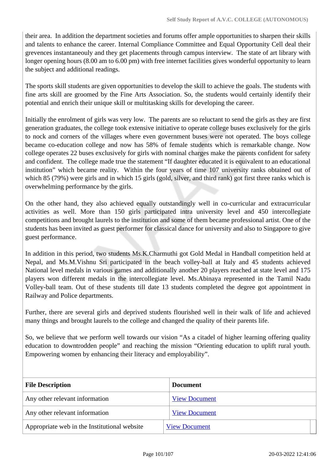their area. In addition the department societies and forums offer ample opportunities to sharpen their skills and talents to enhance the career. Internal Compliance Committee and Equal Opportunity Cell deal their grevences instantaneouly and they get placements through campus interview. The state of art library with longer opening hours (8.00 am to 6.00 pm) with free internet facilities gives wonderful opportunity to learn the subject and additional readings.

The sports skill students are given opportunities to develop the skill to achieve the goals. The students with fine arts skill are groomed by the Fine Arts Association. So, the students would certainly identify their potential and enrich their unique skill or multitasking skills for developing the career.

Initially the enrolment of girls was very low. The parents are so reluctant to send the girls as they are first generation graduates, the college took extensive initiative to operate college buses exclusively for the girls to nock and corners of the villages where even government buses were not operated. The boys college became co-education college and now has 58% of female students which is remarkable change. Now college operates 22 buses exclusively for girls with nominal charges make the parents confident for safety and confident. The college made true the statement "If daughter educated it is equivalent to an educational institution" which became reality. Within the four years of time 107 university ranks obtained out of which 85 (79%) were girls and in which 15 girls (gold, silver, and third rank) got first three ranks which is overwhelming performance by the girls.

On the other hand, they also achieved equally outstandingly well in co-curricular and extracurricular activities as well. More than 150 girls participated intra university level and 450 intercollegiate competitions and brought laurels to the institution and some of them became professional artist. One of the students has been invited as guest performer for classical dance for university and also to Singapore to give guest performance.

In addition in this period, two students Ms.K.Charmuthi got Gold Medal in Handball competition held at Nepal, and Ms.M.Vishnu Sri participated in the beach volley-ball at Italy and 45 students achieved National level medals in various games and additionally another 20 players reached at state level and 175 players won different medals in the intercollegiate level. Ms.Abinaya represented in the Tamil Nadu Volley-ball team. Out of these students till date 13 students completed the degree got appointment in Railway and Police departments.

Further, there are several girls and deprived students flourished well in their walk of life and achieved many things and brought laurels to the college and changed the quality of their parents life.

So, we believe that we perform well towards our vision "As a citadel of higher learning offering quality education to downtrodden people" and reaching the mission "Orienting education to uplift rural youth. Empowering women by enhancing their literacy and employability".

| <b>File Description</b>                      | <b>Document</b>      |
|----------------------------------------------|----------------------|
| Any other relevant information               | <b>View Document</b> |
| Any other relevant information               | <b>View Document</b> |
| Appropriate web in the Institutional website | <b>View Document</b> |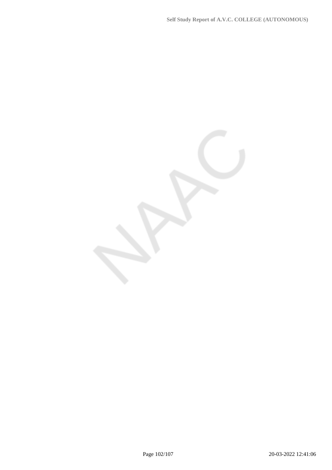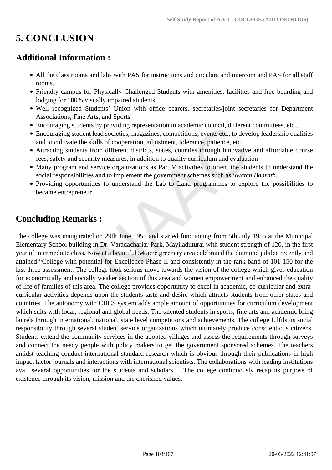# **5. CONCLUSION**

# **Additional Information :**

- All the class rooms and labs with PAS for instructions and circulars and intercom and PAS for all staff rooms.
- Friendly campus for Physically Challenged Students with amenities, facilities and free boarding and lodging for 100% visually impaired students.
- Well recognized Students' Union with office bearers, secretaries/joint secretaries for Department Associations, Fine Arts, and Sports
- Encouraging students by providing representation in academic council, different committees, etc.,
- Encouraging student lead societies, magazines, competitions, events etc., to develop leadership qualities and to cultivate the skills of cooperation, adjustment, tolerance, patience, etc.,
- Attracting students from different districts, states, counties through innovative and affordable course fees, safety and security measures, in addition to quality curriculum and evaluation
- Many program and service organizations as Part V activities to orient the students to understand the social responsibilities and to implement the government schemes such as *Swatch Bharath*,
- Providing opportunities to understand the Lab to Land programmes to explore the possibilities to became entrepreneur

# **Concluding Remarks :**

The college was inaugurated on 29th June 1955 and started functioning from 5th July 1955 at the Municipal Elementary School building in Dr. Varadachariar Park, Mayiladuturai with student strength of 120, in the first year of intermediate class. Now at a beautiful 54 acre greenery area celebrated the diamond jubilee recently and attained "College with potential for Excellence-Phase-II and consistently in the rank band of 101-150 for the last three assessment. The college took serious move towards the vision of the college which gives education for economically and socially weaker section of this area and women empowerment and enhanced the quality of life of families of this area. The college provides opportunity to excel in academic, co-curricular and extracurricular activities depends upon the students taste and desire which attracts students from other states and countries. The autonomy with CBCS system adds ample amount of opportunities for curriculum development which suits with local, regional and global needs. The talented students in sports, fine arts and academic bring laurels through international, national, state level competitions and achievements. The college fulfils its social responsibility through several student service organizations which ultimately produce conscientious citizens. Students extend the community services in the adopted villages and assess the requirements through surveys and connect the needy people with policy makers to get the government sponsored schemes. The teachers amidst teaching conduct international standard research which is obvious through their publications in high impact factor journals and interactions with international scientists. The collaborations with leading institutions avail several opportunities for the students and scholars. The college continuously recap its purpose of existence through its vision, mission and the cherished values.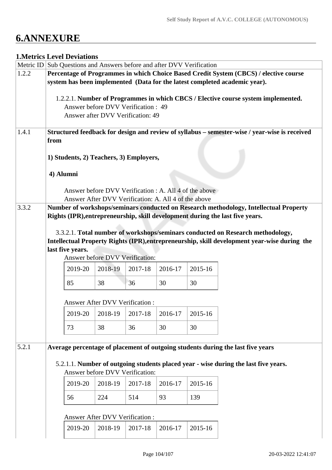# **6.ANNEXURE**

# **1.Metrics Level Deviations**

|       | Metric ID Sub Questions and Answers before and after DVV Verification                                                                                                         |                                       |         |         |         |         |                                                                                              |  |  |
|-------|-------------------------------------------------------------------------------------------------------------------------------------------------------------------------------|---------------------------------------|---------|---------|---------|---------|----------------------------------------------------------------------------------------------|--|--|
| 1.2.2 | Percentage of Programmes in which Choice Based Credit System (CBCS) / elective course                                                                                         |                                       |         |         |         |         |                                                                                              |  |  |
|       | system has been implemented (Data for the latest completed academic year).                                                                                                    |                                       |         |         |         |         |                                                                                              |  |  |
|       | 1.2.2.1. Number of Programmes in which CBCS / Elective course system implemented.<br>Answer before DVV Verification: 49<br>Answer after DVV Verification: 49                  |                                       |         |         |         |         |                                                                                              |  |  |
| 1.4.1 | Structured feedback for design and review of syllabus – semester-wise / year-wise is received<br>from                                                                         |                                       |         |         |         |         |                                                                                              |  |  |
|       | 1) Students, 2) Teachers, 3) Employers,                                                                                                                                       |                                       |         |         |         |         |                                                                                              |  |  |
|       | 4) Alumni                                                                                                                                                                     |                                       |         |         |         |         |                                                                                              |  |  |
|       | Answer before DVV Verification : A. All 4 of the above<br>Answer After DVV Verification: A. All 4 of the above                                                                |                                       |         |         |         |         |                                                                                              |  |  |
| 3.3.2 |                                                                                                                                                                               |                                       |         |         |         |         | Number of workshops/seminars conducted on Research methodology, Intellectual Property        |  |  |
|       |                                                                                                                                                                               |                                       |         |         |         |         | Rights (IPR), entrepreneurship, skill development during the last five years.                |  |  |
|       |                                                                                                                                                                               |                                       |         |         |         |         |                                                                                              |  |  |
|       |                                                                                                                                                                               |                                       |         |         |         |         | 3.3.2.1. Total number of workshops/seminars conducted on Research methodology,               |  |  |
|       |                                                                                                                                                                               | last five years.                      |         |         |         |         | Intellectual Property Rights (IPR), entrepreneurship, skill development year-wise during the |  |  |
|       |                                                                                                                                                                               | Answer before DVV Verification:       |         |         |         |         |                                                                                              |  |  |
|       |                                                                                                                                                                               | 2019-20                               | 2018-19 | 2017-18 | 2016-17 | 2015-16 |                                                                                              |  |  |
|       |                                                                                                                                                                               |                                       |         |         |         |         |                                                                                              |  |  |
|       |                                                                                                                                                                               | 85                                    | 38      | 36      | 30      | 30      |                                                                                              |  |  |
|       | <b>Answer After DVV Verification:</b>                                                                                                                                         |                                       |         |         |         |         |                                                                                              |  |  |
|       |                                                                                                                                                                               | 2019-20                               | 2018-19 | 2017-18 | 2016-17 | 2015-16 |                                                                                              |  |  |
|       |                                                                                                                                                                               | 73                                    | 38      | 36      | 30      | 30      |                                                                                              |  |  |
| 5.2.1 | Average percentage of placement of outgoing students during the last five years                                                                                               |                                       |         |         |         |         |                                                                                              |  |  |
|       |                                                                                                                                                                               |                                       |         |         |         |         |                                                                                              |  |  |
|       | 5.2.1.1. Number of outgoing students placed year - wise during the last five years.<br>Answer before DVV Verification:<br>2019-20<br>2018-19<br>2017-18<br>2016-17<br>2015-16 |                                       |         |         |         |         |                                                                                              |  |  |
|       |                                                                                                                                                                               |                                       |         |         |         |         |                                                                                              |  |  |
|       |                                                                                                                                                                               |                                       |         |         |         |         |                                                                                              |  |  |
|       |                                                                                                                                                                               | 56                                    | 224     | 514     | 93      | 139     |                                                                                              |  |  |
|       |                                                                                                                                                                               | <b>Answer After DVV Verification:</b> |         |         |         |         |                                                                                              |  |  |
|       |                                                                                                                                                                               | 2019-20                               | 2018-19 | 2017-18 | 2016-17 | 2015-16 |                                                                                              |  |  |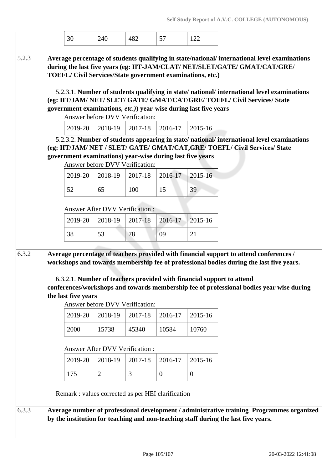|       |                                       | 30                                                                                                                                                                      | 240            | 482     | 57           | 122          |                                                                                                                                                                                   |  |  |  |  |  |
|-------|---------------------------------------|-------------------------------------------------------------------------------------------------------------------------------------------------------------------------|----------------|---------|--------------|--------------|-----------------------------------------------------------------------------------------------------------------------------------------------------------------------------------|--|--|--|--|--|
| 5.2.3 |                                       |                                                                                                                                                                         |                |         |              |              | Average percentage of students qualifying in state/national/ international level examinations                                                                                     |  |  |  |  |  |
|       |                                       | during the last five years (eg: IIT-JAM/CLAT/ NET/SLET/GATE/ GMAT/CAT/GRE/<br><b>TOEFL/Civil Services/State government examinations, etc.)</b>                          |                |         |              |              |                                                                                                                                                                                   |  |  |  |  |  |
|       |                                       |                                                                                                                                                                         |                |         |              |              | 5.2.3.1. Number of students qualifying in state/national/international level examinations<br>(eg: IIT/JAM/ NET/ SLET/ GATE/ GMAT/CAT/GRE/ TOEFL/ Civil Services/ State            |  |  |  |  |  |
|       |                                       | government examinations, etc.) year-wise during last five years<br>Answer before DVV Verification:                                                                      |                |         |              |              |                                                                                                                                                                                   |  |  |  |  |  |
|       |                                       | 2019-20                                                                                                                                                                 | 2018-19        | 2017-18 | 2016-17      | 2015-16      |                                                                                                                                                                                   |  |  |  |  |  |
|       |                                       | 5.2.3.2. Number of students appearing in state/national/international level examinations<br>(eg: IIT/JAM/ NET / SLET/ GATE/ GMAT/CAT, GRE/ TOEFL/ Civil Services/ State |                |         |              |              |                                                                                                                                                                                   |  |  |  |  |  |
|       |                                       | government examinations) year-wise during last five years<br>Answer before DVV Verification:                                                                            |                |         |              |              |                                                                                                                                                                                   |  |  |  |  |  |
|       |                                       | 2019-20                                                                                                                                                                 | 2018-19        | 2017-18 | 2016-17      | 2015-16      |                                                                                                                                                                                   |  |  |  |  |  |
|       |                                       | 52                                                                                                                                                                      | 65             | 100     | 15           | 39           |                                                                                                                                                                                   |  |  |  |  |  |
|       | <b>Answer After DVV Verification:</b> |                                                                                                                                                                         |                |         |              |              |                                                                                                                                                                                   |  |  |  |  |  |
|       |                                       | 2019-20                                                                                                                                                                 | 2018-19        | 2017-18 | 2016-17      | 2015-16      |                                                                                                                                                                                   |  |  |  |  |  |
|       |                                       | 38                                                                                                                                                                      | 53             | 78      | 09           | 21           |                                                                                                                                                                                   |  |  |  |  |  |
| 6.3.2 |                                       |                                                                                                                                                                         |                |         |              |              | Average percentage of teachers provided with financial support to attend conferences /<br>workshops and towards membership fee of professional bodies during the last five years. |  |  |  |  |  |
|       |                                       |                                                                                                                                                                         |                |         |              |              |                                                                                                                                                                                   |  |  |  |  |  |
|       |                                       |                                                                                                                                                                         |                |         |              |              | 6.3.2.1. Number of teachers provided with financial support to attend<br>conferences/workshops and towards membership fee of professional bodies year wise during                 |  |  |  |  |  |
|       |                                       | the last five years<br>Answer before DVV Verification:                                                                                                                  |                |         |              |              |                                                                                                                                                                                   |  |  |  |  |  |
|       |                                       | 2019-20                                                                                                                                                                 | 2018-19        | 2017-18 | 2016-17      | 2015-16      |                                                                                                                                                                                   |  |  |  |  |  |
|       |                                       | 2000                                                                                                                                                                    | 15738          | 45340   | 10584        | 10760        |                                                                                                                                                                                   |  |  |  |  |  |
|       | <b>Answer After DVV Verification:</b> |                                                                                                                                                                         |                |         |              |              |                                                                                                                                                                                   |  |  |  |  |  |
|       |                                       | 2019-20                                                                                                                                                                 | 2018-19        | 2017-18 | 2016-17      | 2015-16      |                                                                                                                                                                                   |  |  |  |  |  |
|       |                                       |                                                                                                                                                                         |                |         |              |              |                                                                                                                                                                                   |  |  |  |  |  |
|       |                                       | 175                                                                                                                                                                     | $\overline{2}$ | 3       | $\mathbf{0}$ | $\mathbf{0}$ |                                                                                                                                                                                   |  |  |  |  |  |
|       |                                       | Remark : values corrected as per HEI clarification                                                                                                                      |                |         |              |              |                                                                                                                                                                                   |  |  |  |  |  |
| 6.3.3 |                                       |                                                                                                                                                                         |                |         |              |              | Average number of professional development / administrative training Programmes organized<br>by the institution for teaching and non-teaching staff during the last five years.   |  |  |  |  |  |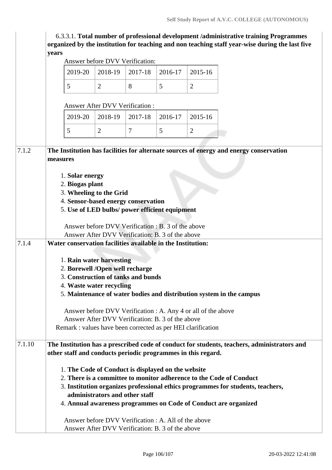|        |                                                                                                                                                             |                                                                                                          |                                                      |                                                  |                | 6.3.3.1. Total number of professional development /administrative training Programmes |  |  |  |  |  |
|--------|-------------------------------------------------------------------------------------------------------------------------------------------------------------|----------------------------------------------------------------------------------------------------------|------------------------------------------------------|--------------------------------------------------|----------------|---------------------------------------------------------------------------------------|--|--|--|--|--|
|        |                                                                                                                                                             | organized by the institution for teaching and non teaching staff year-wise during the last five<br>years |                                                      |                                                  |                |                                                                                       |  |  |  |  |  |
|        | Answer before DVV Verification:                                                                                                                             |                                                                                                          |                                                      |                                                  |                |                                                                                       |  |  |  |  |  |
|        | 2019-20                                                                                                                                                     | 2018-19                                                                                                  | 2017-18                                              | 2016-17                                          | 2015-16        |                                                                                       |  |  |  |  |  |
|        | 5                                                                                                                                                           | $\overline{2}$                                                                                           | 8                                                    | 5                                                | $\overline{2}$ |                                                                                       |  |  |  |  |  |
|        | <b>Answer After DVV Verification:</b>                                                                                                                       |                                                                                                          |                                                      |                                                  |                |                                                                                       |  |  |  |  |  |
|        | 2019-20                                                                                                                                                     | 2018-19                                                                                                  | 2017-18                                              | 2016-17                                          | 2015-16        |                                                                                       |  |  |  |  |  |
|        | 5                                                                                                                                                           | $\overline{2}$                                                                                           | $\overline{7}$                                       | 5                                                | $\overline{2}$ |                                                                                       |  |  |  |  |  |
| 7.1.2  | measures                                                                                                                                                    | The Institution has facilities for alternate sources of energy and energy conservation                   |                                                      |                                                  |                |                                                                                       |  |  |  |  |  |
|        | 1. Solar energy<br>2. Biogas plant<br>3. Wheeling to the Grid                                                                                               |                                                                                                          |                                                      |                                                  |                |                                                                                       |  |  |  |  |  |
|        | 4. Sensor-based energy conservation<br>5. Use of LED bulbs/ power efficient equipment                                                                       |                                                                                                          |                                                      |                                                  |                |                                                                                       |  |  |  |  |  |
|        | Answer before DVV Verification : B. 3 of the above<br>Answer After DVV Verification: B. 3 of the above                                                      |                                                                                                          |                                                      |                                                  |                |                                                                                       |  |  |  |  |  |
| 7.1.4  | Water conservation facilities available in the Institution:                                                                                                 |                                                                                                          |                                                      |                                                  |                |                                                                                       |  |  |  |  |  |
|        | 1. Rain water harvesting                                                                                                                                    |                                                                                                          |                                                      |                                                  |                |                                                                                       |  |  |  |  |  |
|        | 2. Borewell /Open well recharge                                                                                                                             |                                                                                                          |                                                      |                                                  |                |                                                                                       |  |  |  |  |  |
|        | 3. Construction of tanks and bunds                                                                                                                          |                                                                                                          |                                                      |                                                  |                |                                                                                       |  |  |  |  |  |
|        | 4. Waste water recycling                                                                                                                                    |                                                                                                          |                                                      |                                                  |                |                                                                                       |  |  |  |  |  |
|        |                                                                                                                                                             | 5. Maintenance of water bodies and distribution system in the campus                                     |                                                      |                                                  |                |                                                                                       |  |  |  |  |  |
|        |                                                                                                                                                             | Answer before DVV Verification : A. Any 4 or all of the above                                            |                                                      |                                                  |                |                                                                                       |  |  |  |  |  |
|        | Answer After DVV Verification: B. 3 of the above                                                                                                            |                                                                                                          |                                                      |                                                  |                |                                                                                       |  |  |  |  |  |
|        | Remark : values have been corrected as per HEI clarification                                                                                                |                                                                                                          |                                                      |                                                  |                |                                                                                       |  |  |  |  |  |
| 7.1.10 | The Institution has a prescribed code of conduct for students, teachers, administrators and<br>other staff and conducts periodic programmes in this regard. |                                                                                                          |                                                      |                                                  |                |                                                                                       |  |  |  |  |  |
|        |                                                                                                                                                             | 1. The Code of Conduct is displayed on the website                                                       |                                                      |                                                  |                |                                                                                       |  |  |  |  |  |
|        |                                                                                                                                                             |                                                                                                          |                                                      |                                                  |                | 2. There is a committee to monitor adherence to the Code of Conduct                   |  |  |  |  |  |
|        |                                                                                                                                                             | 3. Institution organizes professional ethics programmes for students, teachers,                          |                                                      |                                                  |                |                                                                                       |  |  |  |  |  |
|        |                                                                                                                                                             | administrators and other staff<br>4. Annual awareness programmes on Code of Conduct are organized        |                                                      |                                                  |                |                                                                                       |  |  |  |  |  |
|        |                                                                                                                                                             |                                                                                                          |                                                      |                                                  |                |                                                                                       |  |  |  |  |  |
|        |                                                                                                                                                             |                                                                                                          | Answer before DVV Verification : A. All of the above |                                                  |                |                                                                                       |  |  |  |  |  |
|        |                                                                                                                                                             |                                                                                                          |                                                      | Answer After DVV Verification: B. 3 of the above |                |                                                                                       |  |  |  |  |  |